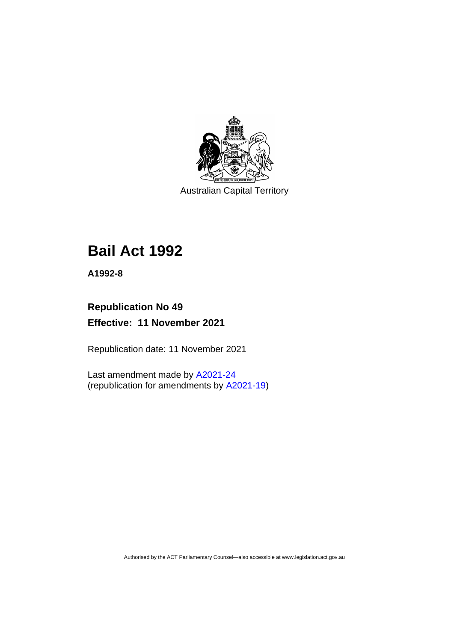

Australian Capital Territory

# **Bail Act 1992**

**A1992-8**

# **Republication No 49 Effective: 11 November 2021**

Republication date: 11 November 2021

Last amendment made by [A2021-24](http://www.legislation.act.gov.au/a/2021-24/) (republication for amendments by [A2021-19\)](https://legislation.act.gov.au/a/2021-19/)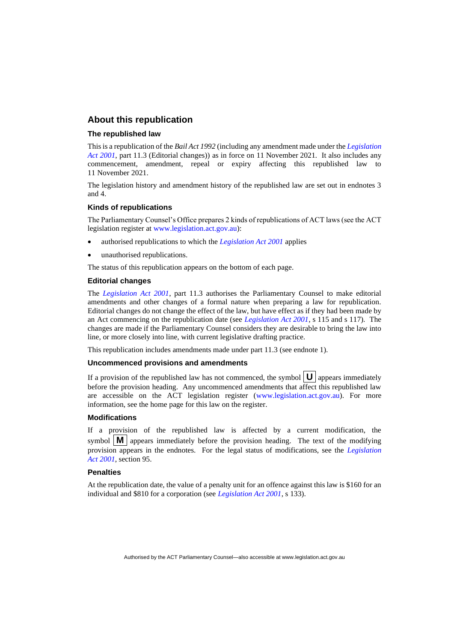#### **About this republication**

#### **The republished law**

This is a republication of the *Bail Act 1992* (including any amendment made under the *[Legislation](http://www.legislation.act.gov.au/a/2001-14)  [Act 2001](http://www.legislation.act.gov.au/a/2001-14)*, part 11.3 (Editorial changes)) as in force on 11 November 2021*.* It also includes any commencement, amendment, repeal or expiry affecting this republished law to 11 November 2021.

The legislation history and amendment history of the republished law are set out in endnotes 3 and 4.

#### **Kinds of republications**

The Parliamentary Counsel's Office prepares 2 kinds of republications of ACT laws (see the ACT legislation register at [www.legislation.act.gov.au\)](http://www.legislation.act.gov.au/):

- authorised republications to which the *[Legislation Act 2001](http://www.legislation.act.gov.au/a/2001-14)* applies
- unauthorised republications.

The status of this republication appears on the bottom of each page.

#### **Editorial changes**

The *[Legislation Act 2001](http://www.legislation.act.gov.au/a/2001-14)*, part 11.3 authorises the Parliamentary Counsel to make editorial amendments and other changes of a formal nature when preparing a law for republication. Editorial changes do not change the effect of the law, but have effect as if they had been made by an Act commencing on the republication date (see *[Legislation Act 2001](http://www.legislation.act.gov.au/a/2001-14)*, s 115 and s 117). The changes are made if the Parliamentary Counsel considers they are desirable to bring the law into line, or more closely into line, with current legislative drafting practice.

This republication includes amendments made under part 11.3 (see endnote 1).

#### **Uncommenced provisions and amendments**

If a provision of the republished law has not commenced, the symbol  $\mathbf{U}$  appears immediately before the provision heading. Any uncommenced amendments that affect this republished law are accessible on the ACT legislation register [\(www.legislation.act.gov.au\)](http://www.legislation.act.gov.au/). For more information, see the home page for this law on the register.

#### **Modifications**

If a provision of the republished law is affected by a current modification, the symbol  $\mathbf{M}$  appears immediately before the provision heading. The text of the modifying provision appears in the endnotes. For the legal status of modifications, see the *[Legislation](http://www.legislation.act.gov.au/a/2001-14)  Act [2001](http://www.legislation.act.gov.au/a/2001-14)*, section 95.

#### **Penalties**

At the republication date, the value of a penalty unit for an offence against this law is \$160 for an individual and \$810 for a corporation (see *[Legislation Act 2001](http://www.legislation.act.gov.au/a/2001-14)*, s 133).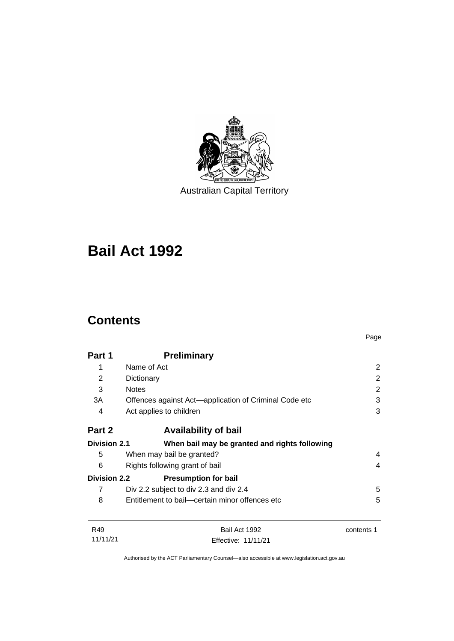

Australian Capital Territory

# **Bail Act 1992**

# **Contents**

|                                     |                                                       | Page       |
|-------------------------------------|-------------------------------------------------------|------------|
| Part 1                              | <b>Preliminary</b>                                    |            |
| 1                                   | Name of Act                                           | 2          |
| 2                                   | Dictionary                                            | 2          |
| 3                                   | <b>Notes</b>                                          | 2          |
| 3A                                  | Offences against Act—application of Criminal Code etc | 3          |
| 4                                   | Act applies to children                               | 3          |
| Part 2                              | <b>Availability of bail</b>                           |            |
| <b>Division 2.1</b>                 | When bail may be granted and rights following         |            |
| 5                                   | When may bail be granted?                             | 4          |
| 6<br>Rights following grant of bail |                                                       | 4          |
| <b>Division 2.2</b>                 | <b>Presumption for bail</b>                           |            |
| 7                                   | Div 2.2 subject to div 2.3 and div 2.4                | 5          |
| 8                                   | Entitlement to bail—certain minor offences etc        | 5          |
| R49                                 | Bail Act 1992                                         | contents 1 |
| 11/11/21                            | Effective: 11/11/21                                   |            |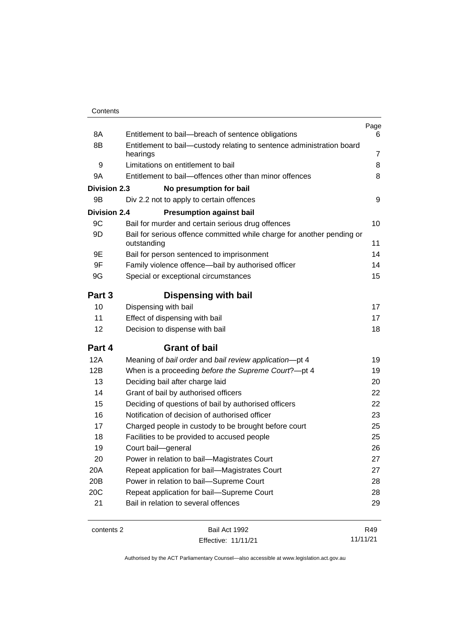| Contents |
|----------|
|----------|

| 8A                  | Entitlement to bail-breach of sentence obligations                                    | Page<br>6      |
|---------------------|---------------------------------------------------------------------------------------|----------------|
| 8B                  | Entitlement to bail-custody relating to sentence administration board                 |                |
|                     | hearings                                                                              | $\overline{7}$ |
| 9                   | Limitations on entitlement to bail                                                    | 8              |
| 9Α                  | Entitlement to bail—offences other than minor offences                                | 8              |
| <b>Division 2.3</b> | No presumption for bail                                                               |                |
| 9Β                  | Div 2.2 not to apply to certain offences                                              | 9              |
| <b>Division 2.4</b> | <b>Presumption against bail</b>                                                       |                |
| 9C                  | Bail for murder and certain serious drug offences                                     | 10             |
| 9D                  | Bail for serious offence committed while charge for another pending or<br>outstanding | 11             |
| 9Ε                  | Bail for person sentenced to imprisonment                                             | 14             |
| 9F                  | Family violence offence-bail by authorised officer                                    | 14             |
| 9G                  | Special or exceptional circumstances                                                  | 15             |
| Part 3              | <b>Dispensing with bail</b>                                                           |                |
| 10                  | Dispensing with bail                                                                  | 17             |
| 11                  | Effect of dispensing with bail                                                        | 17             |
| 12                  | Decision to dispense with bail                                                        | 18             |
| Part 4              | <b>Grant of bail</b>                                                                  |                |
| <b>12A</b>          | Meaning of bail order and bail review application-pt 4                                | 19             |
| 12B                 | When is a proceeding before the Supreme Court?-pt 4                                   | 19             |
| 13                  | Deciding bail after charge laid                                                       | 20             |
| 14                  | Grant of bail by authorised officers                                                  | 22             |
| 15                  | Deciding of questions of bail by authorised officers                                  | 22             |
| 16                  | Notification of decision of authorised officer                                        | 23             |
| 17                  | Charged people in custody to be brought before court                                  | 25             |
| 18                  | Facilities to be provided to accused people                                           | 25             |
| 19                  | Court bail-general                                                                    | 26             |
| 20                  | Power in relation to bail-Magistrates Court                                           | 27             |
| 20A                 | Repeat application for bail-Magistrates Court                                         | 27             |
| 20B                 | Power in relation to bail-Supreme Court                                               | 28             |
| 20C                 | Repeat application for bail-Supreme Court                                             | 28             |
| 21                  | Bail in relation to several offences                                                  | 29             |
| contents 2          | Bail Act 1992                                                                         | R49            |

contents 2 Bail Act 1992 Effective: 11/11/21

Authorised by the ACT Parliamentary Counsel—also accessible at www.legislation.act.gov.au

11/11/21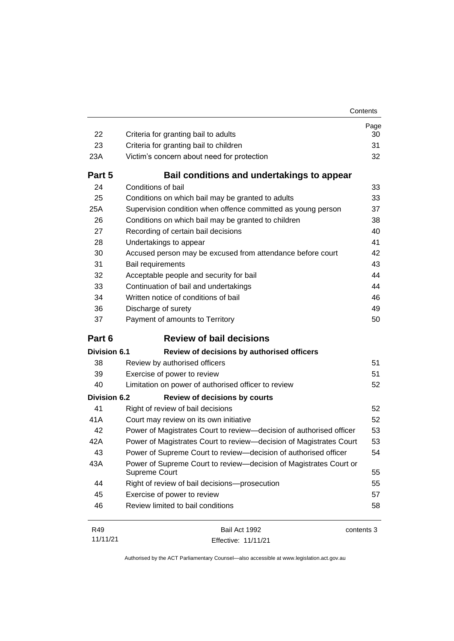| Contents |  |
|----------|--|
|          |  |

| 22                  | Criteria for granting bail to adults                                               | Page<br>30 |
|---------------------|------------------------------------------------------------------------------------|------------|
| 23                  | Criteria for granting bail to children                                             | 31         |
| 23A                 | Victim's concern about need for protection                                         | 32         |
| Part 5              | Bail conditions and undertakings to appear                                         |            |
| 24                  | Conditions of bail                                                                 | 33         |
| 25                  | Conditions on which bail may be granted to adults                                  | 33         |
| 25A                 | Supervision condition when offence committed as young person                       | 37         |
| 26                  | Conditions on which bail may be granted to children                                | 38         |
| 27                  | Recording of certain bail decisions                                                | 40         |
| 28                  | Undertakings to appear                                                             | 41         |
| 30                  | Accused person may be excused from attendance before court                         | 42         |
| 31                  | Bail requirements                                                                  | 43         |
| 32                  | Acceptable people and security for bail                                            | 44         |
| 33                  | Continuation of bail and undertakings                                              | 44         |
| 34                  | Written notice of conditions of bail                                               | 46         |
| 36                  | Discharge of surety                                                                | 49         |
| 37                  | Payment of amounts to Territory                                                    | 50         |
| Part 6              | <b>Review of bail decisions</b>                                                    |            |
| <b>Division 6.1</b> | Review of decisions by authorised officers                                         |            |
| 38                  | Review by authorised officers                                                      | 51         |
| 39                  | Exercise of power to review                                                        | 51         |
| 40                  | Limitation on power of authorised officer to review                                | 52         |
| <b>Division 6.2</b> | <b>Review of decisions by courts</b>                                               |            |
| 41                  | Right of review of bail decisions                                                  | 52         |
| 41A                 | Court may review on its own initiative                                             | 52         |
| 42                  | Power of Magistrates Court to review-decision of authorised officer                | 53         |
| 42A                 | Power of Magistrates Court to review-decision of Magistrates Court                 | 53         |
| 43                  | Power of Supreme Court to review-decision of authorised officer                    | 54         |
| 43A                 | Power of Supreme Court to review-decision of Magistrates Court or<br>Supreme Court | 55         |
| 44                  | Right of review of bail decisions-prosecution                                      | 55         |
| 45                  | Exercise of power to review                                                        | 57         |
| 46                  |                                                                                    |            |
|                     | Review limited to bail conditions                                                  | 58         |

R49 11/11/21 Bail Act 1992 Effective: 11/11/21 contents 3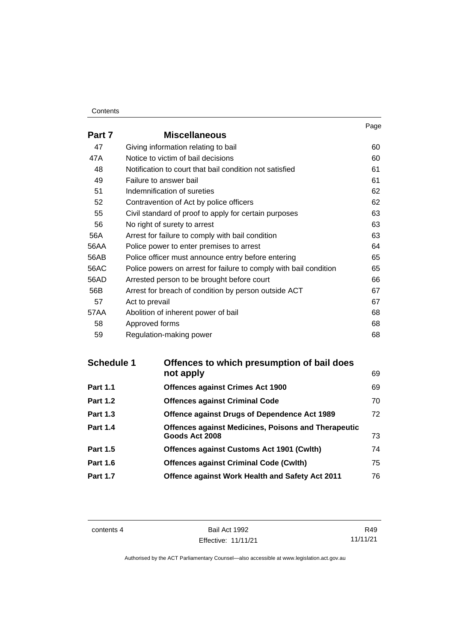#### **Contents**

|        |                                                                   | Page |
|--------|-------------------------------------------------------------------|------|
| Part 7 | <b>Miscellaneous</b>                                              |      |
| 47     | Giving information relating to bail                               | 60   |
| 47A    | Notice to victim of bail decisions                                | 60   |
| 48     | Notification to court that bail condition not satisfied           | 61   |
| 49     | Failure to answer bail                                            | 61   |
| 51     | Indemnification of sureties                                       | 62   |
| 52     | Contravention of Act by police officers                           | 62   |
| 55     | Civil standard of proof to apply for certain purposes             | 63   |
| 56     | No right of surety to arrest                                      | 63   |
| 56A    | Arrest for failure to comply with bail condition                  | 63   |
| 56AA   | Police power to enter premises to arrest                          | 64   |
| 56AB   | Police officer must announce entry before entering                | 65   |
| 56AC   | Police powers on arrest for failure to comply with bail condition | 65   |
| 56AD   | Arrested person to be brought before court                        | 66   |
| 56B    | Arrest for breach of condition by person outside ACT              | 67   |
| 57     | Act to prevail                                                    | 67   |
| 57AA   | Abolition of inherent power of bail                               | 68   |
| 58     | Approved forms                                                    | 68   |
| 59     | Regulation-making power                                           | 68   |

| <b>Schedule 1</b> | Offences to which presumption of bail does<br>not apply                      | 69 |
|-------------------|------------------------------------------------------------------------------|----|
|                   |                                                                              |    |
| <b>Part 1.1</b>   | <b>Offences against Crimes Act 1900</b>                                      | 69 |
| <b>Part 1.2</b>   | <b>Offences against Criminal Code</b>                                        | 70 |
| <b>Part 1.3</b>   | <b>Offence against Drugs of Dependence Act 1989</b>                          | 72 |
| <b>Part 1.4</b>   | <b>Offences against Medicines, Poisons and Therapeutic</b><br>Goods Act 2008 | 73 |
| <b>Part 1.5</b>   | Offences against Customs Act 1901 (Cwlth)                                    | 74 |
| <b>Part 1.6</b>   | <b>Offences against Criminal Code (Cwlth)</b>                                | 75 |
| <b>Part 1.7</b>   | Offence against Work Health and Safety Act 2011                              | 76 |

contents 4 Bail Act 1992 Effective: 11/11/21

R49 11/11/21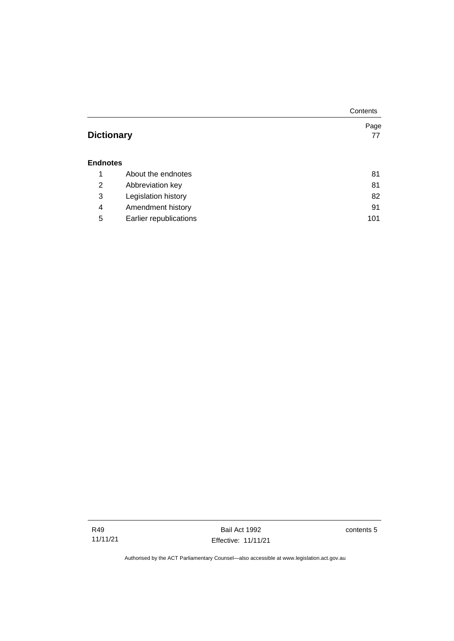|                   |                        | Contents |
|-------------------|------------------------|----------|
|                   |                        | Page     |
| <b>Dictionary</b> |                        | 77       |
|                   |                        |          |
| <b>Endnotes</b>   |                        |          |
| 1                 | About the endnotes     | 81       |
| 2                 | Abbreviation key       | 81       |
| 3                 | Legislation history    | 82       |
| 4                 | Amendment history      | 91       |
| 5                 | Earlier republications | 101      |

Bail Act 1992 Effective: 11/11/21 contents 5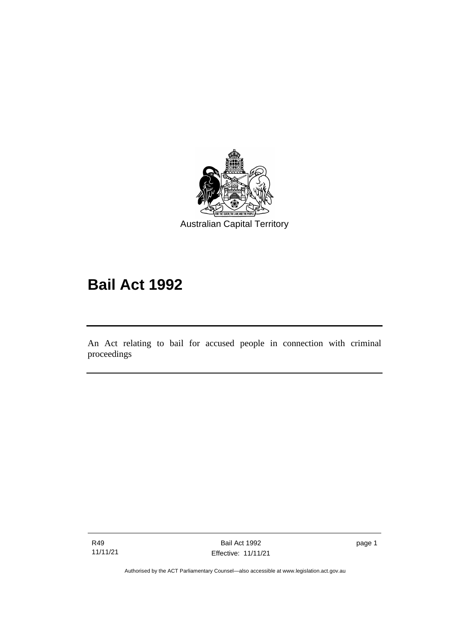

# **Bail Act 1992**

An Act relating to bail for accused people in connection with criminal proceedings

R49 11/11/21

֖֖֖֚֚֚֡֬֝֬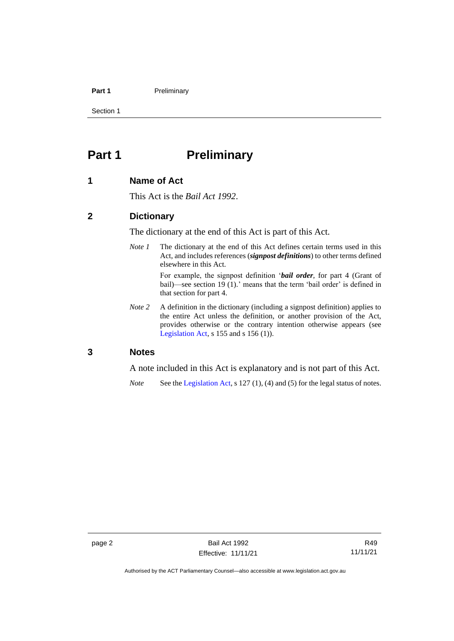#### **Part 1** Preliminary

Section 1

# <span id="page-9-0"></span>**Part 1 Preliminary**

#### <span id="page-9-1"></span>**1 Name of Act**

This Act is the *Bail Act 1992*.

#### <span id="page-9-2"></span>**2 Dictionary**

The dictionary at the end of this Act is part of this Act.

*Note 1* The dictionary at the end of this Act defines certain terms used in this Act, and includes references (*signpost definitions*) to other terms defined elsewhere in this Act.

> For example, the signpost definition '*bail order*, for part 4 (Grant of bail)—see section 19 (1).' means that the term 'bail order' is defined in that section for part 4.

*Note 2* A definition in the dictionary (including a signpost definition) applies to the entire Act unless the definition, or another provision of the Act, provides otherwise or the contrary intention otherwise appears (see [Legislation Act,](http://www.legislation.act.gov.au/a/2001-14) s  $155$  and s  $156$  (1)).

#### <span id="page-9-3"></span>**3 Notes**

A note included in this Act is explanatory and is not part of this Act.

*Note* See the [Legislation Act,](http://www.legislation.act.gov.au/a/2001-14) s 127 (1), (4) and (5) for the legal status of notes.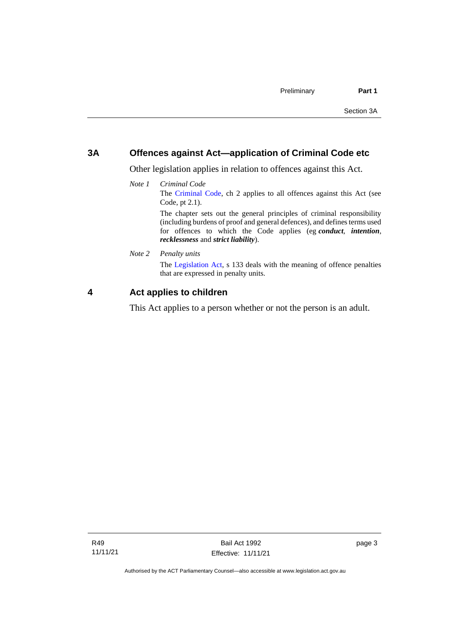#### <span id="page-10-0"></span>**3A Offences against Act—application of Criminal Code etc**

Other legislation applies in relation to offences against this Act.

*Note 1 Criminal Code* The [Criminal Code,](http://www.legislation.act.gov.au/a/2002-51) ch 2 applies to all offences against this Act (see Code, pt 2.1). The chapter sets out the general principles of criminal responsibility

(including burdens of proof and general defences), and defines terms used for offences to which the Code applies (eg *conduct*, *intention*, *recklessness* and *strict liability*).

*Note 2 Penalty units*

The [Legislation Act,](http://www.legislation.act.gov.au/a/2001-14) s 133 deals with the meaning of offence penalties that are expressed in penalty units.

### <span id="page-10-1"></span>**4 Act applies to children**

This Act applies to a person whether or not the person is an adult.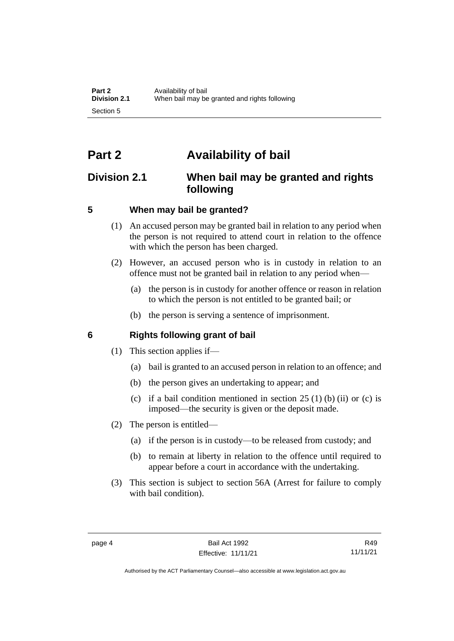# <span id="page-11-0"></span>**Part 2 Availability of bail**

# <span id="page-11-1"></span>**Division 2.1 When bail may be granted and rights following**

# <span id="page-11-2"></span>**5 When may bail be granted?**

- (1) An accused person may be granted bail in relation to any period when the person is not required to attend court in relation to the offence with which the person has been charged.
- (2) However, an accused person who is in custody in relation to an offence must not be granted bail in relation to any period when—
	- (a) the person is in custody for another offence or reason in relation to which the person is not entitled to be granted bail; or
	- (b) the person is serving a sentence of imprisonment.

# <span id="page-11-3"></span>**6 Rights following grant of bail**

- (1) This section applies if—
	- (a) bail is granted to an accused person in relation to an offence; and
	- (b) the person gives an undertaking to appear; and
	- (c) if a bail condition mentioned in section  $25(1)$  (b) (ii) or (c) is imposed—the security is given or the deposit made.
- (2) The person is entitled—
	- (a) if the person is in custody—to be released from custody; and
	- (b) to remain at liberty in relation to the offence until required to appear before a court in accordance with the undertaking.
- (3) This section is subject to section 56A (Arrest for failure to comply with bail condition).

Authorised by the ACT Parliamentary Counsel—also accessible at www.legislation.act.gov.au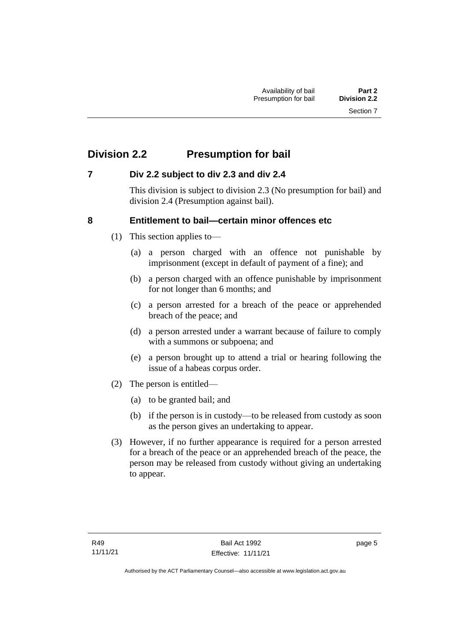# <span id="page-12-0"></span>**Division 2.2 Presumption for bail**

## <span id="page-12-1"></span>**7 Div 2.2 subject to div 2.3 and div 2.4**

This division is subject to division 2.3 (No presumption for bail) and division 2.4 (Presumption against bail).

## <span id="page-12-2"></span>**8 Entitlement to bail—certain minor offences etc**

- (1) This section applies to—
	- (a) a person charged with an offence not punishable by imprisonment (except in default of payment of a fine); and
	- (b) a person charged with an offence punishable by imprisonment for not longer than 6 months; and
	- (c) a person arrested for a breach of the peace or apprehended breach of the peace; and
	- (d) a person arrested under a warrant because of failure to comply with a summons or subpoena; and
	- (e) a person brought up to attend a trial or hearing following the issue of a habeas corpus order.
- (2) The person is entitled—
	- (a) to be granted bail; and
	- (b) if the person is in custody—to be released from custody as soon as the person gives an undertaking to appear.
- (3) However, if no further appearance is required for a person arrested for a breach of the peace or an apprehended breach of the peace, the person may be released from custody without giving an undertaking to appear.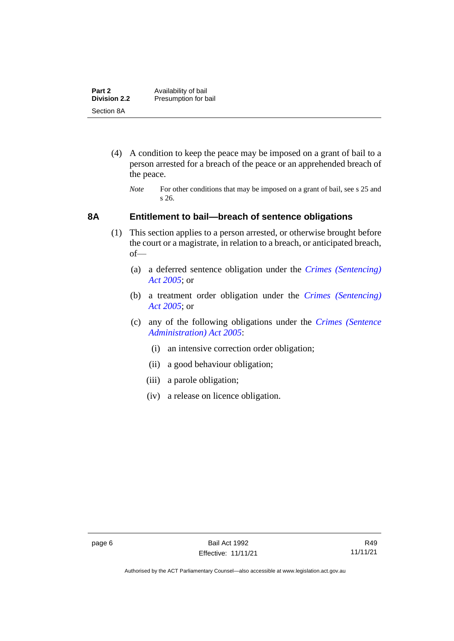| Part 2              | Availability of bail |
|---------------------|----------------------|
| <b>Division 2.2</b> | Presumption for bail |
| Section 8A          |                      |

- (4) A condition to keep the peace may be imposed on a grant of bail to a person arrested for a breach of the peace or an apprehended breach of the peace.
	- *Note* For other conditions that may be imposed on a grant of bail, see s 25 and s 26.

#### <span id="page-13-0"></span>**8A Entitlement to bail—breach of sentence obligations**

- (1) This section applies to a person arrested, or otherwise brought before the court or a magistrate, in relation to a breach, or anticipated breach, of—
	- (a) a deferred sentence obligation under the *[Crimes \(Sentencing\)](http://www.legislation.act.gov.au/a/2005-58)  [Act 2005](http://www.legislation.act.gov.au/a/2005-58)*; or
	- (b) a treatment order obligation under the *[Crimes \(Sentencing\)](http://www.legislation.act.gov.au/a/2005-58)  Act [2005](http://www.legislation.act.gov.au/a/2005-58)*; or
	- (c) any of the following obligations under the *[Crimes \(Sentence](http://www.legislation.act.gov.au/a/2005-59)  [Administration\) Act 2005](http://www.legislation.act.gov.au/a/2005-59)*:
		- (i) an intensive correction order obligation;
		- (ii) a good behaviour obligation;
		- (iii) a parole obligation;
		- (iv) a release on licence obligation.

Authorised by the ACT Parliamentary Counsel—also accessible at www.legislation.act.gov.au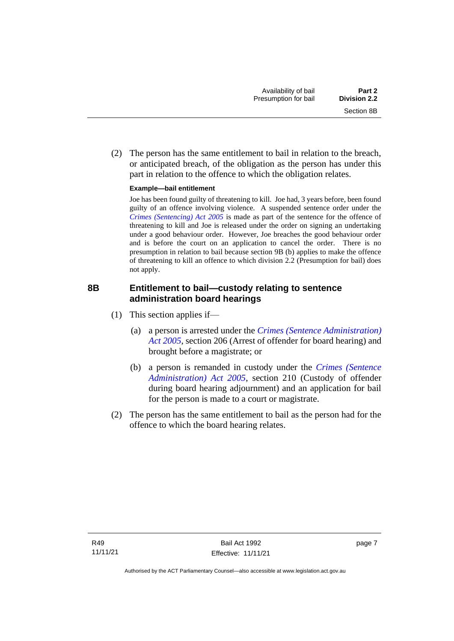(2) The person has the same entitlement to bail in relation to the breach, or anticipated breach, of the obligation as the person has under this part in relation to the offence to which the obligation relates.

#### **Example—bail entitlement**

Joe has been found guilty of threatening to kill. Joe had, 3 years before, been found guilty of an offence involving violence. A suspended sentence order under the *[Crimes \(Sentencing\) Act 2005](http://www.legislation.act.gov.au/a/2005-58)* is made as part of the sentence for the offence of threatening to kill and Joe is released under the order on signing an undertaking under a good behaviour order. However, Joe breaches the good behaviour order and is before the court on an application to cancel the order. There is no presumption in relation to bail because section 9B (b) applies to make the offence of threatening to kill an offence to which division 2.2 (Presumption for bail) does not apply.

## <span id="page-14-0"></span>**8B Entitlement to bail—custody relating to sentence administration board hearings**

- (1) This section applies if—
	- (a) a person is arrested under the *[Crimes \(Sentence Administration\)](http://www.legislation.act.gov.au/a/2005-59)  [Act 2005](http://www.legislation.act.gov.au/a/2005-59)*, section 206 (Arrest of offender for board hearing) and brought before a magistrate; or
	- (b) a person is remanded in custody under the *[Crimes \(Sentence](http://www.legislation.act.gov.au/a/2005-59)  [Administration\) Act 2005](http://www.legislation.act.gov.au/a/2005-59)*, section 210 (Custody of offender during board hearing adjournment) and an application for bail for the person is made to a court or magistrate.
- (2) The person has the same entitlement to bail as the person had for the offence to which the board hearing relates.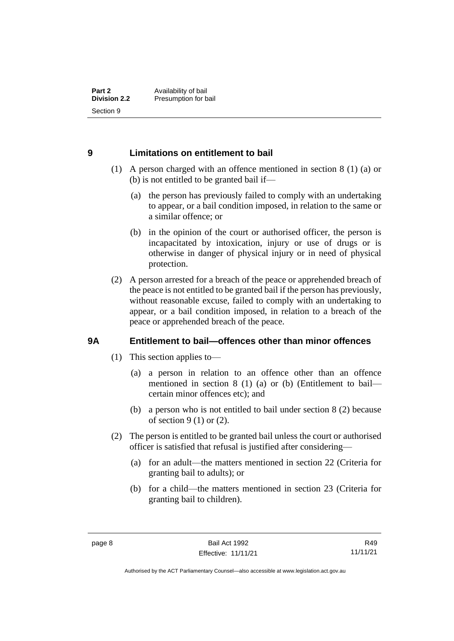### <span id="page-15-0"></span>**9 Limitations on entitlement to bail**

- (1) A person charged with an offence mentioned in section 8 (1) (a) or (b) is not entitled to be granted bail if—
	- (a) the person has previously failed to comply with an undertaking to appear, or a bail condition imposed, in relation to the same or a similar offence; or
	- (b) in the opinion of the court or authorised officer, the person is incapacitated by intoxication, injury or use of drugs or is otherwise in danger of physical injury or in need of physical protection.
- (2) A person arrested for a breach of the peace or apprehended breach of the peace is not entitled to be granted bail if the person has previously, without reasonable excuse, failed to comply with an undertaking to appear, or a bail condition imposed, in relation to a breach of the peace or apprehended breach of the peace.

## <span id="page-15-1"></span>**9A Entitlement to bail—offences other than minor offences**

- (1) This section applies to—
	- (a) a person in relation to an offence other than an offence mentioned in section 8 (1) (a) or (b) (Entitlement to bail certain minor offences etc); and
	- (b) a person who is not entitled to bail under section 8 (2) because of section  $9(1)$  or  $(2)$ .
- (2) The person is entitled to be granted bail unless the court or authorised officer is satisfied that refusal is justified after considering—
	- (a) for an adult—the matters mentioned in section 22 (Criteria for granting bail to adults); or
	- (b) for a child—the matters mentioned in section 23 (Criteria for granting bail to children).

R49 11/11/21

Authorised by the ACT Parliamentary Counsel—also accessible at www.legislation.act.gov.au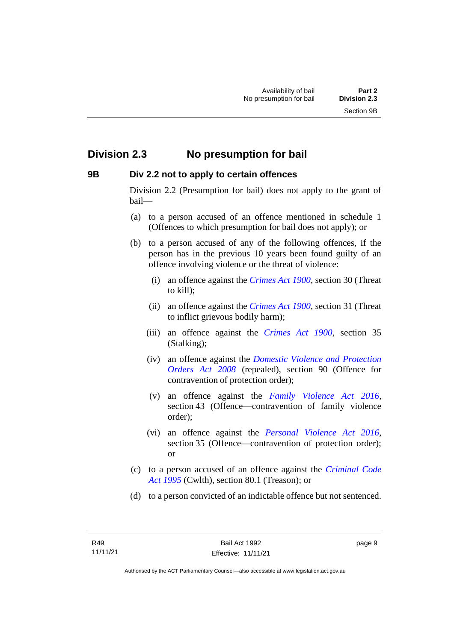# <span id="page-16-0"></span>**Division 2.3 No presumption for bail**

#### <span id="page-16-1"></span>**9B Div 2.2 not to apply to certain offences**

Division 2.2 (Presumption for bail) does not apply to the grant of bail—

- (a) to a person accused of an offence mentioned in schedule 1 (Offences to which presumption for bail does not apply); or
- (b) to a person accused of any of the following offences, if the person has in the previous 10 years been found guilty of an offence involving violence or the threat of violence:
	- (i) an offence against the *[Crimes Act 1900](http://www.legislation.act.gov.au/a/1900-40)*, section 30 (Threat to kill);
	- (ii) an offence against the *[Crimes Act 1900](http://www.legislation.act.gov.au/a/1900-40)*, section 31 (Threat to inflict grievous bodily harm);
	- (iii) an offence against the *[Crimes Act 1900](http://www.legislation.act.gov.au/a/1900-40)*, section 35 (Stalking);
	- (iv) an offence against the *[Domestic Violence and Protection](http://www.legislation.act.gov.au/a/2008-46)  [Orders Act 2008](http://www.legislation.act.gov.au/a/2008-46)* (repealed), section 90 (Offence for contravention of protection order);
	- (v) an offence against the *[Family Violence Act 2016](http://www.legislation.act.gov.au/a/2016-42)*, section 43 (Offence—contravention of family violence order);
	- (vi) an offence against the *[Personal Violence Act 2016](http://www.legislation.act.gov.au/a/2016-43)*, section 35 (Offence—contravention of protection order); or
- (c) to a person accused of an offence against the *[Criminal Code](http://www.comlaw.gov.au/Details/C2013C00138)  Act [1995](http://www.comlaw.gov.au/Details/C2013C00138)* (Cwlth), section 80.1 (Treason); or
- (d) to a person convicted of an indictable offence but not sentenced.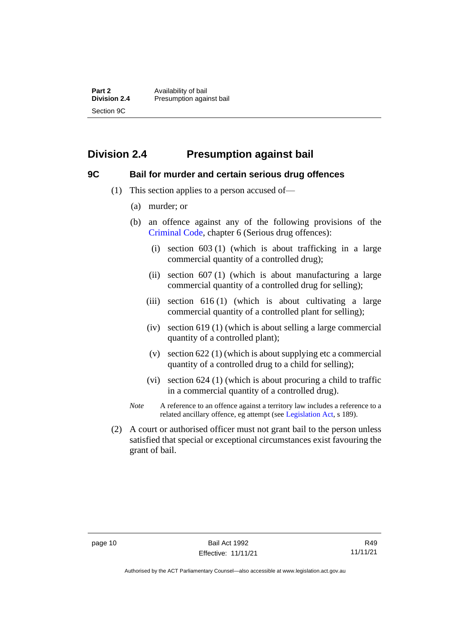**Part 2** Availability of bail<br> **Division 2.4** Presumption again **Division 2.4** Presumption against bail Section 9C

# <span id="page-17-0"></span>**Division 2.4 Presumption against bail**

#### <span id="page-17-1"></span>**9C Bail for murder and certain serious drug offences**

- (1) This section applies to a person accused of—
	- (a) murder; or
	- (b) an offence against any of the following provisions of the [Criminal Code,](http://www.legislation.act.gov.au/a/2002-51) chapter 6 (Serious drug offences):
		- (i) section 603 (1) (which is about trafficking in a large commercial quantity of a controlled drug);
		- (ii) section 607 (1) (which is about manufacturing a large commercial quantity of a controlled drug for selling);
		- (iii) section 616 (1) (which is about cultivating a large commercial quantity of a controlled plant for selling);
		- (iv) section 619 (1) (which is about selling a large commercial quantity of a controlled plant);
		- (v) section 622 (1) (which is about supplying etc a commercial quantity of a controlled drug to a child for selling);
		- (vi) section 624 (1) (which is about procuring a child to traffic in a commercial quantity of a controlled drug).
	- *Note* A reference to an offence against a territory law includes a reference to a related ancillary offence, eg attempt (see [Legislation Act,](http://www.legislation.act.gov.au/a/2001-14) s 189).
- (2) A court or authorised officer must not grant bail to the person unless satisfied that special or exceptional circumstances exist favouring the grant of bail.

Authorised by the ACT Parliamentary Counsel—also accessible at www.legislation.act.gov.au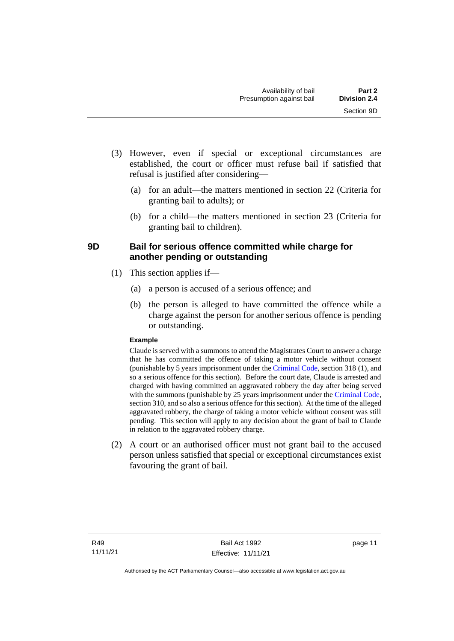- (3) However, even if special or exceptional circumstances are established, the court or officer must refuse bail if satisfied that refusal is justified after considering—
	- (a) for an adult—the matters mentioned in section 22 (Criteria for granting bail to adults); or
	- (b) for a child—the matters mentioned in section 23 (Criteria for granting bail to children).

# <span id="page-18-0"></span>**9D Bail for serious offence committed while charge for another pending or outstanding**

- (1) This section applies if—
	- (a) a person is accused of a serious offence; and
	- (b) the person is alleged to have committed the offence while a charge against the person for another serious offence is pending or outstanding.

#### **Example**

Claude is served with a summons to attend the Magistrates Court to answer a charge that he has committed the offence of taking a motor vehicle without consent (punishable by 5 years imprisonment under the [Criminal Code,](http://www.legislation.act.gov.au/a/2002-51) section 318 (1), and so a serious offence for this section). Before the court date, Claude is arrested and charged with having committed an aggravated robbery the day after being served with the summons (punishable by 25 years imprisonment under the [Criminal Code,](http://www.legislation.act.gov.au/a/2002-51) section 310, and so also a serious offence for this section). At the time of the alleged aggravated robbery, the charge of taking a motor vehicle without consent was still pending. This section will apply to any decision about the grant of bail to Claude in relation to the aggravated robbery charge.

(2) A court or an authorised officer must not grant bail to the accused person unless satisfied that special or exceptional circumstances exist favouring the grant of bail.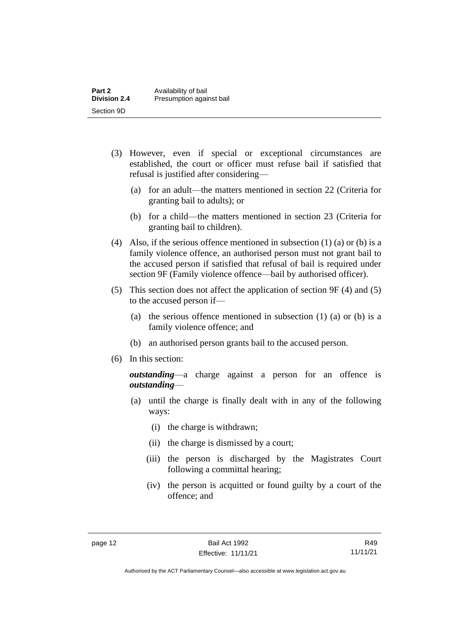| Part 2              | Availability of bail     |
|---------------------|--------------------------|
| <b>Division 2.4</b> | Presumption against bail |
| Section 9D          |                          |

- (3) However, even if special or exceptional circumstances are established, the court or officer must refuse bail if satisfied that refusal is justified after considering—
	- (a) for an adult—the matters mentioned in section 22 (Criteria for granting bail to adults); or
	- (b) for a child—the matters mentioned in section 23 (Criteria for granting bail to children).
- (4) Also, if the serious offence mentioned in subsection (1) (a) or (b) is a family violence offence, an authorised person must not grant bail to the accused person if satisfied that refusal of bail is required under section 9F (Family violence offence—bail by authorised officer).
- (5) This section does not affect the application of section 9F (4) and (5) to the accused person if—
	- (a) the serious offence mentioned in subsection (1) (a) or (b) is a family violence offence; and
	- (b) an authorised person grants bail to the accused person.
- (6) In this section:

*outstanding*—a charge against a person for an offence is *outstanding*—

- (a) until the charge is finally dealt with in any of the following ways:
	- (i) the charge is withdrawn;
	- (ii) the charge is dismissed by a court;
	- (iii) the person is discharged by the Magistrates Court following a committal hearing;
	- (iv) the person is acquitted or found guilty by a court of the offence; and

R49 11/11/21

Authorised by the ACT Parliamentary Counsel—also accessible at www.legislation.act.gov.au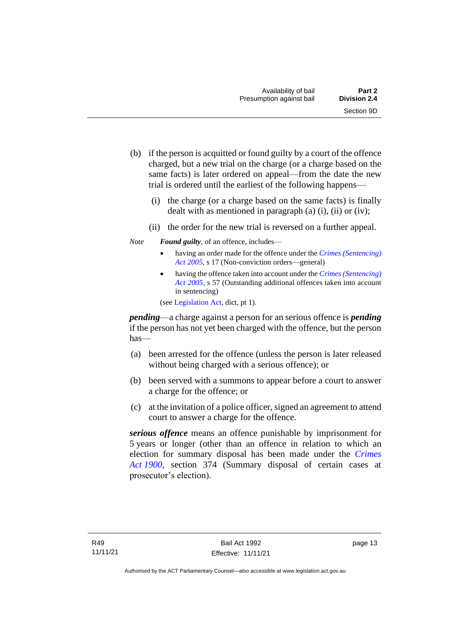- (b) if the person is acquitted or found guilty by a court of the offence charged, but a new trial on the charge (or a charge based on the same facts) is later ordered on appeal—from the date the new trial is ordered until the earliest of the following happens—
	- (i) the charge (or a charge based on the same facts) is finally dealt with as mentioned in paragraph  $(a)$   $(i)$ ,  $(ii)$  or  $(iv)$ ;
	- (ii) the order for the new trial is reversed on a further appeal.
- *Note Found guilty*, of an offence, includes—
	- having an order made for the offence under the *[Crimes \(Sentencing\)](http://www.legislation.act.gov.au/a/2005-58)  [Act 2005](http://www.legislation.act.gov.au/a/2005-58)*, s 17 (Non-conviction orders—general)
	- having the offence taken into account under the *[Crimes \(Sentencing\)](http://www.legislation.act.gov.au/a/2005-58)  [Act 2005](http://www.legislation.act.gov.au/a/2005-58)*, s 57 (Outstanding additional offences taken into account in sentencing)

(se[e Legislation Act,](http://www.legislation.act.gov.au/a/2001-14) dict, pt 1).

*pending*—a charge against a person for an serious offence is *pending*  if the person has not yet been charged with the offence, but the person has—

- (a) been arrested for the offence (unless the person is later released without being charged with a serious offence); or
- (b) been served with a summons to appear before a court to answer a charge for the offence; or
- (c) at the invitation of a police officer, signed an agreement to attend court to answer a charge for the offence.

*serious offence* means an offence punishable by imprisonment for 5 years or longer (other than an offence in relation to which an election for summary disposal has been made under the *[Crimes](http://www.legislation.act.gov.au/a/1900-40)  Act [1900](http://www.legislation.act.gov.au/a/1900-40)*, section 374 (Summary disposal of certain cases at prosecutor's election).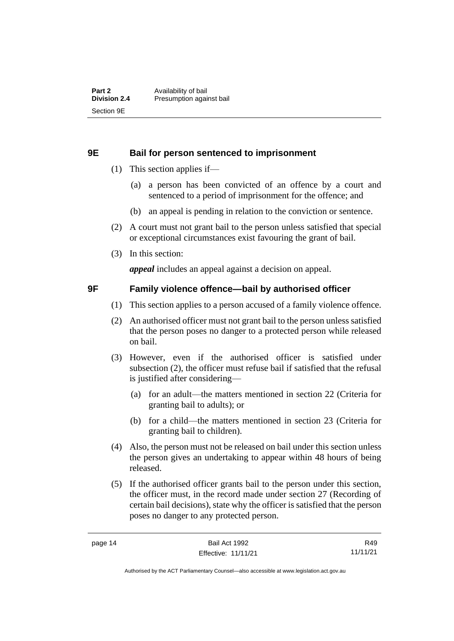#### <span id="page-21-0"></span>**9E Bail for person sentenced to imprisonment**

- (1) This section applies if—
	- (a) a person has been convicted of an offence by a court and sentenced to a period of imprisonment for the offence; and
	- (b) an appeal is pending in relation to the conviction or sentence.
- (2) A court must not grant bail to the person unless satisfied that special or exceptional circumstances exist favouring the grant of bail.
- (3) In this section:

*appeal* includes an appeal against a decision on appeal.

#### <span id="page-21-1"></span>**9F Family violence offence—bail by authorised officer**

- (1) This section applies to a person accused of a family violence offence.
- (2) An authorised officer must not grant bail to the person unless satisfied that the person poses no danger to a protected person while released on bail.
- (3) However, even if the authorised officer is satisfied under subsection (2), the officer must refuse bail if satisfied that the refusal is justified after considering—
	- (a) for an adult—the matters mentioned in section 22 (Criteria for granting bail to adults); or
	- (b) for a child—the matters mentioned in section 23 (Criteria for granting bail to children).
- (4) Also, the person must not be released on bail under this section unless the person gives an undertaking to appear within 48 hours of being released.
- (5) If the authorised officer grants bail to the person under this section, the officer must, in the record made under section 27 (Recording of certain bail decisions), state why the officer is satisfied that the person poses no danger to any protected person.

R49 11/11/21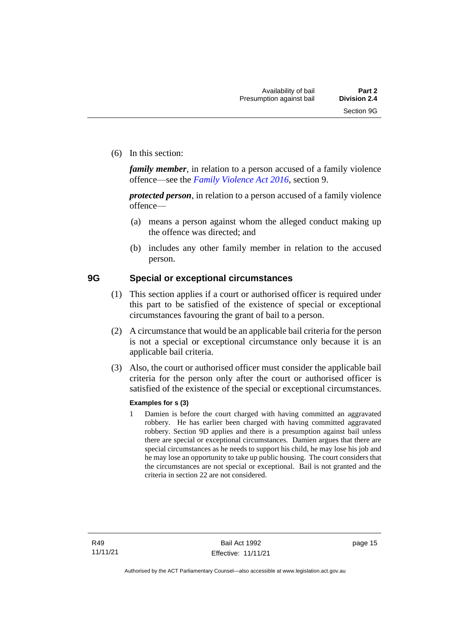(6) In this section:

*family member*, in relation to a person accused of a family violence offence—see the *[Family Violence Act 2016](http://www.legislation.act.gov.au/a/2016-42)*, section 9.

*protected person*, in relation to a person accused of a family violence offence—

- (a) means a person against whom the alleged conduct making up the offence was directed; and
- (b) includes any other family member in relation to the accused person.

#### <span id="page-22-0"></span>**9G Special or exceptional circumstances**

- (1) This section applies if a court or authorised officer is required under this part to be satisfied of the existence of special or exceptional circumstances favouring the grant of bail to a person.
- (2) A circumstance that would be an applicable bail criteria for the person is not a special or exceptional circumstance only because it is an applicable bail criteria.
- (3) Also, the court or authorised officer must consider the applicable bail criteria for the person only after the court or authorised officer is satisfied of the existence of the special or exceptional circumstances.

#### **Examples for s (3)**

1 Damien is before the court charged with having committed an aggravated robbery. He has earlier been charged with having committed aggravated robbery. Section 9D applies and there is a presumption against bail unless there are special or exceptional circumstances. Damien argues that there are special circumstances as he needs to support his child, he may lose his job and he may lose an opportunity to take up public housing. The court considers that the circumstances are not special or exceptional. Bail is not granted and the criteria in section 22 are not considered.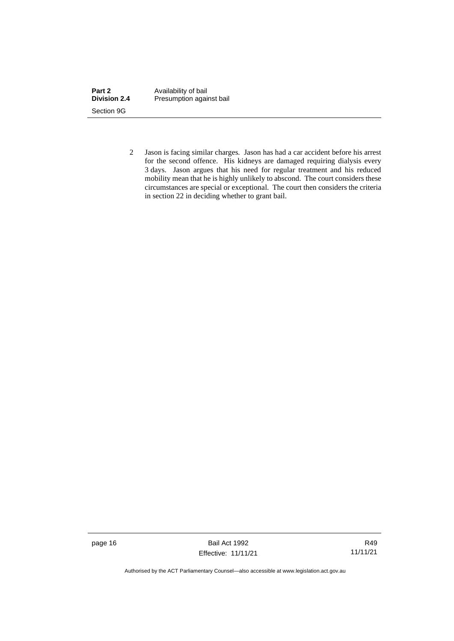| Part 2              | Availability of bail     |
|---------------------|--------------------------|
| <b>Division 2.4</b> | Presumption against bail |
| Section 9G          |                          |

2 Jason is facing similar charges. Jason has had a car accident before his arrest for the second offence. His kidneys are damaged requiring dialysis every 3 days. Jason argues that his need for regular treatment and his reduced mobility mean that he is highly unlikely to abscond. The court considers these circumstances are special or exceptional. The court then considers the criteria in section 22 in deciding whether to grant bail.

page 16 Bail Act 1992 Effective: 11/11/21

R49 11/11/21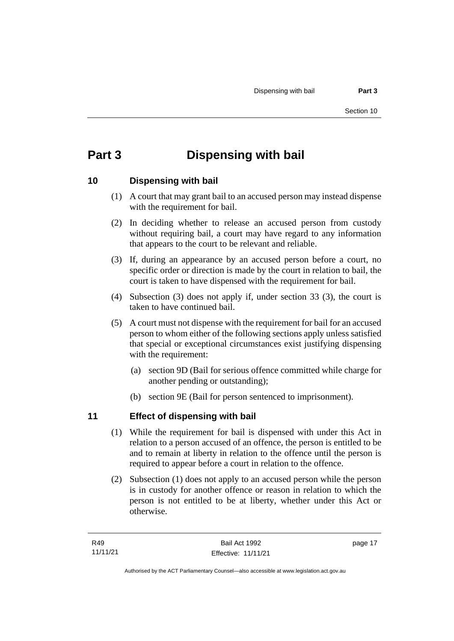# <span id="page-24-0"></span>**Part 3 Dispensing with bail**

## <span id="page-24-1"></span>**10 Dispensing with bail**

- (1) A court that may grant bail to an accused person may instead dispense with the requirement for bail.
- (2) In deciding whether to release an accused person from custody without requiring bail, a court may have regard to any information that appears to the court to be relevant and reliable.
- (3) If, during an appearance by an accused person before a court, no specific order or direction is made by the court in relation to bail, the court is taken to have dispensed with the requirement for bail.
- (4) Subsection (3) does not apply if, under section 33 (3), the court is taken to have continued bail.
- (5) A court must not dispense with the requirement for bail for an accused person to whom either of the following sections apply unless satisfied that special or exceptional circumstances exist justifying dispensing with the requirement:
	- (a) section 9D (Bail for serious offence committed while charge for another pending or outstanding);
	- (b) section 9E (Bail for person sentenced to imprisonment).

# <span id="page-24-2"></span>**11 Effect of dispensing with bail**

- (1) While the requirement for bail is dispensed with under this Act in relation to a person accused of an offence, the person is entitled to be and to remain at liberty in relation to the offence until the person is required to appear before a court in relation to the offence.
- (2) Subsection (1) does not apply to an accused person while the person is in custody for another offence or reason in relation to which the person is not entitled to be at liberty, whether under this Act or otherwise.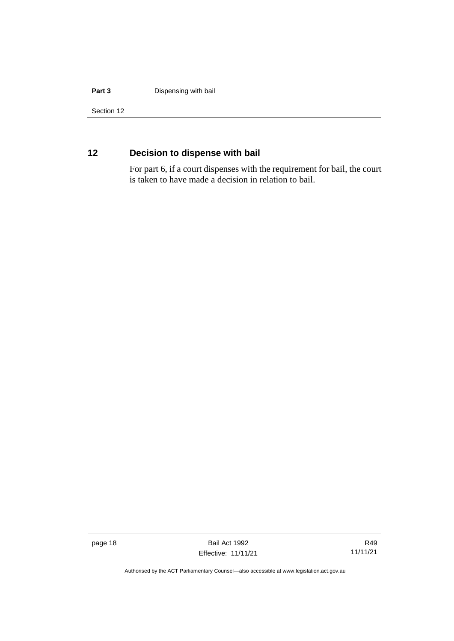#### **Part 3 Dispensing with bail**

Section 12

# <span id="page-25-0"></span>**12 Decision to dispense with bail**

For part 6, if a court dispenses with the requirement for bail, the court is taken to have made a decision in relation to bail.

page 18 Bail Act 1992 Effective: 11/11/21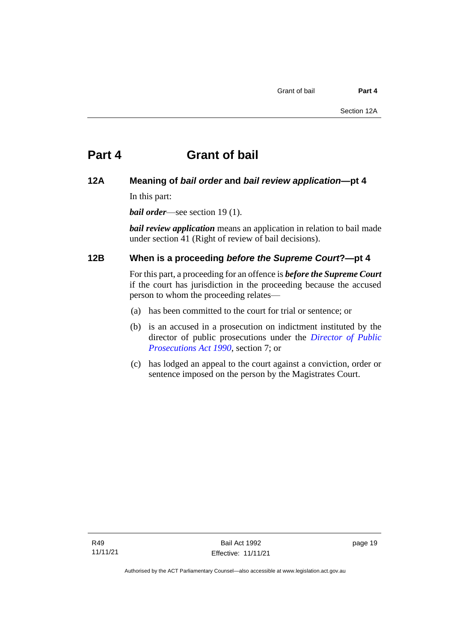### <span id="page-26-1"></span><span id="page-26-0"></span>**12A Meaning of** *bail order* **and** *bail review application***—pt 4**

In this part:

*bail order*—see section 19 (1).

*bail review application* means an application in relation to bail made under section 41 (Right of review of bail decisions).

## <span id="page-26-2"></span>**12B When is a proceeding** *before the Supreme Court***?—pt 4**

For this part, a proceeding for an offence is *before the Supreme Court* if the court has jurisdiction in the proceeding because the accused person to whom the proceeding relates—

- (a) has been committed to the court for trial or sentence; or
- (b) is an accused in a prosecution on indictment instituted by the director of public prosecutions under the *[Director of Public](http://www.legislation.act.gov.au/a/1990-22)  [Prosecutions Act 1990](http://www.legislation.act.gov.au/a/1990-22)*, section 7; or
- (c) has lodged an appeal to the court against a conviction, order or sentence imposed on the person by the Magistrates Court.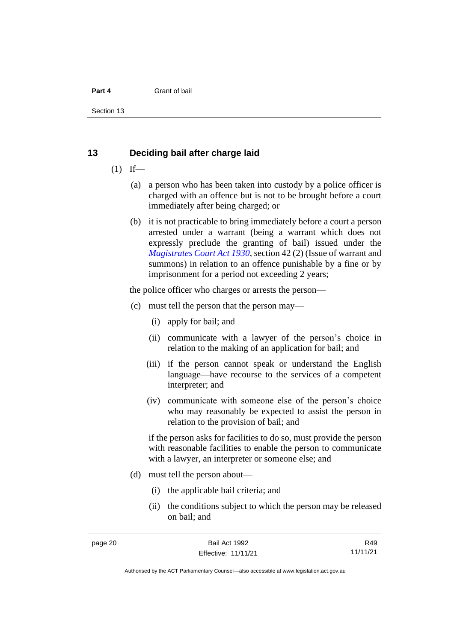Section 13

#### <span id="page-27-0"></span>**13 Deciding bail after charge laid**

- $(1)$  If—
	- (a) a person who has been taken into custody by a police officer is charged with an offence but is not to be brought before a court immediately after being charged; or
	- (b) it is not practicable to bring immediately before a court a person arrested under a warrant (being a warrant which does not expressly preclude the granting of bail) issued under the *[Magistrates Court Act 1930](http://www.legislation.act.gov.au/a/1930-21)*, section 42 (2) (Issue of warrant and summons) in relation to an offence punishable by a fine or by imprisonment for a period not exceeding 2 years;

the police officer who charges or arrests the person—

- (c) must tell the person that the person may—
	- (i) apply for bail; and
	- (ii) communicate with a lawyer of the person's choice in relation to the making of an application for bail; and
	- (iii) if the person cannot speak or understand the English language—have recourse to the services of a competent interpreter; and
	- (iv) communicate with someone else of the person's choice who may reasonably be expected to assist the person in relation to the provision of bail; and

if the person asks for facilities to do so, must provide the person with reasonable facilities to enable the person to communicate with a lawyer, an interpreter or someone else; and

- (d) must tell the person about—
	- (i) the applicable bail criteria; and
	- (ii) the conditions subject to which the person may be released on bail; and

R49 11/11/21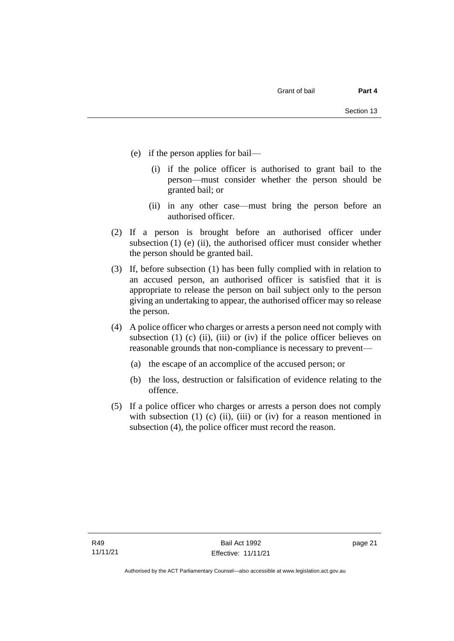- (e) if the person applies for bail—
	- (i) if the police officer is authorised to grant bail to the person—must consider whether the person should be granted bail; or
	- (ii) in any other case—must bring the person before an authorised officer.
- (2) If a person is brought before an authorised officer under subsection  $(1)$  (e)  $(ii)$ , the authorised officer must consider whether the person should be granted bail.
- (3) If, before subsection (1) has been fully complied with in relation to an accused person, an authorised officer is satisfied that it is appropriate to release the person on bail subject only to the person giving an undertaking to appear, the authorised officer may so release the person.
- (4) A police officer who charges or arrests a person need not comply with subsection (1) (c) (ii), (iii) or (iv) if the police officer believes on reasonable grounds that non-compliance is necessary to prevent—
	- (a) the escape of an accomplice of the accused person; or
	- (b) the loss, destruction or falsification of evidence relating to the offence.
- (5) If a police officer who charges or arrests a person does not comply with subsection  $(1)$   $(c)$   $(ii)$ ,  $(iii)$  or  $(iv)$  for a reason mentioned in subsection (4), the police officer must record the reason.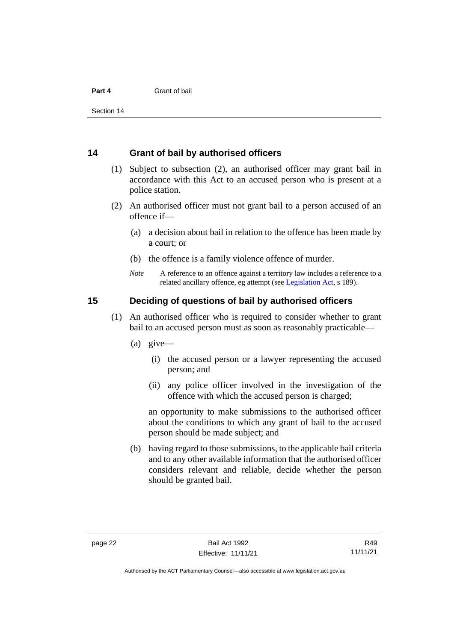Section 14

#### <span id="page-29-0"></span>**14 Grant of bail by authorised officers**

- (1) Subject to subsection (2), an authorised officer may grant bail in accordance with this Act to an accused person who is present at a police station.
- (2) An authorised officer must not grant bail to a person accused of an offence if—
	- (a) a decision about bail in relation to the offence has been made by a court; or
	- (b) the offence is a family violence offence of murder.
	- *Note* A reference to an offence against a territory law includes a reference to a related ancillary offence, eg attempt (see [Legislation Act,](http://www.legislation.act.gov.au/a/2001-14) s 189).

#### <span id="page-29-1"></span>**15 Deciding of questions of bail by authorised officers**

- (1) An authorised officer who is required to consider whether to grant bail to an accused person must as soon as reasonably practicable—
	- (a) give—
		- (i) the accused person or a lawyer representing the accused person; and
		- (ii) any police officer involved in the investigation of the offence with which the accused person is charged;

an opportunity to make submissions to the authorised officer about the conditions to which any grant of bail to the accused person should be made subject; and

(b) having regard to those submissions, to the applicable bail criteria and to any other available information that the authorised officer considers relevant and reliable, decide whether the person should be granted bail.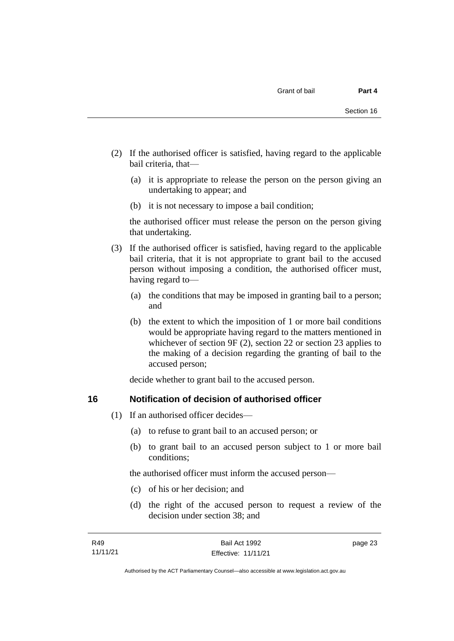- (2) If the authorised officer is satisfied, having regard to the applicable bail criteria, that—
	- (a) it is appropriate to release the person on the person giving an undertaking to appear; and
	- (b) it is not necessary to impose a bail condition;

the authorised officer must release the person on the person giving that undertaking.

- (3) If the authorised officer is satisfied, having regard to the applicable bail criteria, that it is not appropriate to grant bail to the accused person without imposing a condition, the authorised officer must, having regard to—
	- (a) the conditions that may be imposed in granting bail to a person; and
	- (b) the extent to which the imposition of 1 or more bail conditions would be appropriate having regard to the matters mentioned in whichever of section 9F (2), section 22 or section 23 applies to the making of a decision regarding the granting of bail to the accused person;

decide whether to grant bail to the accused person.

#### <span id="page-30-0"></span>**16 Notification of decision of authorised officer**

- (1) If an authorised officer decides—
	- (a) to refuse to grant bail to an accused person; or
	- (b) to grant bail to an accused person subject to 1 or more bail conditions;

the authorised officer must inform the accused person—

- (c) of his or her decision; and
- (d) the right of the accused person to request a review of the decision under section 38; and

page 23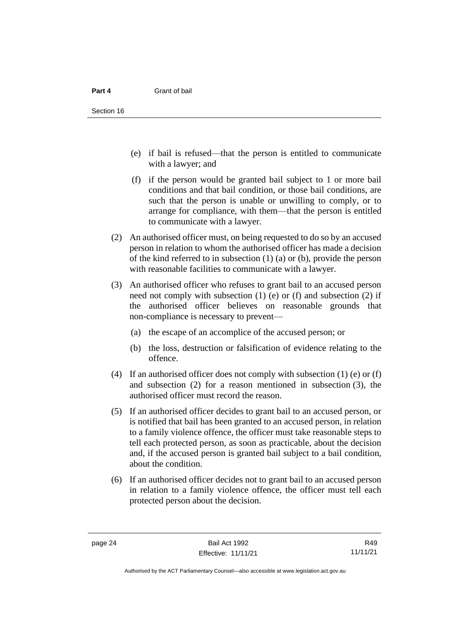- (e) if bail is refused—that the person is entitled to communicate with a lawyer; and
- (f) if the person would be granted bail subject to 1 or more bail conditions and that bail condition, or those bail conditions, are such that the person is unable or unwilling to comply, or to arrange for compliance, with them—that the person is entitled to communicate with a lawyer.
- (2) An authorised officer must, on being requested to do so by an accused person in relation to whom the authorised officer has made a decision of the kind referred to in subsection (1) (a) or (b), provide the person with reasonable facilities to communicate with a lawyer.
- (3) An authorised officer who refuses to grant bail to an accused person need not comply with subsection (1) (e) or (f) and subsection (2) if the authorised officer believes on reasonable grounds that non-compliance is necessary to prevent—
	- (a) the escape of an accomplice of the accused person; or
	- (b) the loss, destruction or falsification of evidence relating to the offence.
- (4) If an authorised officer does not comply with subsection (1) (e) or (f) and subsection (2) for a reason mentioned in subsection (3), the authorised officer must record the reason.
- (5) If an authorised officer decides to grant bail to an accused person, or is notified that bail has been granted to an accused person, in relation to a family violence offence, the officer must take reasonable steps to tell each protected person, as soon as practicable, about the decision and, if the accused person is granted bail subject to a bail condition, about the condition.
- (6) If an authorised officer decides not to grant bail to an accused person in relation to a family violence offence, the officer must tell each protected person about the decision.

R49 11/11/21

Authorised by the ACT Parliamentary Counsel—also accessible at www.legislation.act.gov.au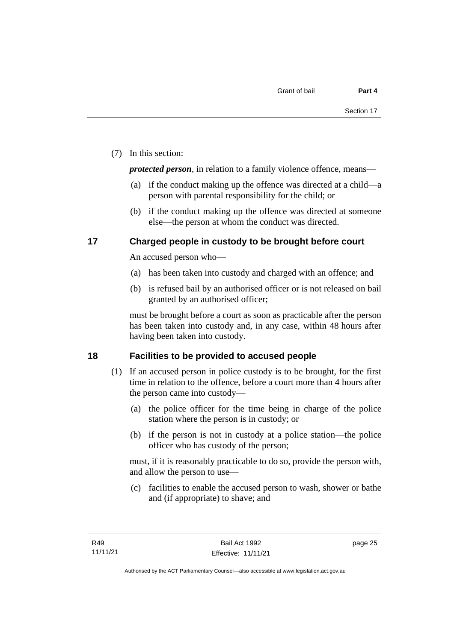(7) In this section:

*protected person*, in relation to a family violence offence, means—

- (a) if the conduct making up the offence was directed at a child—a person with parental responsibility for the child; or
- (b) if the conduct making up the offence was directed at someone else—the person at whom the conduct was directed.

### <span id="page-32-0"></span>**17 Charged people in custody to be brought before court**

An accused person who—

- (a) has been taken into custody and charged with an offence; and
- (b) is refused bail by an authorised officer or is not released on bail granted by an authorised officer;

must be brought before a court as soon as practicable after the person has been taken into custody and, in any case, within 48 hours after having been taken into custody.

## <span id="page-32-1"></span>**18 Facilities to be provided to accused people**

- (1) If an accused person in police custody is to be brought, for the first time in relation to the offence, before a court more than 4 hours after the person came into custody—
	- (a) the police officer for the time being in charge of the police station where the person is in custody; or
	- (b) if the person is not in custody at a police station—the police officer who has custody of the person;

must, if it is reasonably practicable to do so, provide the person with, and allow the person to use—

(c) facilities to enable the accused person to wash, shower or bathe and (if appropriate) to shave; and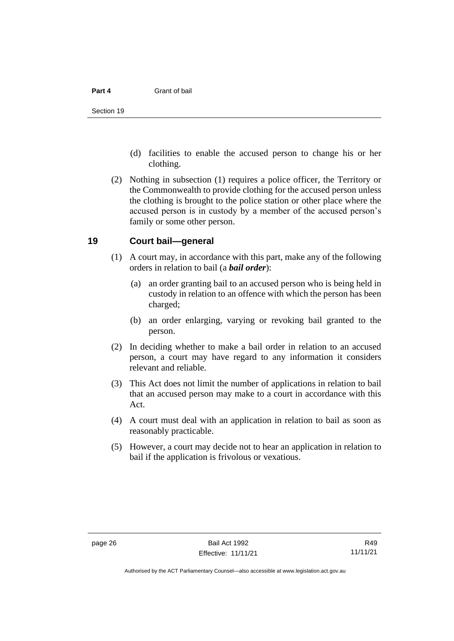- (d) facilities to enable the accused person to change his or her clothing.
- (2) Nothing in subsection (1) requires a police officer, the Territory or the Commonwealth to provide clothing for the accused person unless the clothing is brought to the police station or other place where the accused person is in custody by a member of the accused person's family or some other person.

#### <span id="page-33-0"></span>**19 Court bail—general**

- (1) A court may, in accordance with this part, make any of the following orders in relation to bail (a *bail order*):
	- (a) an order granting bail to an accused person who is being held in custody in relation to an offence with which the person has been charged;
	- (b) an order enlarging, varying or revoking bail granted to the person.
- (2) In deciding whether to make a bail order in relation to an accused person, a court may have regard to any information it considers relevant and reliable.
- (3) This Act does not limit the number of applications in relation to bail that an accused person may make to a court in accordance with this Act.
- (4) A court must deal with an application in relation to bail as soon as reasonably practicable.
- (5) However, a court may decide not to hear an application in relation to bail if the application is frivolous or vexatious.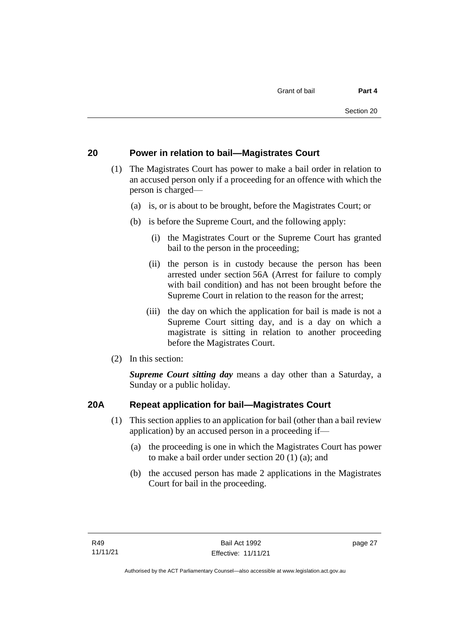## <span id="page-34-0"></span>**20 Power in relation to bail—Magistrates Court**

- (1) The Magistrates Court has power to make a bail order in relation to an accused person only if a proceeding for an offence with which the person is charged—
	- (a) is, or is about to be brought, before the Magistrates Court; or
	- (b) is before the Supreme Court, and the following apply:
		- (i) the Magistrates Court or the Supreme Court has granted bail to the person in the proceeding;
		- (ii) the person is in custody because the person has been arrested under section 56A (Arrest for failure to comply with bail condition) and has not been brought before the Supreme Court in relation to the reason for the arrest;
		- (iii) the day on which the application for bail is made is not a Supreme Court sitting day, and is a day on which a magistrate is sitting in relation to another proceeding before the Magistrates Court.
- (2) In this section:

*Supreme Court sitting day* means a day other than a Saturday, a Sunday or a public holiday.

## <span id="page-34-1"></span>**20A Repeat application for bail—Magistrates Court**

- (1) This section applies to an application for bail (other than a bail review application) by an accused person in a proceeding if—
	- (a) the proceeding is one in which the Magistrates Court has power to make a bail order under section 20 (1) (a); and
	- (b) the accused person has made 2 applications in the Magistrates Court for bail in the proceeding.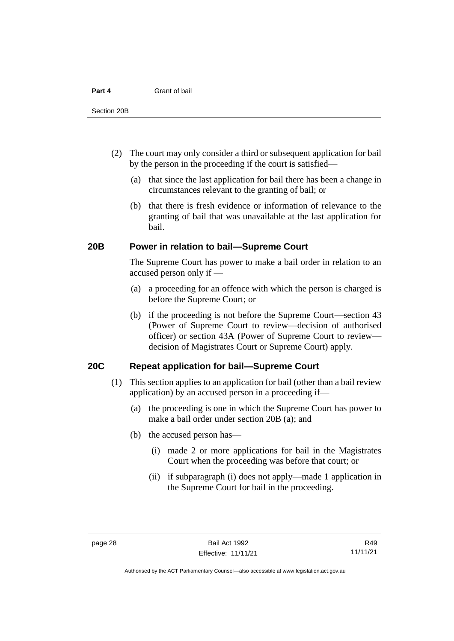- (2) The court may only consider a third or subsequent application for bail by the person in the proceeding if the court is satisfied—
	- (a) that since the last application for bail there has been a change in circumstances relevant to the granting of bail; or
	- (b) that there is fresh evidence or information of relevance to the granting of bail that was unavailable at the last application for bail.

#### <span id="page-35-0"></span>**20B Power in relation to bail—Supreme Court**

The Supreme Court has power to make a bail order in relation to an accused person only if —

- (a) a proceeding for an offence with which the person is charged is before the Supreme Court; or
- (b) if the proceeding is not before the Supreme Court—section 43 (Power of Supreme Court to review—decision of authorised officer) or section 43A (Power of Supreme Court to review decision of Magistrates Court or Supreme Court) apply.

#### <span id="page-35-1"></span>**20C Repeat application for bail—Supreme Court**

- (1) This section applies to an application for bail (other than a bail review application) by an accused person in a proceeding if—
	- (a) the proceeding is one in which the Supreme Court has power to make a bail order under section 20B (a); and
	- (b) the accused person has—
		- (i) made 2 or more applications for bail in the Magistrates Court when the proceeding was before that court; or
		- (ii) if subparagraph (i) does not apply—made 1 application in the Supreme Court for bail in the proceeding.

R49 11/11/21

Authorised by the ACT Parliamentary Counsel—also accessible at www.legislation.act.gov.au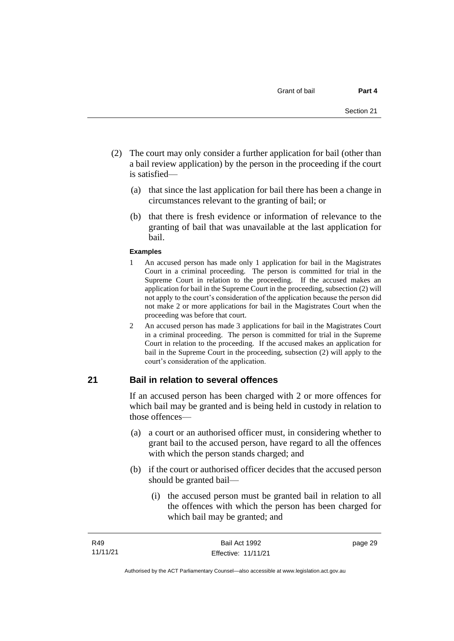- (2) The court may only consider a further application for bail (other than a bail review application) by the person in the proceeding if the court is satisfied—
	- (a) that since the last application for bail there has been a change in circumstances relevant to the granting of bail; or
	- (b) that there is fresh evidence or information of relevance to the granting of bail that was unavailable at the last application for bail.

#### **Examples**

- 1 An accused person has made only 1 application for bail in the Magistrates Court in a criminal proceeding. The person is committed for trial in the Supreme Court in relation to the proceeding. If the accused makes an application for bail in the Supreme Court in the proceeding, subsection (2) will not apply to the court's consideration of the application because the person did not make 2 or more applications for bail in the Magistrates Court when the proceeding was before that court.
- 2 An accused person has made 3 applications for bail in the Magistrates Court in a criminal proceeding. The person is committed for trial in the Supreme Court in relation to the proceeding. If the accused makes an application for bail in the Supreme Court in the proceeding, subsection (2) will apply to the court's consideration of the application.

## **21 Bail in relation to several offences**

If an accused person has been charged with 2 or more offences for which bail may be granted and is being held in custody in relation to those offences—

- (a) a court or an authorised officer must, in considering whether to grant bail to the accused person, have regard to all the offences with which the person stands charged; and
- (b) if the court or authorised officer decides that the accused person should be granted bail—
	- (i) the accused person must be granted bail in relation to all the offences with which the person has been charged for which bail may be granted; and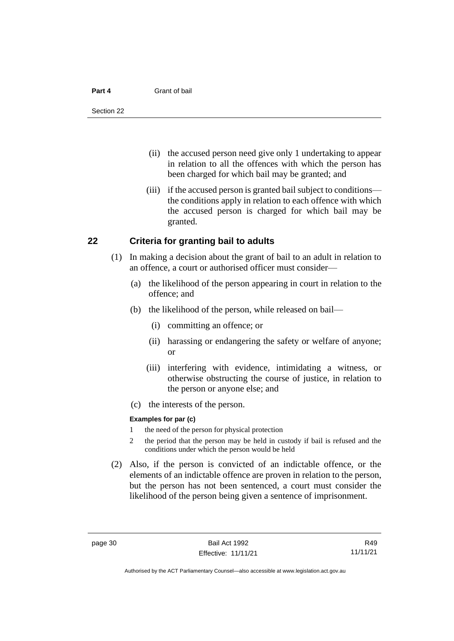#### **Part 4** Grant of bail

- (ii) the accused person need give only 1 undertaking to appear in relation to all the offences with which the person has been charged for which bail may be granted; and
- (iii) if the accused person is granted bail subject to conditions the conditions apply in relation to each offence with which the accused person is charged for which bail may be granted.

### **22 Criteria for granting bail to adults**

- (1) In making a decision about the grant of bail to an adult in relation to an offence, a court or authorised officer must consider—
	- (a) the likelihood of the person appearing in court in relation to the offence; and
	- (b) the likelihood of the person, while released on bail—
		- (i) committing an offence; or
		- (ii) harassing or endangering the safety or welfare of anyone; or
		- (iii) interfering with evidence, intimidating a witness, or otherwise obstructing the course of justice, in relation to the person or anyone else; and
	- (c) the interests of the person.

#### **Examples for par (c)**

- 1 the need of the person for physical protection
- 2 the period that the person may be held in custody if bail is refused and the conditions under which the person would be held
- (2) Also, if the person is convicted of an indictable offence, or the elements of an indictable offence are proven in relation to the person, but the person has not been sentenced, a court must consider the likelihood of the person being given a sentence of imprisonment.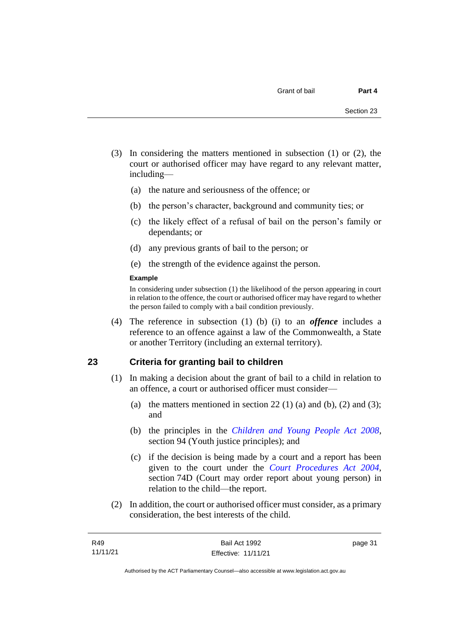- (3) In considering the matters mentioned in subsection (1) or (2), the court or authorised officer may have regard to any relevant matter, including—
	- (a) the nature and seriousness of the offence; or
	- (b) the person's character, background and community ties; or
	- (c) the likely effect of a refusal of bail on the person's family or dependants; or
	- (d) any previous grants of bail to the person; or
	- (e) the strength of the evidence against the person.

#### **Example**

In considering under subsection (1) the likelihood of the person appearing in court in relation to the offence, the court or authorised officer may have regard to whether the person failed to comply with a bail condition previously.

(4) The reference in subsection (1) (b) (i) to an *offence* includes a reference to an offence against a law of the Commonwealth, a State or another Territory (including an external territory).

### **23 Criteria for granting bail to children**

- (1) In making a decision about the grant of bail to a child in relation to an offence, a court or authorised officer must consider—
	- (a) the matters mentioned in section 22 (1) (a) and (b), (2) and (3); and
	- (b) the principles in the *[Children and Young People Act 2008](http://www.legislation.act.gov.au/a/2008-19)*, section 94 (Youth justice principles); and
	- (c) if the decision is being made by a court and a report has been given to the court under the *[Court Procedures Act 2004](http://www.legislation.act.gov.au/a/2004-59)*, section 74D (Court may order report about young person) in relation to the child—the report.
- (2) In addition, the court or authorised officer must consider, as a primary consideration, the best interests of the child.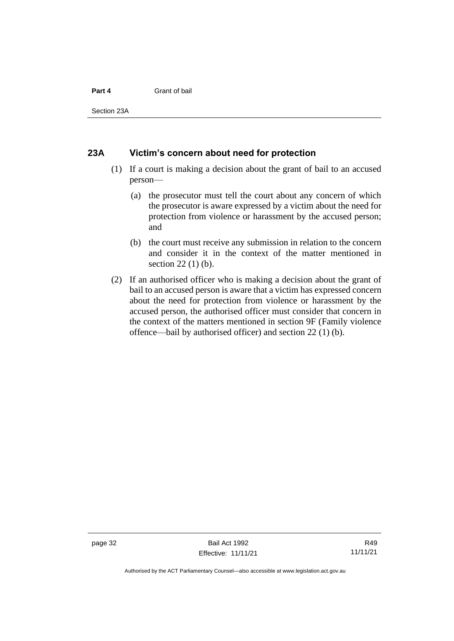#### **Part 4** Grant of bail

Section 23A

### **23A Victim's concern about need for protection**

- (1) If a court is making a decision about the grant of bail to an accused person—
	- (a) the prosecutor must tell the court about any concern of which the prosecutor is aware expressed by a victim about the need for protection from violence or harassment by the accused person; and
	- (b) the court must receive any submission in relation to the concern and consider it in the context of the matter mentioned in section 22 (1) (b).
- (2) If an authorised officer who is making a decision about the grant of bail to an accused person is aware that a victim has expressed concern about the need for protection from violence or harassment by the accused person, the authorised officer must consider that concern in the context of the matters mentioned in section 9F (Family violence offence—bail by authorised officer) and section 22 (1) (b).

page 32 Bail Act 1992 Effective: 11/11/21

Authorised by the ACT Parliamentary Counsel—also accessible at www.legislation.act.gov.au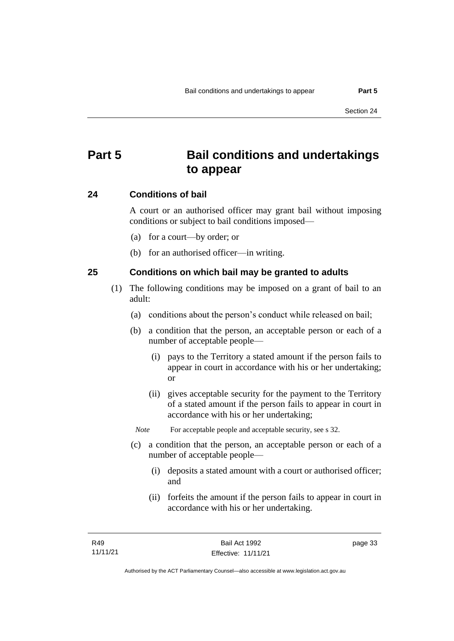# **Part 5 Bail conditions and undertakings to appear**

### **24 Conditions of bail**

A court or an authorised officer may grant bail without imposing conditions or subject to bail conditions imposed—

- (a) for a court—by order; or
- (b) for an authorised officer—in writing.

### **25 Conditions on which bail may be granted to adults**

- (1) The following conditions may be imposed on a grant of bail to an adult:
	- (a) conditions about the person's conduct while released on bail;
	- (b) a condition that the person, an acceptable person or each of a number of acceptable people—
		- (i) pays to the Territory a stated amount if the person fails to appear in court in accordance with his or her undertaking; or
		- (ii) gives acceptable security for the payment to the Territory of a stated amount if the person fails to appear in court in accordance with his or her undertaking;

*Note* For acceptable people and acceptable security, see s 32.

- (c) a condition that the person, an acceptable person or each of a number of acceptable people—
	- (i) deposits a stated amount with a court or authorised officer; and
	- (ii) forfeits the amount if the person fails to appear in court in accordance with his or her undertaking.

page 33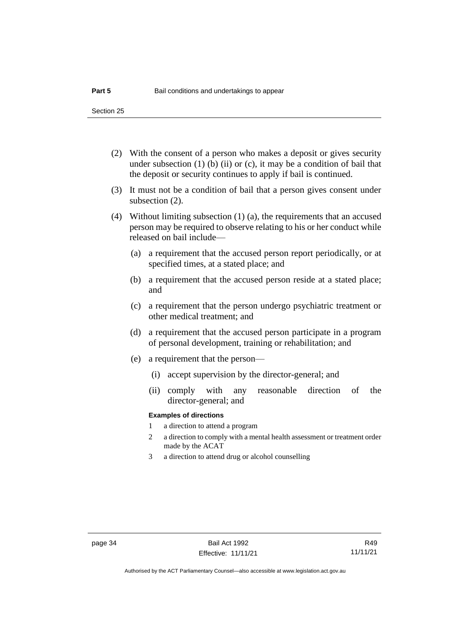- (2) With the consent of a person who makes a deposit or gives security under subsection  $(1)$  (b)  $(ii)$  or  $(c)$ , it may be a condition of bail that the deposit or security continues to apply if bail is continued.
- (3) It must not be a condition of bail that a person gives consent under subsection (2).
- (4) Without limiting subsection (1) (a), the requirements that an accused person may be required to observe relating to his or her conduct while released on bail include—
	- (a) a requirement that the accused person report periodically, or at specified times, at a stated place; and
	- (b) a requirement that the accused person reside at a stated place; and
	- (c) a requirement that the person undergo psychiatric treatment or other medical treatment; and
	- (d) a requirement that the accused person participate in a program of personal development, training or rehabilitation; and
	- (e) a requirement that the person—
		- (i) accept supervision by the director-general; and
		- (ii) comply with any reasonable direction of the director-general; and

#### **Examples of directions**

- 1 a direction to attend a program
- 2 a direction to comply with a mental health assessment or treatment order made by the ACAT
- 3 a direction to attend drug or alcohol counselling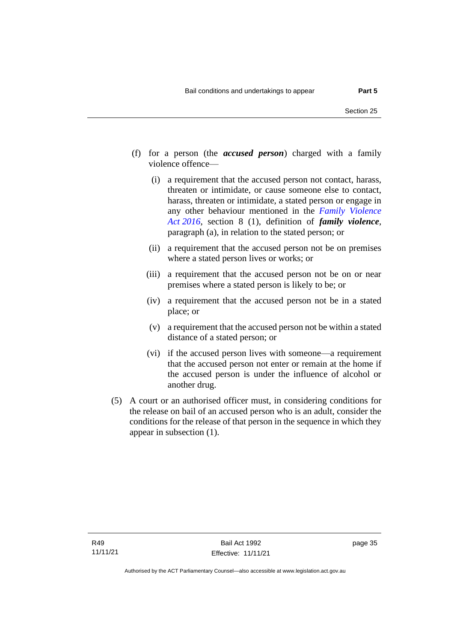- (f) for a person (the *accused person*) charged with a family violence offence—
	- (i) a requirement that the accused person not contact, harass, threaten or intimidate, or cause someone else to contact, harass, threaten or intimidate, a stated person or engage in any other behaviour mentioned in the *[Family Violence](http://www.legislation.act.gov.au/a/2016-42)  Act [2016](http://www.legislation.act.gov.au/a/2016-42)*, section 8 (1), definition of *family violence*, paragraph (a), in relation to the stated person; or
	- (ii) a requirement that the accused person not be on premises where a stated person lives or works; or
	- (iii) a requirement that the accused person not be on or near premises where a stated person is likely to be; or
	- (iv) a requirement that the accused person not be in a stated place; or
	- (v) a requirement that the accused person not be within a stated distance of a stated person; or
	- (vi) if the accused person lives with someone—a requirement that the accused person not enter or remain at the home if the accused person is under the influence of alcohol or another drug.
- (5) A court or an authorised officer must, in considering conditions for the release on bail of an accused person who is an adult, consider the conditions for the release of that person in the sequence in which they appear in subsection (1).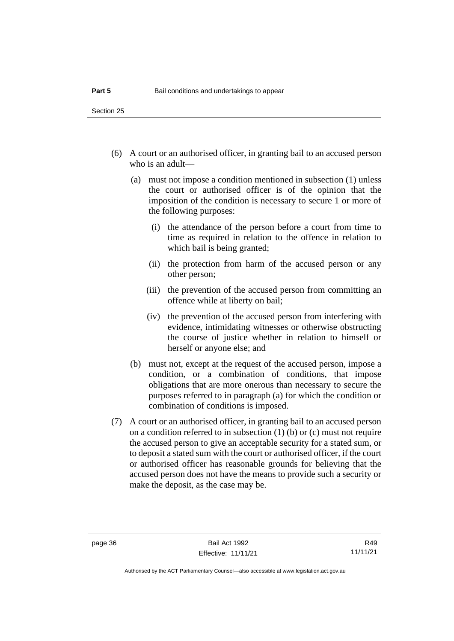- (6) A court or an authorised officer, in granting bail to an accused person who is an adult—
	- (a) must not impose a condition mentioned in subsection (1) unless the court or authorised officer is of the opinion that the imposition of the condition is necessary to secure 1 or more of the following purposes:
		- (i) the attendance of the person before a court from time to time as required in relation to the offence in relation to which bail is being granted;
		- (ii) the protection from harm of the accused person or any other person;
		- (iii) the prevention of the accused person from committing an offence while at liberty on bail;
		- (iv) the prevention of the accused person from interfering with evidence, intimidating witnesses or otherwise obstructing the course of justice whether in relation to himself or herself or anyone else; and
	- (b) must not, except at the request of the accused person, impose a condition, or a combination of conditions, that impose obligations that are more onerous than necessary to secure the purposes referred to in paragraph (a) for which the condition or combination of conditions is imposed.
- (7) A court or an authorised officer, in granting bail to an accused person on a condition referred to in subsection (1) (b) or (c) must not require the accused person to give an acceptable security for a stated sum, or to deposit a stated sum with the court or authorised officer, if the court or authorised officer has reasonable grounds for believing that the accused person does not have the means to provide such a security or make the deposit, as the case may be.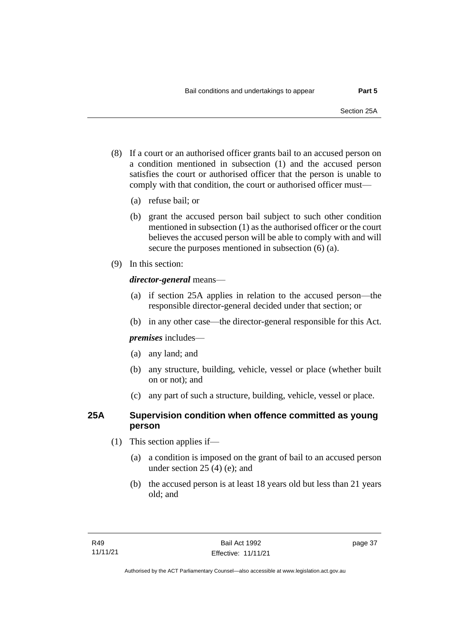- (8) If a court or an authorised officer grants bail to an accused person on a condition mentioned in subsection (1) and the accused person satisfies the court or authorised officer that the person is unable to comply with that condition, the court or authorised officer must—
	- (a) refuse bail; or
	- (b) grant the accused person bail subject to such other condition mentioned in subsection (1) as the authorised officer or the court believes the accused person will be able to comply with and will secure the purposes mentioned in subsection (6) (a).
- (9) In this section:

### *director-general* means—

- (a) if section 25A applies in relation to the accused person—the responsible director-general decided under that section; or
- (b) in any other case—the director-general responsible for this Act.

*premises* includes—

- (a) any land; and
- (b) any structure, building, vehicle, vessel or place (whether built on or not); and
- (c) any part of such a structure, building, vehicle, vessel or place.

### **25A Supervision condition when offence committed as young person**

- (1) This section applies if—
	- (a) a condition is imposed on the grant of bail to an accused person under section 25 (4) (e); and
	- (b) the accused person is at least 18 years old but less than 21 years old; and

page 37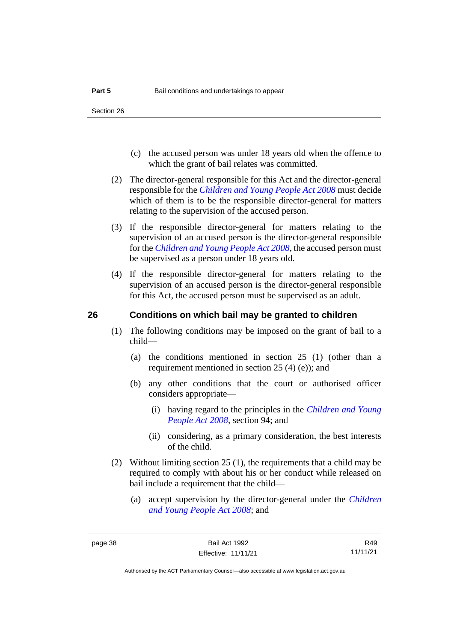- (c) the accused person was under 18 years old when the offence to which the grant of bail relates was committed.
- (2) The director-general responsible for this Act and the director-general responsible for the *[Children and Young People Act 2008](http://www.legislation.act.gov.au/a/2008-19)* must decide which of them is to be the responsible director-general for matters relating to the supervision of the accused person.
- (3) If the responsible director-general for matters relating to the supervision of an accused person is the director-general responsible for the *[Children and Young People Act 2008](http://www.legislation.act.gov.au/a/2008-19)*, the accused person must be supervised as a person under 18 years old.
- (4) If the responsible director-general for matters relating to the supervision of an accused person is the director-general responsible for this Act, the accused person must be supervised as an adult.

### **26 Conditions on which bail may be granted to children**

- (1) The following conditions may be imposed on the grant of bail to a child—
	- (a) the conditions mentioned in section 25 (1) (other than a requirement mentioned in section 25 (4) (e)); and
	- (b) any other conditions that the court or authorised officer considers appropriate—
		- (i) having regard to the principles in the *[Children and Young](http://www.legislation.act.gov.au/a/2008-19)  [People Act 2008](http://www.legislation.act.gov.au/a/2008-19)*, section 94; and
		- (ii) considering, as a primary consideration, the best interests of the child.
- (2) Without limiting section 25 (1), the requirements that a child may be required to comply with about his or her conduct while released on bail include a requirement that the child—
	- (a) accept supervision by the director-general under the *[Children](http://www.legislation.act.gov.au/a/2008-19)  [and Young People Act 2008](http://www.legislation.act.gov.au/a/2008-19)*; and

R49 11/11/21

Authorised by the ACT Parliamentary Counsel—also accessible at www.legislation.act.gov.au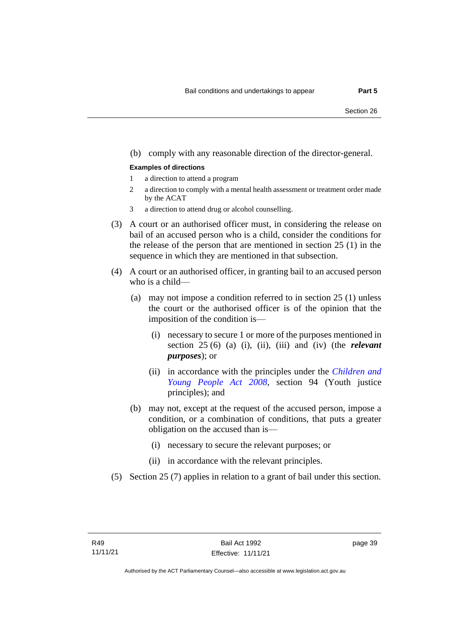#### (b) comply with any reasonable direction of the director-general.

#### **Examples of directions**

- 1 a direction to attend a program
- 2 a direction to comply with a mental health assessment or treatment order made by the ACAT
- 3 a direction to attend drug or alcohol counselling.
- (3) A court or an authorised officer must, in considering the release on bail of an accused person who is a child, consider the conditions for the release of the person that are mentioned in section 25 (1) in the sequence in which they are mentioned in that subsection.
- (4) A court or an authorised officer, in granting bail to an accused person who is a child—
	- (a) may not impose a condition referred to in section 25 (1) unless the court or the authorised officer is of the opinion that the imposition of the condition is—
		- (i) necessary to secure 1 or more of the purposes mentioned in section 25 (6) (a) (i), (ii), (iii) and (iv) (the *relevant purposes*); or
		- (ii) in accordance with the principles under the *[Children and](http://www.legislation.act.gov.au/a/2008-19)  [Young People Act 2008](http://www.legislation.act.gov.au/a/2008-19)*, section 94 (Youth justice principles); and
	- (b) may not, except at the request of the accused person, impose a condition, or a combination of conditions, that puts a greater obligation on the accused than is—
		- (i) necessary to secure the relevant purposes; or
		- (ii) in accordance with the relevant principles.
- (5) Section 25 (7) applies in relation to a grant of bail under this section.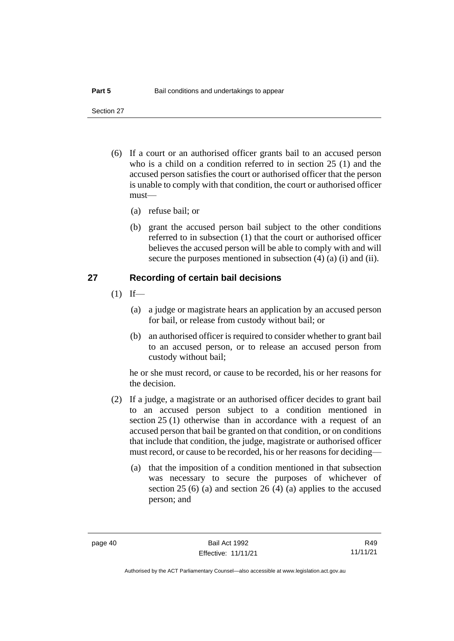Section 27

- (6) If a court or an authorised officer grants bail to an accused person who is a child on a condition referred to in section 25 (1) and the accused person satisfies the court or authorised officer that the person is unable to comply with that condition, the court or authorised officer must—
	- (a) refuse bail; or
	- (b) grant the accused person bail subject to the other conditions referred to in subsection (1) that the court or authorised officer believes the accused person will be able to comply with and will secure the purposes mentioned in subsection (4) (a) (i) and (ii).

### **27 Recording of certain bail decisions**

- $(1)$  If—
	- (a) a judge or magistrate hears an application by an accused person for bail, or release from custody without bail; or
	- (b) an authorised officer is required to consider whether to grant bail to an accused person, or to release an accused person from custody without bail;

he or she must record, or cause to be recorded, his or her reasons for the decision.

- (2) If a judge, a magistrate or an authorised officer decides to grant bail to an accused person subject to a condition mentioned in section 25 (1) otherwise than in accordance with a request of an accused person that bail be granted on that condition, or on conditions that include that condition, the judge, magistrate or authorised officer must record, or cause to be recorded, his or her reasons for deciding—
	- (a) that the imposition of a condition mentioned in that subsection was necessary to secure the purposes of whichever of section 25 (6) (a) and section 26 (4) (a) applies to the accused person; and

R49 11/11/21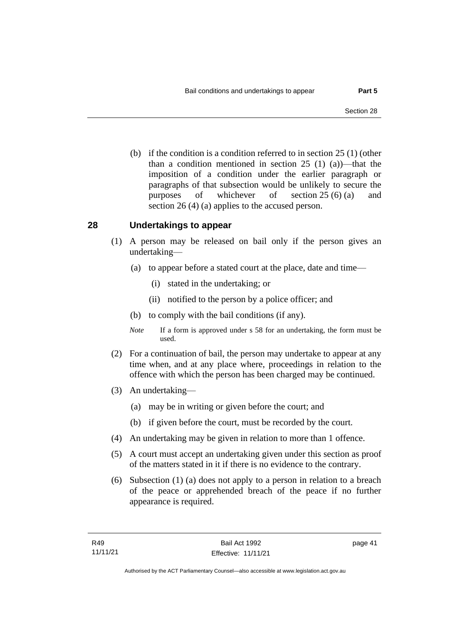(b) if the condition is a condition referred to in section 25 (1) (other than a condition mentioned in section 25 (1) (a))—that the imposition of a condition under the earlier paragraph or paragraphs of that subsection would be unlikely to secure the purposes of whichever of section 25 (6) (a) and section 26 (4) (a) applies to the accused person.

### **28 Undertakings to appear**

- (1) A person may be released on bail only if the person gives an undertaking—
	- (a) to appear before a stated court at the place, date and time—
		- (i) stated in the undertaking; or
		- (ii) notified to the person by a police officer; and
	- (b) to comply with the bail conditions (if any).
	- *Note* If a form is approved under s 58 for an undertaking, the form must be used.
- (2) For a continuation of bail, the person may undertake to appear at any time when, and at any place where, proceedings in relation to the offence with which the person has been charged may be continued.
- (3) An undertaking—
	- (a) may be in writing or given before the court; and
	- (b) if given before the court, must be recorded by the court.
- (4) An undertaking may be given in relation to more than 1 offence.
- (5) A court must accept an undertaking given under this section as proof of the matters stated in it if there is no evidence to the contrary.
- (6) Subsection (1) (a) does not apply to a person in relation to a breach of the peace or apprehended breach of the peace if no further appearance is required.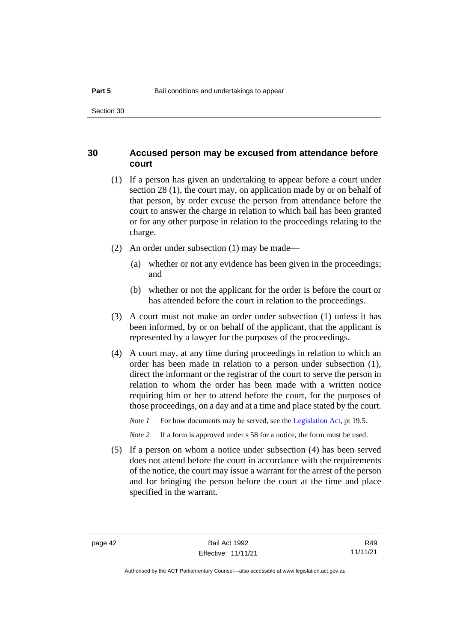### **30 Accused person may be excused from attendance before court**

- (1) If a person has given an undertaking to appear before a court under section 28 (1), the court may, on application made by or on behalf of that person, by order excuse the person from attendance before the court to answer the charge in relation to which bail has been granted or for any other purpose in relation to the proceedings relating to the charge.
- (2) An order under subsection (1) may be made—
	- (a) whether or not any evidence has been given in the proceedings; and
	- (b) whether or not the applicant for the order is before the court or has attended before the court in relation to the proceedings.
- (3) A court must not make an order under subsection (1) unless it has been informed, by or on behalf of the applicant, that the applicant is represented by a lawyer for the purposes of the proceedings.
- (4) A court may, at any time during proceedings in relation to which an order has been made in relation to a person under subsection (1), direct the informant or the registrar of the court to serve the person in relation to whom the order has been made with a written notice requiring him or her to attend before the court, for the purposes of those proceedings, on a day and at a time and place stated by the court.

*Note 1* For how documents may be served, see th[e Legislation Act,](http://www.legislation.act.gov.au/a/2001-14) pt 19.5.

*Note 2* If a form is approved under s 58 for a notice, the form must be used.

(5) If a person on whom a notice under subsection (4) has been served does not attend before the court in accordance with the requirements of the notice, the court may issue a warrant for the arrest of the person and for bringing the person before the court at the time and place specified in the warrant.

R49 11/11/21

Authorised by the ACT Parliamentary Counsel—also accessible at www.legislation.act.gov.au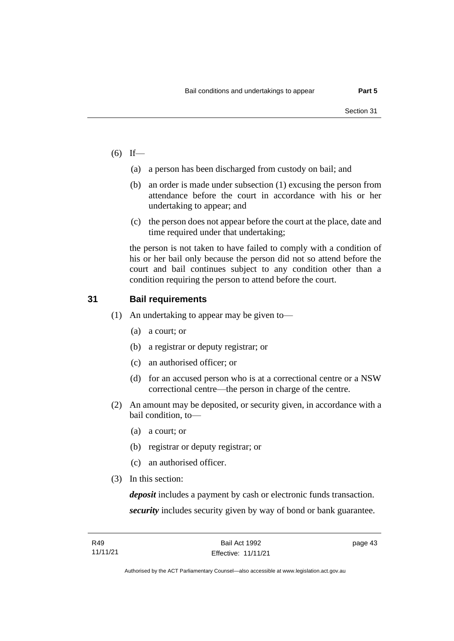- $(6)$  If—
	- (a) a person has been discharged from custody on bail; and
	- (b) an order is made under subsection (1) excusing the person from attendance before the court in accordance with his or her undertaking to appear; and
	- (c) the person does not appear before the court at the place, date and time required under that undertaking;

the person is not taken to have failed to comply with a condition of his or her bail only because the person did not so attend before the court and bail continues subject to any condition other than a condition requiring the person to attend before the court.

### **31 Bail requirements**

- (1) An undertaking to appear may be given to—
	- (a) a court; or
	- (b) a registrar or deputy registrar; or
	- (c) an authorised officer; or
	- (d) for an accused person who is at a correctional centre or a NSW correctional centre—the person in charge of the centre.
- (2) An amount may be deposited, or security given, in accordance with a bail condition, to—
	- (a) a court; or
	- (b) registrar or deputy registrar; or
	- (c) an authorised officer.
- (3) In this section:

*deposit* includes a payment by cash or electronic funds transaction. *security* includes security given by way of bond or bank guarantee.

page 43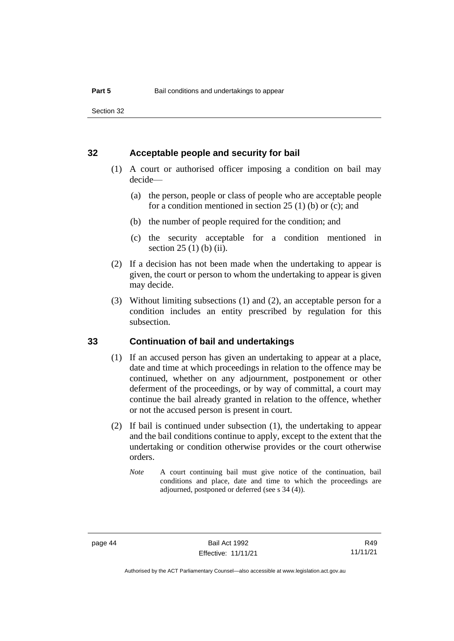### **32 Acceptable people and security for bail**

- (1) A court or authorised officer imposing a condition on bail may decide—
	- (a) the person, people or class of people who are acceptable people for a condition mentioned in section 25 (1) (b) or (c); and
	- (b) the number of people required for the condition; and
	- (c) the security acceptable for a condition mentioned in section 25 (1) (b) (ii).
- (2) If a decision has not been made when the undertaking to appear is given, the court or person to whom the undertaking to appear is given may decide.
- (3) Without limiting subsections (1) and (2), an acceptable person for a condition includes an entity prescribed by regulation for this subsection.

### **33 Continuation of bail and undertakings**

- (1) If an accused person has given an undertaking to appear at a place, date and time at which proceedings in relation to the offence may be continued, whether on any adjournment, postponement or other deferment of the proceedings, or by way of committal, a court may continue the bail already granted in relation to the offence, whether or not the accused person is present in court.
- (2) If bail is continued under subsection (1), the undertaking to appear and the bail conditions continue to apply, except to the extent that the undertaking or condition otherwise provides or the court otherwise orders.
	- *Note* A court continuing bail must give notice of the continuation, bail conditions and place, date and time to which the proceedings are adjourned, postponed or deferred (see s 34 (4)).

page 44 Bail Act 1992 Effective: 11/11/21

R49 11/11/21

Authorised by the ACT Parliamentary Counsel—also accessible at www.legislation.act.gov.au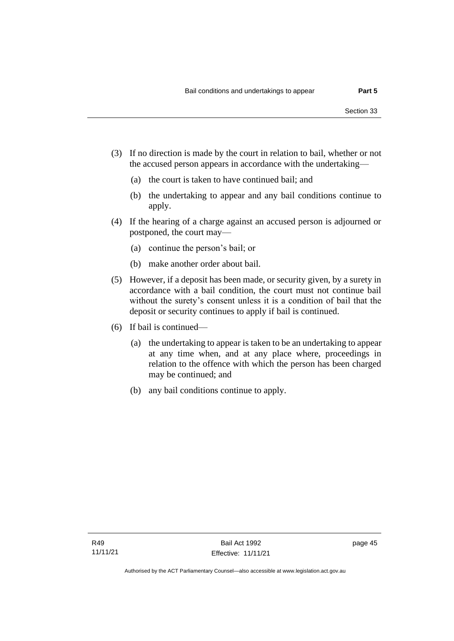- (3) If no direction is made by the court in relation to bail, whether or not the accused person appears in accordance with the undertaking—
	- (a) the court is taken to have continued bail; and
	- (b) the undertaking to appear and any bail conditions continue to apply.
- (4) If the hearing of a charge against an accused person is adjourned or postponed, the court may—
	- (a) continue the person's bail; or
	- (b) make another order about bail.
- (5) However, if a deposit has been made, or security given, by a surety in accordance with a bail condition, the court must not continue bail without the surety's consent unless it is a condition of bail that the deposit or security continues to apply if bail is continued.
- (6) If bail is continued—
	- (a) the undertaking to appear is taken to be an undertaking to appear at any time when, and at any place where, proceedings in relation to the offence with which the person has been charged may be continued; and
	- (b) any bail conditions continue to apply.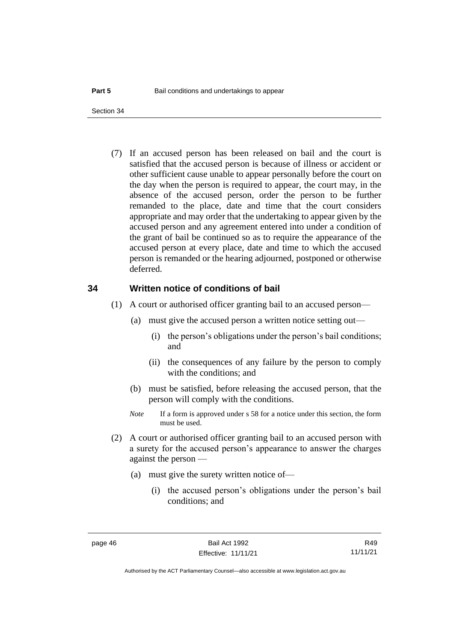(7) If an accused person has been released on bail and the court is satisfied that the accused person is because of illness or accident or other sufficient cause unable to appear personally before the court on the day when the person is required to appear, the court may, in the absence of the accused person, order the person to be further remanded to the place, date and time that the court considers appropriate and may order that the undertaking to appear given by the accused person and any agreement entered into under a condition of the grant of bail be continued so as to require the appearance of the accused person at every place, date and time to which the accused person is remanded or the hearing adjourned, postponed or otherwise deferred.

### **34 Written notice of conditions of bail**

- (1) A court or authorised officer granting bail to an accused person—
	- (a) must give the accused person a written notice setting out—
		- (i) the person's obligations under the person's bail conditions; and
		- (ii) the consequences of any failure by the person to comply with the conditions; and
	- (b) must be satisfied, before releasing the accused person, that the person will comply with the conditions.
	- *Note* If a form is approved under s 58 for a notice under this section, the form must be used.
- (2) A court or authorised officer granting bail to an accused person with a surety for the accused person's appearance to answer the charges against the person —
	- (a) must give the surety written notice of—
		- (i) the accused person's obligations under the person's bail conditions; and

R49 11/11/21

Authorised by the ACT Parliamentary Counsel—also accessible at www.legislation.act.gov.au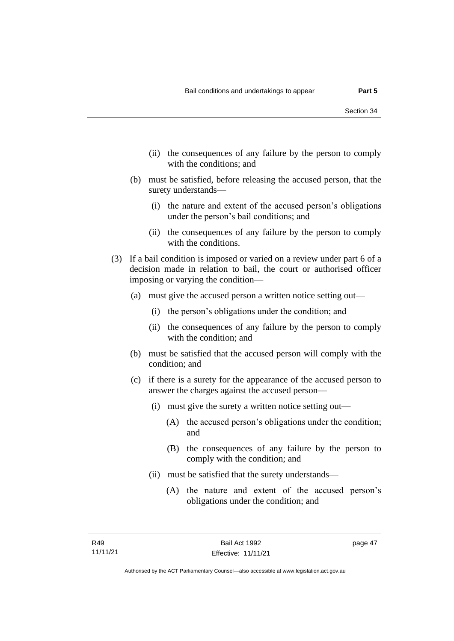- (ii) the consequences of any failure by the person to comply with the conditions; and
- (b) must be satisfied, before releasing the accused person, that the surety understands—
	- (i) the nature and extent of the accused person's obligations under the person's bail conditions; and
	- (ii) the consequences of any failure by the person to comply with the conditions.
- (3) If a bail condition is imposed or varied on a review under part 6 of a decision made in relation to bail, the court or authorised officer imposing or varying the condition—
	- (a) must give the accused person a written notice setting out—
		- (i) the person's obligations under the condition; and
		- (ii) the consequences of any failure by the person to comply with the condition; and
	- (b) must be satisfied that the accused person will comply with the condition; and
	- (c) if there is a surety for the appearance of the accused person to answer the charges against the accused person—
		- (i) must give the surety a written notice setting out—
			- (A) the accused person's obligations under the condition; and
			- (B) the consequences of any failure by the person to comply with the condition; and
		- (ii) must be satisfied that the surety understands—
			- (A) the nature and extent of the accused person's obligations under the condition; and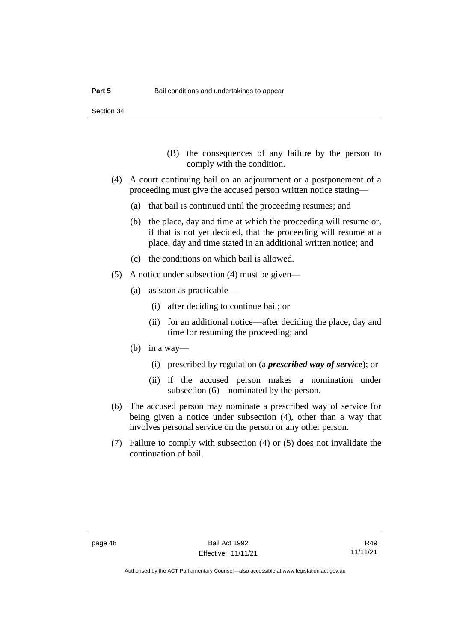- (B) the consequences of any failure by the person to comply with the condition.
- (4) A court continuing bail on an adjournment or a postponement of a proceeding must give the accused person written notice stating—
	- (a) that bail is continued until the proceeding resumes; and
	- (b) the place, day and time at which the proceeding will resume or, if that is not yet decided, that the proceeding will resume at a place, day and time stated in an additional written notice; and
	- (c) the conditions on which bail is allowed.
- (5) A notice under subsection (4) must be given—
	- (a) as soon as practicable—
		- (i) after deciding to continue bail; or
		- (ii) for an additional notice—after deciding the place, day and time for resuming the proceeding; and
	- (b) in a way—
		- (i) prescribed by regulation (a *prescribed way of service*); or
		- (ii) if the accused person makes a nomination under subsection (6)—nominated by the person.
- (6) The accused person may nominate a prescribed way of service for being given a notice under subsection (4), other than a way that involves personal service on the person or any other person.
- (7) Failure to comply with subsection (4) or (5) does not invalidate the continuation of bail.

Authorised by the ACT Parliamentary Counsel—also accessible at www.legislation.act.gov.au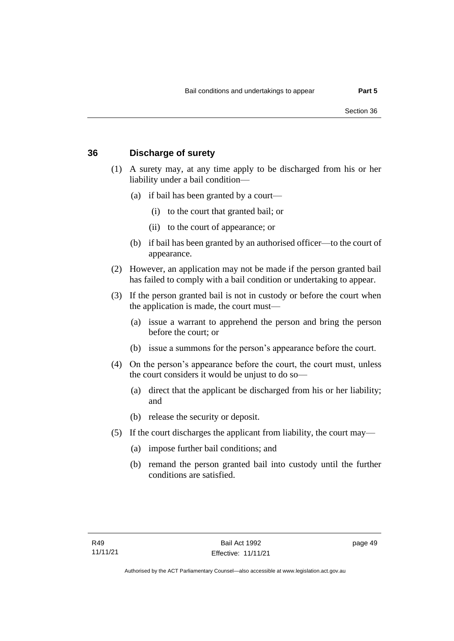### **36 Discharge of surety**

- (1) A surety may, at any time apply to be discharged from his or her liability under a bail condition—
	- (a) if bail has been granted by a court—
		- (i) to the court that granted bail; or
		- (ii) to the court of appearance; or
	- (b) if bail has been granted by an authorised officer—to the court of appearance.
- (2) However, an application may not be made if the person granted bail has failed to comply with a bail condition or undertaking to appear.
- (3) If the person granted bail is not in custody or before the court when the application is made, the court must—
	- (a) issue a warrant to apprehend the person and bring the person before the court; or
	- (b) issue a summons for the person's appearance before the court.
- (4) On the person's appearance before the court, the court must, unless the court considers it would be unjust to do so—
	- (a) direct that the applicant be discharged from his or her liability; and
	- (b) release the security or deposit.
- (5) If the court discharges the applicant from liability, the court may—
	- (a) impose further bail conditions; and
	- (b) remand the person granted bail into custody until the further conditions are satisfied.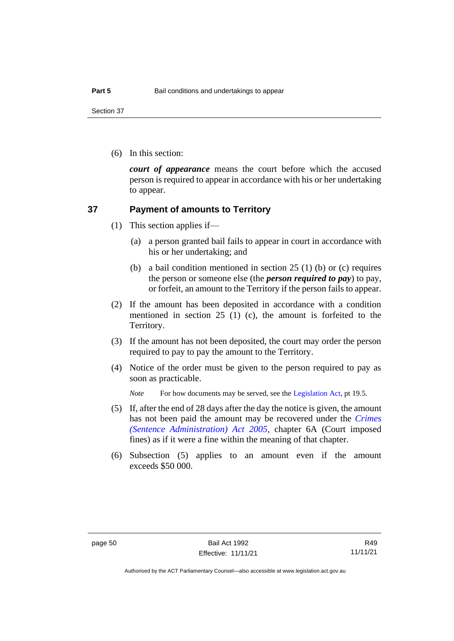Section 37

(6) In this section:

*court of appearance* means the court before which the accused person is required to appear in accordance with his or her undertaking to appear.

### **37 Payment of amounts to Territory**

- (1) This section applies if—
	- (a) a person granted bail fails to appear in court in accordance with his or her undertaking; and
	- (b) a bail condition mentioned in section 25 (1) (b) or (c) requires the person or someone else (the *person required to pay*) to pay, or forfeit, an amount to the Territory if the person fails to appear.
- (2) If the amount has been deposited in accordance with a condition mentioned in section 25 (1) (c), the amount is forfeited to the Territory.
- (3) If the amount has not been deposited, the court may order the person required to pay to pay the amount to the Territory.
- (4) Notice of the order must be given to the person required to pay as soon as practicable.

*Note* For how documents may be served, see th[e Legislation Act,](http://www.legislation.act.gov.au/a/2001-14) pt 19.5.

- (5) If, after the end of 28 days after the day the notice is given, the amount has not been paid the amount may be recovered under the *[Crimes](http://www.legislation.act.gov.au/a/2005-59)  [\(Sentence Administration\) Act 2005](http://www.legislation.act.gov.au/a/2005-59)*, chapter 6A (Court imposed fines) as if it were a fine within the meaning of that chapter.
- (6) Subsection (5) applies to an amount even if the amount exceeds \$50 000.

R49 11/11/21

Authorised by the ACT Parliamentary Counsel—also accessible at www.legislation.act.gov.au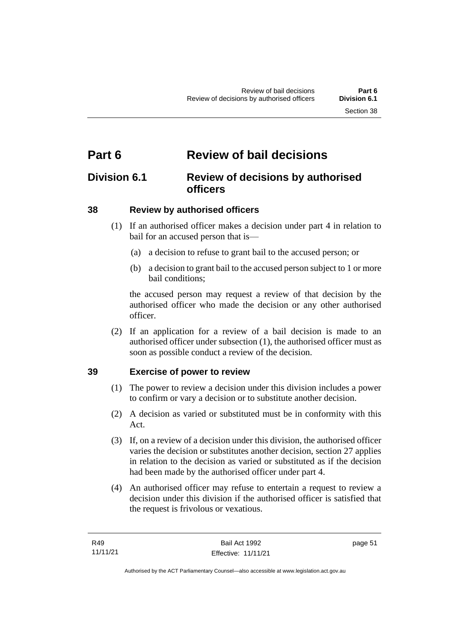# **Part 6 Review of bail decisions**

## **Division 6.1 Review of decisions by authorised officers**

## **38 Review by authorised officers**

- (1) If an authorised officer makes a decision under part 4 in relation to bail for an accused person that is—
	- (a) a decision to refuse to grant bail to the accused person; or
	- (b) a decision to grant bail to the accused person subject to 1 or more bail conditions;

the accused person may request a review of that decision by the authorised officer who made the decision or any other authorised officer.

(2) If an application for a review of a bail decision is made to an authorised officer under subsection (1), the authorised officer must as soon as possible conduct a review of the decision.

## **39 Exercise of power to review**

- (1) The power to review a decision under this division includes a power to confirm or vary a decision or to substitute another decision.
- (2) A decision as varied or substituted must be in conformity with this Act.
- (3) If, on a review of a decision under this division, the authorised officer varies the decision or substitutes another decision, section 27 applies in relation to the decision as varied or substituted as if the decision had been made by the authorised officer under part 4.
- (4) An authorised officer may refuse to entertain a request to review a decision under this division if the authorised officer is satisfied that the request is frivolous or vexatious.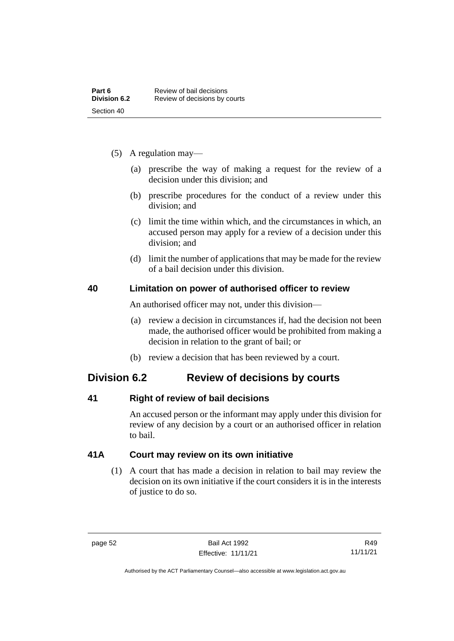- (5) A regulation may—
	- (a) prescribe the way of making a request for the review of a decision under this division; and
	- (b) prescribe procedures for the conduct of a review under this division; and
	- (c) limit the time within which, and the circumstances in which, an accused person may apply for a review of a decision under this division; and
	- (d) limit the number of applications that may be made for the review of a bail decision under this division.

### **40 Limitation on power of authorised officer to review**

An authorised officer may not, under this division—

- (a) review a decision in circumstances if, had the decision not been made, the authorised officer would be prohibited from making a decision in relation to the grant of bail; or
- (b) review a decision that has been reviewed by a court.

## **Division 6.2 Review of decisions by courts**

## **41 Right of review of bail decisions**

An accused person or the informant may apply under this division for review of any decision by a court or an authorised officer in relation to bail.

## **41A Court may review on its own initiative**

(1) A court that has made a decision in relation to bail may review the decision on its own initiative if the court considers it is in the interests of justice to do so.

page 52 Bail Act 1992 Effective: 11/11/21

Authorised by the ACT Parliamentary Counsel—also accessible at www.legislation.act.gov.au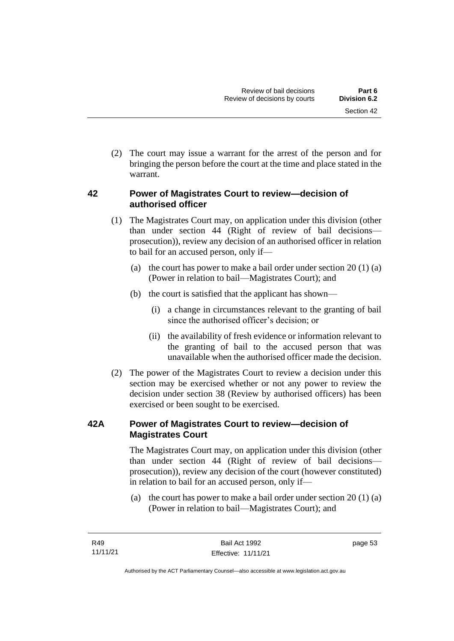(2) The court may issue a warrant for the arrest of the person and for bringing the person before the court at the time and place stated in the warrant.

## **42 Power of Magistrates Court to review—decision of authorised officer**

- (1) The Magistrates Court may, on application under this division (other than under section 44 (Right of review of bail decisions prosecution)), review any decision of an authorised officer in relation to bail for an accused person, only if—
	- (a) the court has power to make a bail order under section  $20(1)(a)$ (Power in relation to bail—Magistrates Court); and
	- (b) the court is satisfied that the applicant has shown—
		- (i) a change in circumstances relevant to the granting of bail since the authorised officer's decision; or
		- (ii) the availability of fresh evidence or information relevant to the granting of bail to the accused person that was unavailable when the authorised officer made the decision.
- (2) The power of the Magistrates Court to review a decision under this section may be exercised whether or not any power to review the decision under section 38 (Review by authorised officers) has been exercised or been sought to be exercised.

## **42A Power of Magistrates Court to review—decision of Magistrates Court**

The Magistrates Court may, on application under this division (other than under section 44 (Right of review of bail decisions prosecution)), review any decision of the court (however constituted) in relation to bail for an accused person, only if—

(a) the court has power to make a bail order under section 20 (1) (a) (Power in relation to bail—Magistrates Court); and

page 53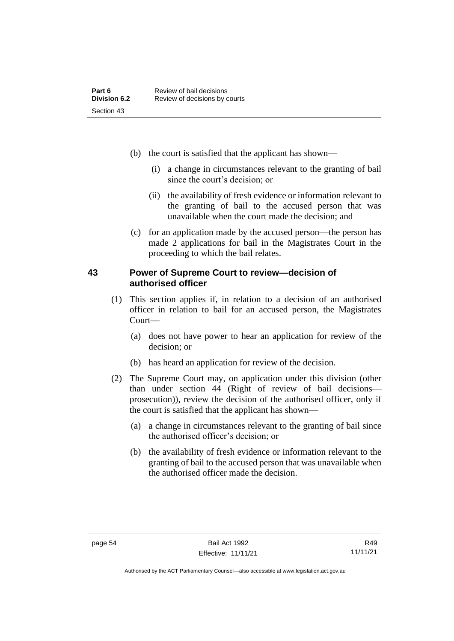- (b) the court is satisfied that the applicant has shown—
	- (i) a change in circumstances relevant to the granting of bail since the court's decision; or
	- (ii) the availability of fresh evidence or information relevant to the granting of bail to the accused person that was unavailable when the court made the decision; and
- (c) for an application made by the accused person—the person has made 2 applications for bail in the Magistrates Court in the proceeding to which the bail relates.

### **43 Power of Supreme Court to review—decision of authorised officer**

- (1) This section applies if, in relation to a decision of an authorised officer in relation to bail for an accused person, the Magistrates Court—
	- (a) does not have power to hear an application for review of the decision; or
	- (b) has heard an application for review of the decision.
- (2) The Supreme Court may, on application under this division (other than under section 44 (Right of review of bail decisions prosecution)), review the decision of the authorised officer, only if the court is satisfied that the applicant has shown—
	- (a) a change in circumstances relevant to the granting of bail since the authorised officer's decision; or
	- (b) the availability of fresh evidence or information relevant to the granting of bail to the accused person that was unavailable when the authorised officer made the decision.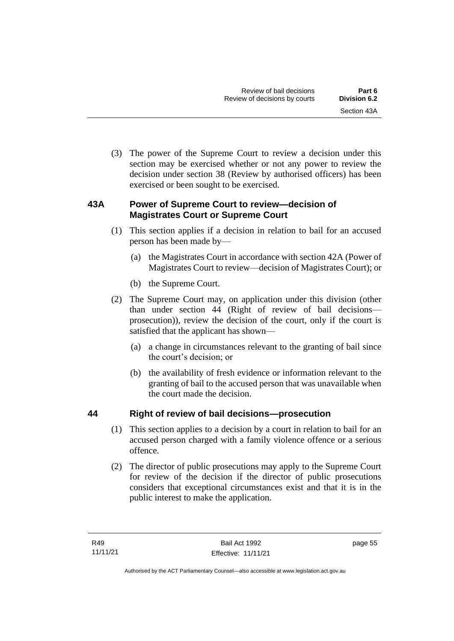(3) The power of the Supreme Court to review a decision under this section may be exercised whether or not any power to review the decision under section 38 (Review by authorised officers) has been exercised or been sought to be exercised.

## **43A Power of Supreme Court to review—decision of Magistrates Court or Supreme Court**

- (1) This section applies if a decision in relation to bail for an accused person has been made by—
	- (a) the Magistrates Court in accordance with section 42A (Power of Magistrates Court to review—decision of Magistrates Court); or
	- (b) the Supreme Court.
- (2) The Supreme Court may, on application under this division (other than under section 44 (Right of review of bail decisions prosecution)), review the decision of the court, only if the court is satisfied that the applicant has shown—
	- (a) a change in circumstances relevant to the granting of bail since the court's decision; or
	- (b) the availability of fresh evidence or information relevant to the granting of bail to the accused person that was unavailable when the court made the decision.

## **44 Right of review of bail decisions—prosecution**

- (1) This section applies to a decision by a court in relation to bail for an accused person charged with a family violence offence or a serious offence.
- (2) The director of public prosecutions may apply to the Supreme Court for review of the decision if the director of public prosecutions considers that exceptional circumstances exist and that it is in the public interest to make the application.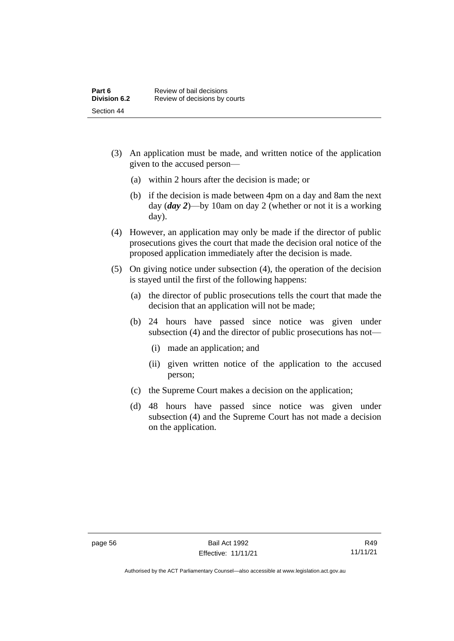- (3) An application must be made, and written notice of the application given to the accused person—
	- (a) within 2 hours after the decision is made; or
	- (b) if the decision is made between 4pm on a day and 8am the next day (*day 2*)—by 10am on day 2 (whether or not it is a working day).
- (4) However, an application may only be made if the director of public prosecutions gives the court that made the decision oral notice of the proposed application immediately after the decision is made.
- (5) On giving notice under subsection (4), the operation of the decision is stayed until the first of the following happens:
	- (a) the director of public prosecutions tells the court that made the decision that an application will not be made;
	- (b) 24 hours have passed since notice was given under subsection (4) and the director of public prosecutions has not—
		- (i) made an application; and
		- (ii) given written notice of the application to the accused person;
	- (c) the Supreme Court makes a decision on the application;
	- (d) 48 hours have passed since notice was given under subsection (4) and the Supreme Court has not made a decision on the application.

Authorised by the ACT Parliamentary Counsel—also accessible at www.legislation.act.gov.au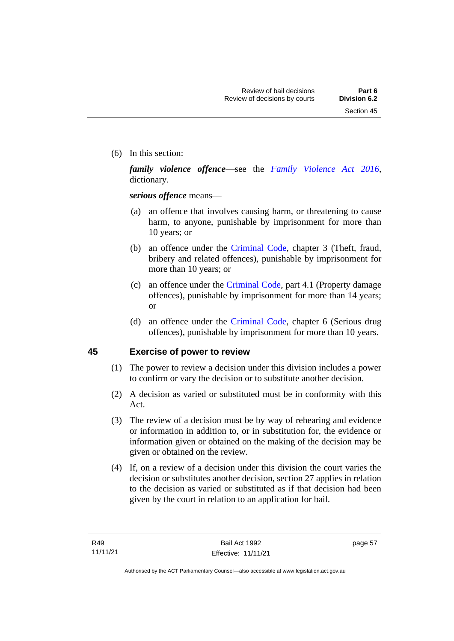(6) In this section:

*family violence offence*—see the *[Family Violence Act 2016](http://www.legislation.act.gov.au/a/2016-42)*, dictionary.

*serious offence* means—

- (a) an offence that involves causing harm, or threatening to cause harm, to anyone, punishable by imprisonment for more than 10 years; or
- (b) an offence under the [Criminal Code,](http://www.legislation.act.gov.au/a/2002-51) chapter 3 (Theft, fraud, bribery and related offences), punishable by imprisonment for more than 10 years; or
- (c) an offence under the [Criminal Code,](http://www.legislation.act.gov.au/a/2002-51) part 4.1 (Property damage offences), punishable by imprisonment for more than 14 years; or
- (d) an offence under the [Criminal Code,](http://www.legislation.act.gov.au/a/2002-51) chapter 6 (Serious drug offences), punishable by imprisonment for more than 10 years.

## **45 Exercise of power to review**

- (1) The power to review a decision under this division includes a power to confirm or vary the decision or to substitute another decision.
- (2) A decision as varied or substituted must be in conformity with this Act.
- (3) The review of a decision must be by way of rehearing and evidence or information in addition to, or in substitution for, the evidence or information given or obtained on the making of the decision may be given or obtained on the review.
- (4) If, on a review of a decision under this division the court varies the decision or substitutes another decision, section 27 applies in relation to the decision as varied or substituted as if that decision had been given by the court in relation to an application for bail.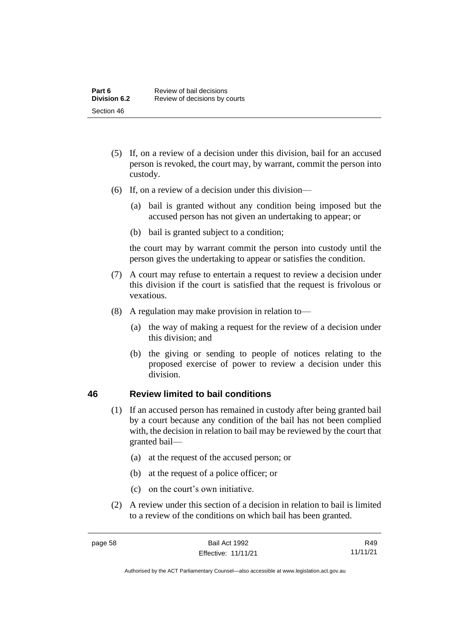- (5) If, on a review of a decision under this division, bail for an accused person is revoked, the court may, by warrant, commit the person into custody.
- (6) If, on a review of a decision under this division—
	- (a) bail is granted without any condition being imposed but the accused person has not given an undertaking to appear; or
	- (b) bail is granted subject to a condition;

the court may by warrant commit the person into custody until the person gives the undertaking to appear or satisfies the condition.

- (7) A court may refuse to entertain a request to review a decision under this division if the court is satisfied that the request is frivolous or vexatious.
- (8) A regulation may make provision in relation to—
	- (a) the way of making a request for the review of a decision under this division; and
	- (b) the giving or sending to people of notices relating to the proposed exercise of power to review a decision under this division.

### **46 Review limited to bail conditions**

- (1) If an accused person has remained in custody after being granted bail by a court because any condition of the bail has not been complied with, the decision in relation to bail may be reviewed by the court that granted bail—
	- (a) at the request of the accused person; or
	- (b) at the request of a police officer; or
	- (c) on the court's own initiative.
- (2) A review under this section of a decision in relation to bail is limited to a review of the conditions on which bail has been granted.

R49 11/11/21

Authorised by the ACT Parliamentary Counsel—also accessible at www.legislation.act.gov.au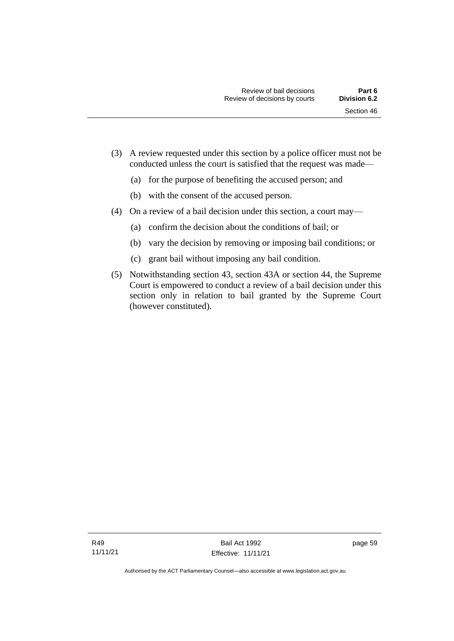- (3) A review requested under this section by a police officer must not be conducted unless the court is satisfied that the request was made—
	- (a) for the purpose of benefiting the accused person; and
	- (b) with the consent of the accused person.
- (4) On a review of a bail decision under this section, a court may—
	- (a) confirm the decision about the conditions of bail; or
	- (b) vary the decision by removing or imposing bail conditions; or
	- (c) grant bail without imposing any bail condition.
- (5) Notwithstanding section 43, section 43A or section 44, the Supreme Court is empowered to conduct a review of a bail decision under this section only in relation to bail granted by the Supreme Court (however constituted).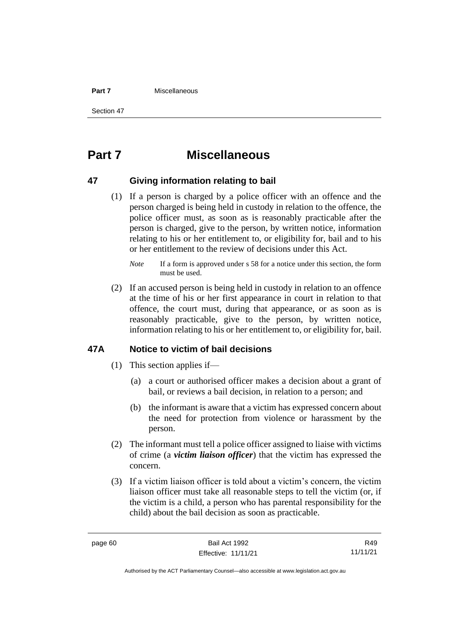#### **Part 7** Miscellaneous

Section 47

# **Part 7 Miscellaneous**

### **47 Giving information relating to bail**

(1) If a person is charged by a police officer with an offence and the person charged is being held in custody in relation to the offence, the police officer must, as soon as is reasonably practicable after the person is charged, give to the person, by written notice, information relating to his or her entitlement to, or eligibility for, bail and to his or her entitlement to the review of decisions under this Act.

(2) If an accused person is being held in custody in relation to an offence at the time of his or her first appearance in court in relation to that offence, the court must, during that appearance, or as soon as is reasonably practicable, give to the person, by written notice, information relating to his or her entitlement to, or eligibility for, bail.

### **47A Notice to victim of bail decisions**

- (1) This section applies if—
	- (a) a court or authorised officer makes a decision about a grant of bail, or reviews a bail decision, in relation to a person; and
	- (b) the informant is aware that a victim has expressed concern about the need for protection from violence or harassment by the person.
- (2) The informant must tell a police officer assigned to liaise with victims of crime (a *victim liaison officer*) that the victim has expressed the concern.
- (3) If a victim liaison officer is told about a victim's concern, the victim liaison officer must take all reasonable steps to tell the victim (or, if the victim is a child, a person who has parental responsibility for the child) about the bail decision as soon as practicable.

page 60 Bail Act 1992 Effective: 11/11/21

R49 11/11/21

Authorised by the ACT Parliamentary Counsel—also accessible at www.legislation.act.gov.au

*Note* If a form is approved under s 58 for a notice under this section, the form must be used.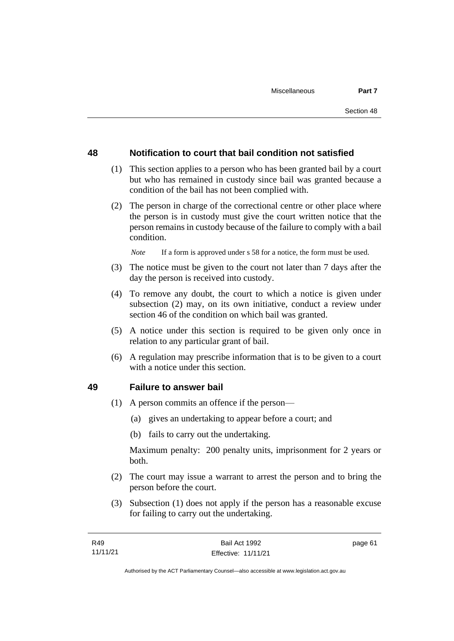### **48 Notification to court that bail condition not satisfied**

- (1) This section applies to a person who has been granted bail by a court but who has remained in custody since bail was granted because a condition of the bail has not been complied with.
- (2) The person in charge of the correctional centre or other place where the person is in custody must give the court written notice that the person remains in custody because of the failure to comply with a bail condition.

*Note* If a form is approved under s 58 for a notice, the form must be used.

- (3) The notice must be given to the court not later than 7 days after the day the person is received into custody.
- (4) To remove any doubt, the court to which a notice is given under subsection (2) may, on its own initiative, conduct a review under section 46 of the condition on which bail was granted.
- (5) A notice under this section is required to be given only once in relation to any particular grant of bail.
- (6) A regulation may prescribe information that is to be given to a court with a notice under this section.

#### **49 Failure to answer bail**

- (1) A person commits an offence if the person—
	- (a) gives an undertaking to appear before a court; and
	- (b) fails to carry out the undertaking.

Maximum penalty: 200 penalty units, imprisonment for 2 years or both.

- (2) The court may issue a warrant to arrest the person and to bring the person before the court.
- (3) Subsection (1) does not apply if the person has a reasonable excuse for failing to carry out the undertaking.

page 61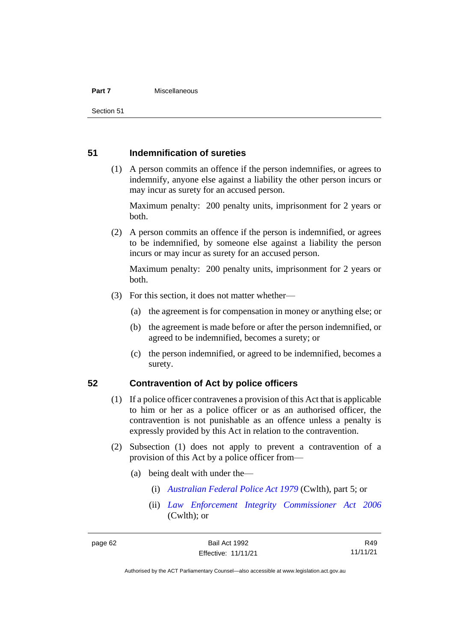#### **Part 7** Miscellaneous

Section 51

### **51 Indemnification of sureties**

(1) A person commits an offence if the person indemnifies, or agrees to indemnify, anyone else against a liability the other person incurs or may incur as surety for an accused person.

Maximum penalty: 200 penalty units, imprisonment for 2 years or both.

(2) A person commits an offence if the person is indemnified, or agrees to be indemnified, by someone else against a liability the person incurs or may incur as surety for an accused person.

Maximum penalty: 200 penalty units, imprisonment for 2 years or both.

- (3) For this section, it does not matter whether—
	- (a) the agreement is for compensation in money or anything else; or
	- (b) the agreement is made before or after the person indemnified, or agreed to be indemnified, becomes a surety; or
	- (c) the person indemnified, or agreed to be indemnified, becomes a surety.

### **52 Contravention of Act by police officers**

- (1) If a police officer contravenes a provision of this Act that is applicable to him or her as a police officer or as an authorised officer, the contravention is not punishable as an offence unless a penalty is expressly provided by this Act in relation to the contravention.
- (2) Subsection (1) does not apply to prevent a contravention of a provision of this Act by a police officer from—
	- (a) being dealt with under the—
		- (i) *[Australian Federal Police Act 1979](http://www.comlaw.gov.au/Series/C2004A02068)* (Cwlth), part 5; or
		- (ii) *[Law Enforcement Integrity Commissioner Act 2006](http://www.comlaw.gov.au/Series/C2006A00085)* (Cwlth); or

Authorised by the ACT Parliamentary Counsel—also accessible at www.legislation.act.gov.au

R49 11/11/21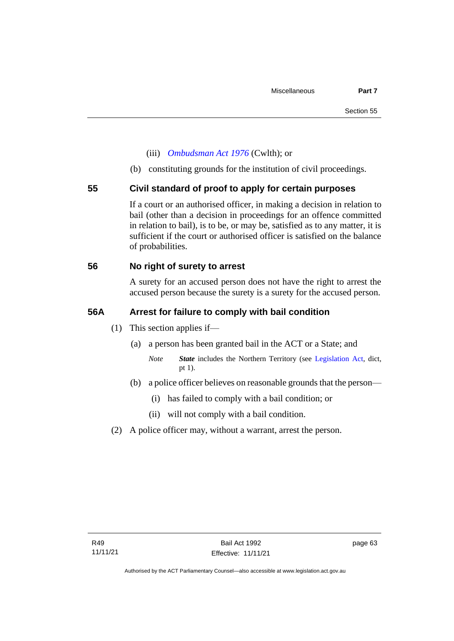- (iii) *[Ombudsman Act 1976](http://www.comlaw.gov.au/Series/C2004A01611)* (Cwlth); or
- (b) constituting grounds for the institution of civil proceedings.

### **55 Civil standard of proof to apply for certain purposes**

If a court or an authorised officer, in making a decision in relation to bail (other than a decision in proceedings for an offence committed in relation to bail), is to be, or may be, satisfied as to any matter, it is sufficient if the court or authorised officer is satisfied on the balance of probabilities.

### **56 No right of surety to arrest**

A surety for an accused person does not have the right to arrest the accused person because the surety is a surety for the accused person.

### **56A Arrest for failure to comply with bail condition**

- (1) This section applies if—
	- (a) a person has been granted bail in the ACT or a State; and
		- *Note State* includes the Northern Territory (see [Legislation Act,](http://www.legislation.act.gov.au/a/2001-14) dict, pt 1).
	- (b) a police officer believes on reasonable grounds that the person—
		- (i) has failed to comply with a bail condition; or
		- (ii) will not comply with a bail condition.
- (2) A police officer may, without a warrant, arrest the person.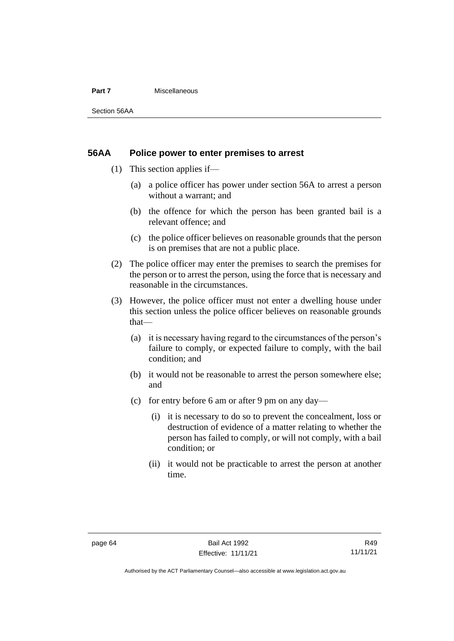#### **Part 7** Miscellaneous

Section 56AA

### **56AA Police power to enter premises to arrest**

- (1) This section applies if—
	- (a) a police officer has power under section 56A to arrest a person without a warrant; and
	- (b) the offence for which the person has been granted bail is a relevant offence; and
	- (c) the police officer believes on reasonable grounds that the person is on premises that are not a public place.
- (2) The police officer may enter the premises to search the premises for the person or to arrest the person, using the force that is necessary and reasonable in the circumstances.
- (3) However, the police officer must not enter a dwelling house under this section unless the police officer believes on reasonable grounds that—
	- (a) it is necessary having regard to the circumstances of the person's failure to comply, or expected failure to comply, with the bail condition; and
	- (b) it would not be reasonable to arrest the person somewhere else; and
	- (c) for entry before 6 am or after 9 pm on any day—
		- (i) it is necessary to do so to prevent the concealment, loss or destruction of evidence of a matter relating to whether the person has failed to comply, or will not comply, with a bail condition; or
		- (ii) it would not be practicable to arrest the person at another time.

Authorised by the ACT Parliamentary Counsel—also accessible at www.legislation.act.gov.au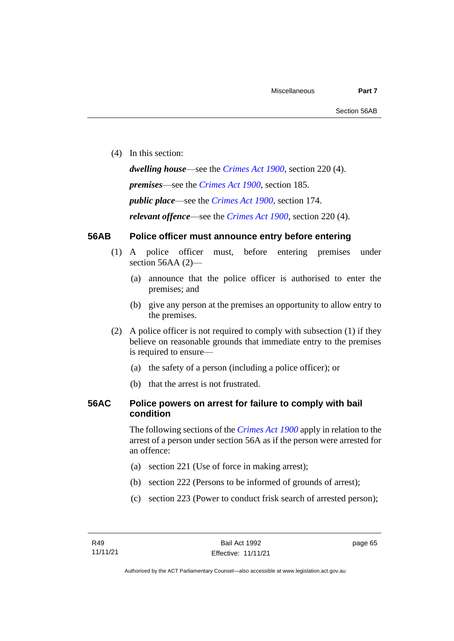(4) In this section:

*dwelling house*—see the *[Crimes Act](http://www.legislation.act.gov.au/a/1900-40) 1900*, section 220 (4). *premises*—see the *[Crimes Act](http://www.legislation.act.gov.au/a/1900-40) 1900*, section 185. *public place*—see the *[Crimes Act](http://www.legislation.act.gov.au/a/1900-40) 1900*, section 174. *relevant offence*—see the *[Crimes Act 1900](http://www.legislation.act.gov.au/a/1900-40)*, section 220 (4).

# **56AB Police officer must announce entry before entering**

- (1) A police officer must, before entering premises under section 56AA (2)-
	- (a) announce that the police officer is authorised to enter the premises; and
	- (b) give any person at the premises an opportunity to allow entry to the premises.
- (2) A police officer is not required to comply with subsection (1) if they believe on reasonable grounds that immediate entry to the premises is required to ensure—
	- (a) the safety of a person (including a police officer); or
	- (b) that the arrest is not frustrated.

# **56AC Police powers on arrest for failure to comply with bail condition**

The following sections of the *[Crimes Act](http://www.legislation.act.gov.au/a/1900-40) 1900* apply in relation to the arrest of a person under section 56A as if the person were arrested for an offence:

- (a) section 221 (Use of force in making arrest);
- (b) section 222 (Persons to be informed of grounds of arrest);
- (c) section 223 (Power to conduct frisk search of arrested person);

page 65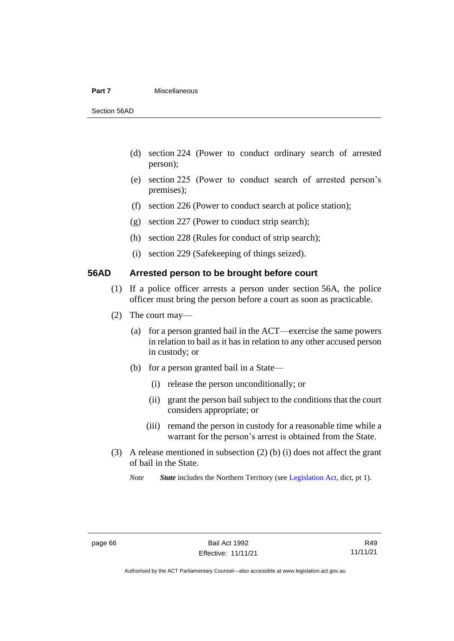#### **Part 7** Miscellaneous

Section 56AD

- (d) section 224 (Power to conduct ordinary search of arrested person);
- (e) section 225 (Power to conduct search of arrested person's premises);
- (f) section 226 (Power to conduct search at police station);
- (g) section 227 (Power to conduct strip search);
- (h) section 228 (Rules for conduct of strip search);
- (i) section 229 (Safekeeping of things seized).

# **56AD Arrested person to be brought before court**

- (1) If a police officer arrests a person under section 56A, the police officer must bring the person before a court as soon as practicable.
- (2) The court may—
	- (a) for a person granted bail in the ACT—exercise the same powers in relation to bail as it has in relation to any other accused person in custody; or
	- (b) for a person granted bail in a State—
		- (i) release the person unconditionally; or
		- (ii) grant the person bail subject to the conditions that the court considers appropriate; or
		- (iii) remand the person in custody for a reasonable time while a warrant for the person's arrest is obtained from the State.
- (3) A release mentioned in subsection (2) (b) (i) does not affect the grant of bail in the State.

*Note State* includes the Northern Territory (see [Legislation Act,](http://www.legislation.act.gov.au/a/2001-14) dict, pt 1).

R49 11/11/21

Authorised by the ACT Parliamentary Counsel—also accessible at www.legislation.act.gov.au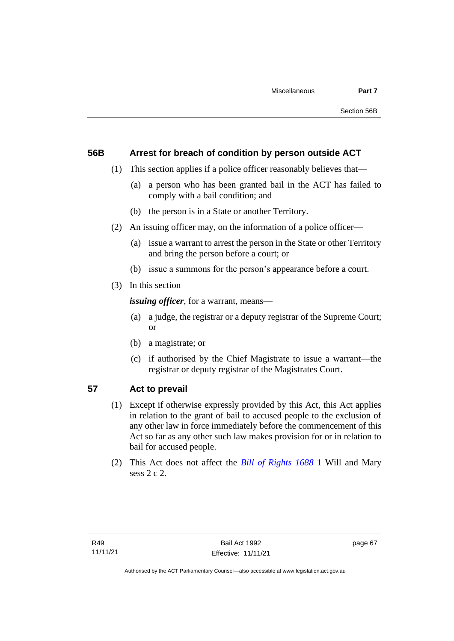# **56B Arrest for breach of condition by person outside ACT**

- (1) This section applies if a police officer reasonably believes that—
	- (a) a person who has been granted bail in the ACT has failed to comply with a bail condition; and
	- (b) the person is in a State or another Territory.
- (2) An issuing officer may, on the information of a police officer—
	- (a) issue a warrant to arrest the person in the State or other Territory and bring the person before a court; or
	- (b) issue a summons for the person's appearance before a court.
- (3) In this section

*issuing officer*, for a warrant, means—

- (a) a judge, the registrar or a deputy registrar of the Supreme Court; or
- (b) a magistrate; or
- (c) if authorised by the Chief Magistrate to issue a warrant—the registrar or deputy registrar of the Magistrates Court.

# **57 Act to prevail**

- (1) Except if otherwise expressly provided by this Act, this Act applies in relation to the grant of bail to accused people to the exclusion of any other law in force immediately before the commencement of this Act so far as any other such law makes provision for or in relation to bail for accused people.
- (2) This Act does not affect the *[Bill of Rights 1688](http://www.legislation.act.gov.au/a/db_1792/default.asp)* 1 Will and Mary sess 2 c 2.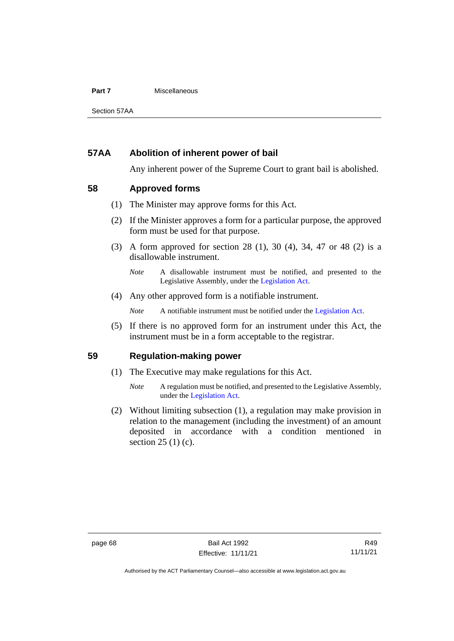#### **Part 7** Miscellaneous

Section 57AA

# **57AA Abolition of inherent power of bail**

Any inherent power of the Supreme Court to grant bail is abolished.

# **58 Approved forms**

- (1) The Minister may approve forms for this Act.
- (2) If the Minister approves a form for a particular purpose, the approved form must be used for that purpose.
- (3) A form approved for section 28 (1), 30 (4), 34, 47 or 48 (2) is a disallowable instrument.

(4) Any other approved form is a notifiable instrument.

*Note* A notifiable instrument must be notified under the [Legislation Act.](http://www.legislation.act.gov.au/a/2001-14)

(5) If there is no approved form for an instrument under this Act, the instrument must be in a form acceptable to the registrar.

# **59 Regulation-making power**

- (1) The Executive may make regulations for this Act.
	- *Note* A regulation must be notified, and presented to the Legislative Assembly, under the [Legislation Act.](http://www.legislation.act.gov.au/a/2001-14)
- (2) Without limiting subsection (1), a regulation may make provision in relation to the management (including the investment) of an amount deposited in accordance with a condition mentioned in section 25 (1) (c).

*Note* A disallowable instrument must be notified, and presented to the Legislative Assembly, under the [Legislation Act.](http://www.legislation.act.gov.au/a/2001-14)

Authorised by the ACT Parliamentary Counsel—also accessible at www.legislation.act.gov.au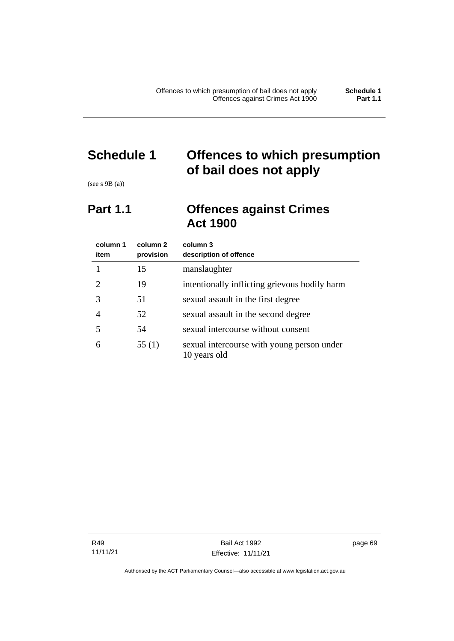# **Schedule 1 Offences to which presumption of bail does not apply**

(see s 9B (a))

# **Part 1.1 Offences against Crimes Act 1900**

| column 1<br>item | column 2<br>provision | column 3<br>description of offence                         |
|------------------|-----------------------|------------------------------------------------------------|
|                  | 15                    | manslaughter                                               |
| 2                | 19                    | intentionally inflicting grievous bodily harm              |
| 3                | 51                    | sexual assault in the first degree                         |
| 4                | 52                    | sexual assault in the second degree                        |
| 5                | 54                    | sexual intercourse without consent                         |
| 6                | 55 $(1)$              | sexual intercourse with young person under<br>10 years old |

R49 11/11/21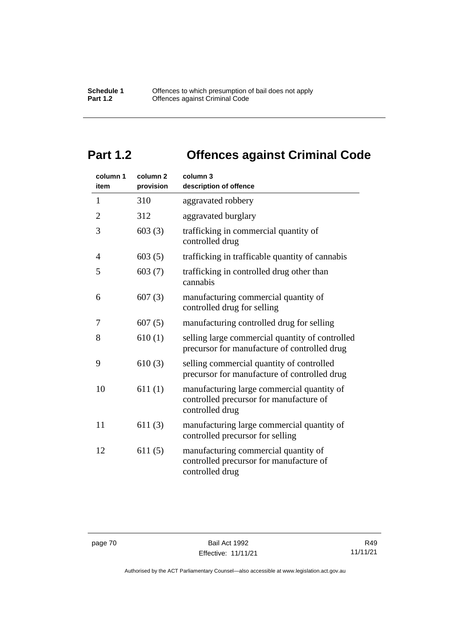# **Part 1.2 Offences against Criminal Code**

| column 1<br>item | column <sub>2</sub><br>provision | column 3<br>description of offence                                                                       |
|------------------|----------------------------------|----------------------------------------------------------------------------------------------------------|
| $\mathbf{1}$     | 310                              | aggravated robbery                                                                                       |
| $\overline{2}$   | 312                              | aggravated burglary                                                                                      |
| 3                | 603(3)                           | trafficking in commercial quantity of<br>controlled drug                                                 |
| 4                | 603(5)                           | trafficking in trafficable quantity of cannabis                                                          |
| 5                | 603(7)                           | trafficking in controlled drug other than<br>cannabis                                                    |
| 6                | 607(3)                           | manufacturing commercial quantity of<br>controlled drug for selling                                      |
| 7                | 607(5)                           | manufacturing controlled drug for selling                                                                |
| 8                | 610(1)                           | selling large commercial quantity of controlled<br>precursor for manufacture of controlled drug          |
| 9                | 610(3)                           | selling commercial quantity of controlled<br>precursor for manufacture of controlled drug                |
| 10               | 611(1)                           | manufacturing large commercial quantity of<br>controlled precursor for manufacture of<br>controlled drug |
| 11               | 611(3)                           | manufacturing large commercial quantity of<br>controlled precursor for selling                           |
| 12               | 611(5)                           | manufacturing commercial quantity of<br>controlled precursor for manufacture of<br>controlled drug       |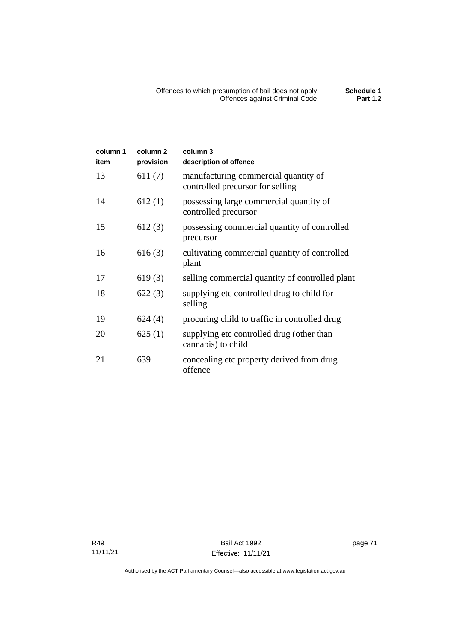| column 1<br>item | column <sub>2</sub><br>provision | column 3<br>description of offence                                       |
|------------------|----------------------------------|--------------------------------------------------------------------------|
| 13               | 611(7)                           | manufacturing commercial quantity of<br>controlled precursor for selling |
| 14               | 612(1)                           | possessing large commercial quantity of<br>controlled precursor          |
| 15               | 612(3)                           | possessing commercial quantity of controlled<br>precursor                |
| 16               | 616(3)                           | cultivating commercial quantity of controlled<br>plant                   |
| 17               | 619(3)                           | selling commercial quantity of controlled plant                          |
| 18               | 622(3)                           | supplying etc controlled drug to child for<br>selling                    |
| 19               | 624(4)                           | procuring child to traffic in controlled drug                            |
| 20               | 625(1)                           | supplying etc controlled drug (other than<br>cannabis) to child          |
| 21               | 639                              | concealing etc property derived from drug<br>offence                     |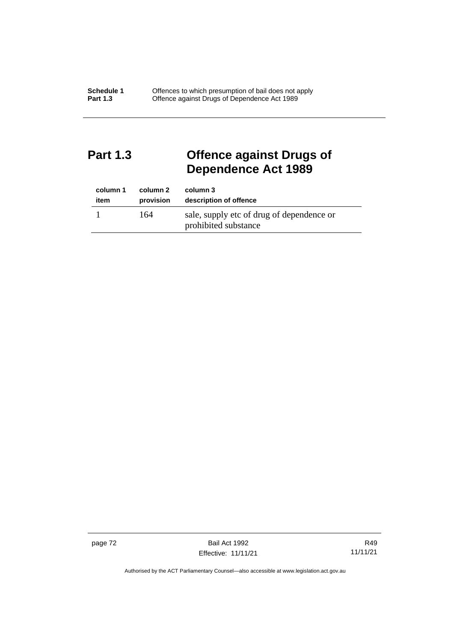# **Part 1.3 Offence against Drugs of Dependence Act 1989**

| column 1 | column 2  | column 3                                                          |
|----------|-----------|-------------------------------------------------------------------|
| item     | provision | description of offence                                            |
|          | 164       | sale, supply etc of drug of dependence or<br>prohibited substance |

page 72 Bail Act 1992 Effective: 11/11/21

R49 11/11/21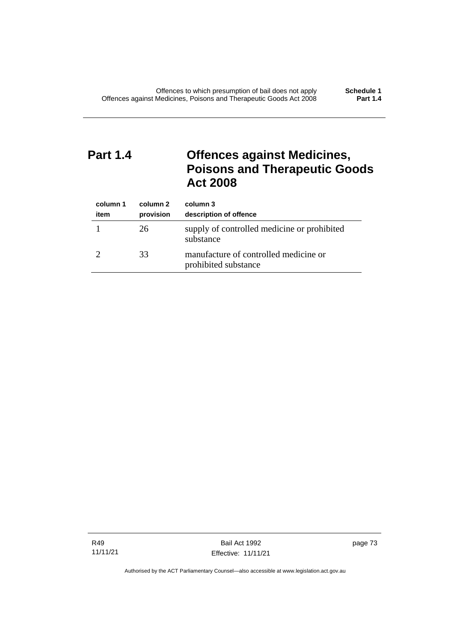# **Part 1.4 Offences against Medicines, Poisons and Therapeutic Goods Act 2008**

| column 1<br>item | column 2<br>provision | column 3<br>description of offence                            |
|------------------|-----------------------|---------------------------------------------------------------|
|                  | 26                    | supply of controlled medicine or prohibited<br>substance      |
|                  | 33                    | manufacture of controlled medicine or<br>prohibited substance |

R49 11/11/21

Bail Act 1992 Effective: 11/11/21 page 73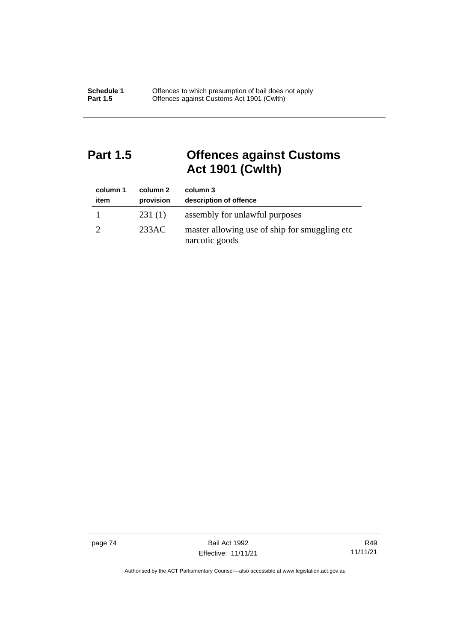# **Part 1.5 Offences against Customs Act 1901 (Cwlth)**

| column 1<br>item | column 2<br>provision | column 3<br>description of offence                               |
|------------------|-----------------------|------------------------------------------------------------------|
|                  | 231(1)                | assembly for unlawful purposes                                   |
|                  | 233AC                 | master allowing use of ship for smuggling etc.<br>narcotic goods |

page 74 Bail Act 1992 Effective: 11/11/21

R49 11/11/21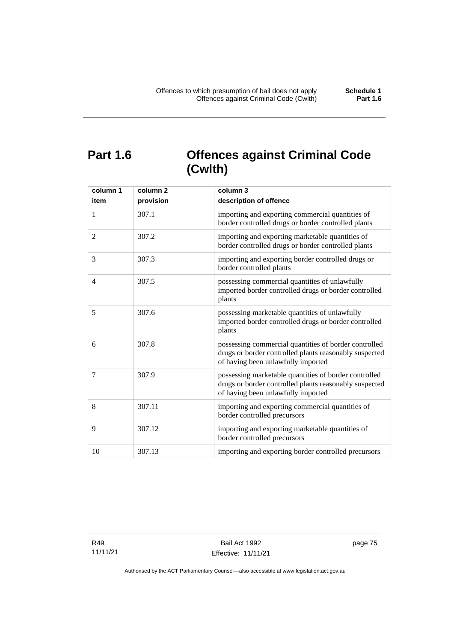# **Part 1.6 Offences against Criminal Code (Cwlth)**

| column 1       | column <sub>2</sub> | column 3                                                                                                                                              |
|----------------|---------------------|-------------------------------------------------------------------------------------------------------------------------------------------------------|
| item           | provision           | description of offence                                                                                                                                |
| $\mathbf{1}$   | 307.1               | importing and exporting commercial quantities of<br>border controlled drugs or border controlled plants                                               |
| 2              | 307.2               | importing and exporting marketable quantities of<br>border controlled drugs or border controlled plants                                               |
| 3              | 307.3               | importing and exporting border controlled drugs or<br>border controlled plants                                                                        |
| $\overline{4}$ | 307.5               | possessing commercial quantities of unlawfully<br>imported border controlled drugs or border controlled<br>plants                                     |
| 5              | 307.6               | possessing marketable quantities of unlawfully<br>imported border controlled drugs or border controlled<br>plants                                     |
| 6              | 307.8               | possessing commercial quantities of border controlled<br>drugs or border controlled plants reasonably suspected<br>of having been unlawfully imported |
| 7              | 307.9               | possessing marketable quantities of border controlled<br>drugs or border controlled plants reasonably suspected<br>of having been unlawfully imported |
| 8              | 307.11              | importing and exporting commercial quantities of<br>border controlled precursors                                                                      |
| 9              | 307.12              | importing and exporting marketable quantities of<br>border controlled precursors                                                                      |
| 10             | 307.13              | importing and exporting border controlled precursors                                                                                                  |

R49 11/11/21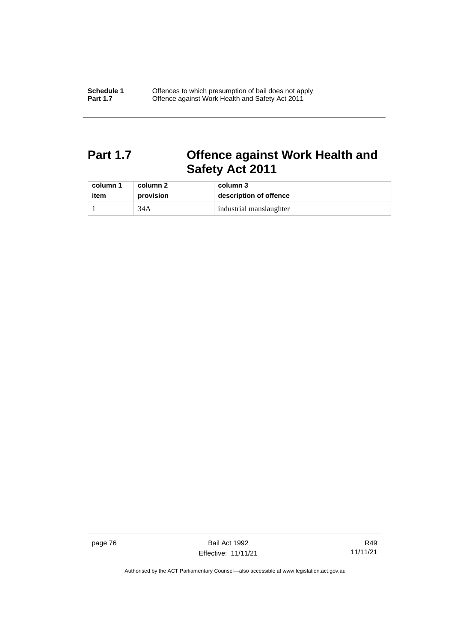# **Part 1.7 Offence against Work Health and Safety Act 2011**

| column 1 | column 2  | column 3                |
|----------|-----------|-------------------------|
| item     | provision | description of offence  |
|          | 34A       | industrial manslaughter |

page 76 Bail Act 1992 Effective: 11/11/21

R49 11/11/21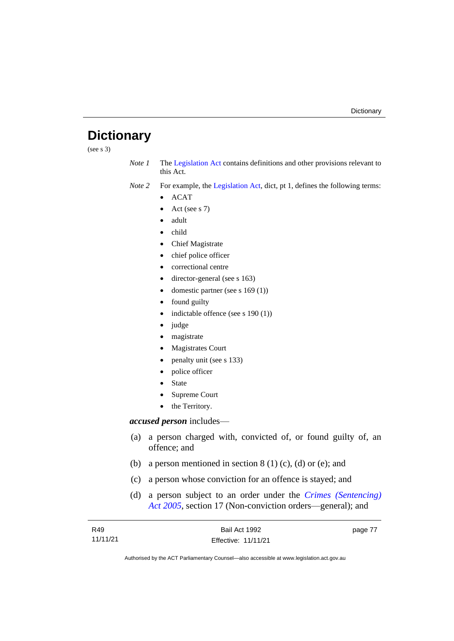# **Dictionary**

(see s 3)

*Note 1* The [Legislation Act](http://www.legislation.act.gov.au/a/2001-14) contains definitions and other provisions relevant to this Act.

*Note 2* For example, the [Legislation Act,](http://www.legislation.act.gov.au/a/2001-14) dict, pt 1, defines the following terms:

- ACAT
- Act (see s 7)
- adult
- child
- Chief Magistrate
- chief police officer
- correctional centre
- director-general (see s 163)
- domestic partner (see s 169 (1))
- found guilty
- indictable offence (see s 190 (1))
- judge
- magistrate
- Magistrates Court
- penalty unit (see s 133)
- police officer
- **State**
- Supreme Court
- the Territory.

## *accused person* includes—

- (a) a person charged with, convicted of, or found guilty of, an offence; and
- (b) a person mentioned in section  $8(1)(c)$ , (d) or (e); and
- (c) a person whose conviction for an offence is stayed; and
- (d) a person subject to an order under the *[Crimes \(Sentencing\)](http://www.legislation.act.gov.au/a/2005-58)  Act [2005](http://www.legislation.act.gov.au/a/2005-58)*, section 17 (Non-conviction orders—general); and

| R49      | Bail Act 1992       | page 77 |
|----------|---------------------|---------|
| 11/11/21 | Effective: 11/11/21 |         |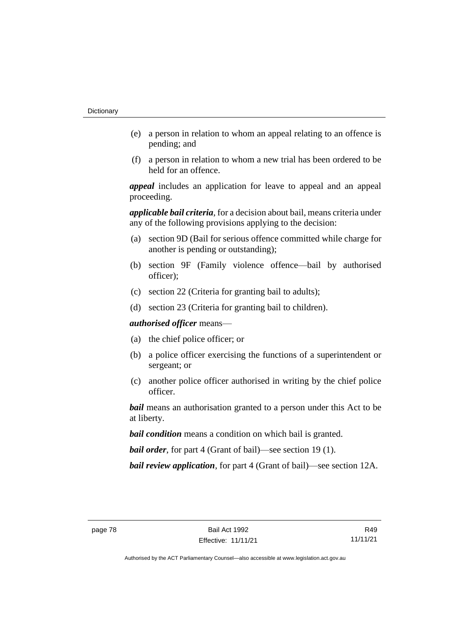- (e) a person in relation to whom an appeal relating to an offence is pending; and
- (f) a person in relation to whom a new trial has been ordered to be held for an offence.

*appeal* includes an application for leave to appeal and an appeal proceeding.

*applicable bail criteria*, for a decision about bail, means criteria under any of the following provisions applying to the decision:

- (a) section 9D (Bail for serious offence committed while charge for another is pending or outstanding);
- (b) section 9F (Family violence offence—bail by authorised officer);
- (c) section 22 (Criteria for granting bail to adults);
- (d) section 23 (Criteria for granting bail to children).

*authorised officer* means—

- (a) the chief police officer; or
- (b) a police officer exercising the functions of a superintendent or sergeant; or
- (c) another police officer authorised in writing by the chief police officer.

*bail* means an authorisation granted to a person under this Act to be at liberty.

*bail condition* means a condition on which bail is granted.

*bail order*, for part 4 (Grant of bail)—see section 19 (1).

*bail review application*, for part 4 (Grant of bail)—see section 12A.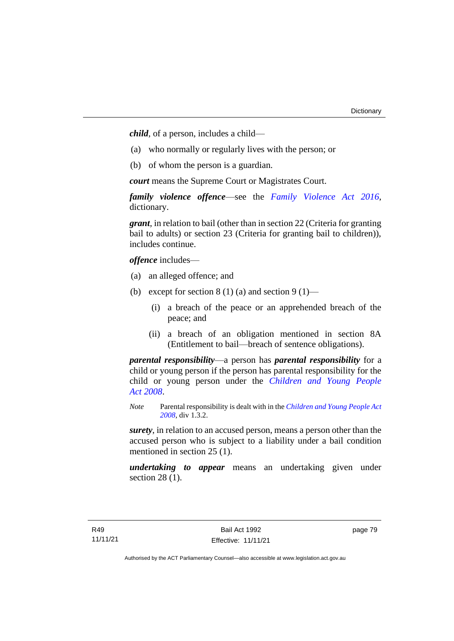*child*, of a person, includes a child—

- (a) who normally or regularly lives with the person; or
- (b) of whom the person is a guardian.

*court* means the Supreme Court or Magistrates Court.

*family violence offence*—see the *Family [Violence Act 2016](http://www.legislation.act.gov.au/a/2016-42)*, dictionary.

*grant*, in relation to bail (other than in section 22 (Criteria for granting bail to adults) or section 23 (Criteria for granting bail to children)), includes continue.

*offence* includes—

- (a) an alleged offence; and
- (b) except for section  $8(1)(a)$  and section  $9(1)$ 
	- (i) a breach of the peace or an apprehended breach of the peace; and
	- (ii) a breach of an obligation mentioned in section 8A (Entitlement to bail—breach of sentence obligations).

*parental responsibility*—a person has *parental responsibility* for a child or young person if the person has parental responsibility for the child or young person under the *[Children and Young People](http://www.legislation.act.gov.au/a/2008-19)  Act [2008](http://www.legislation.act.gov.au/a/2008-19)*.

*Note* Parental responsibility is dealt with in the *[Children and Young People Act](http://www.legislation.act.gov.au/a/2008-19)  [2008](http://www.legislation.act.gov.au/a/2008-19)*, div 1.3.2.

*surety*, in relation to an accused person, means a person other than the accused person who is subject to a liability under a bail condition mentioned in section 25 (1).

*undertaking to appear* means an undertaking given under section 28 (1).

page 79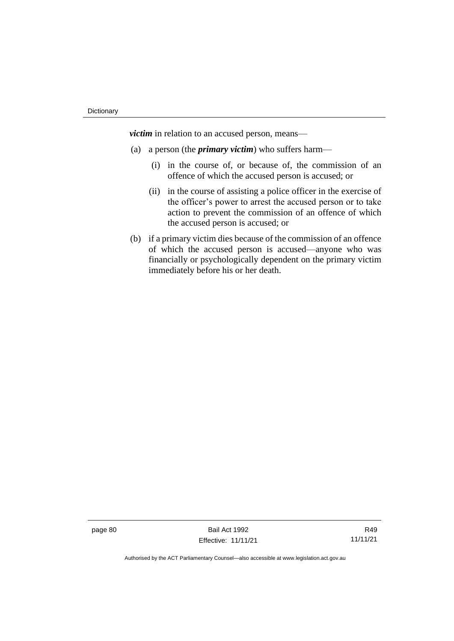*victim* in relation to an accused person, means—

- (a) a person (the *primary victim*) who suffers harm—
	- (i) in the course of, or because of, the commission of an offence of which the accused person is accused; or
	- (ii) in the course of assisting a police officer in the exercise of the officer's power to arrest the accused person or to take action to prevent the commission of an offence of which the accused person is accused; or
- (b) if a primary victim dies because of the commission of an offence of which the accused person is accused—anyone who was financially or psychologically dependent on the primary victim immediately before his or her death.

page 80 Bail Act 1992 Effective: 11/11/21

R49 11/11/21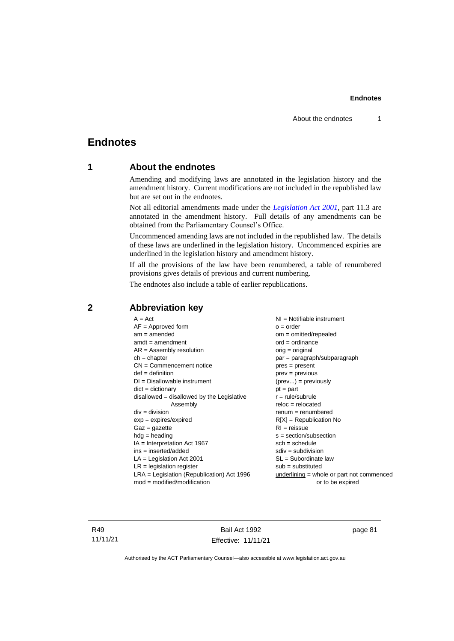# **Endnotes**

# **1 About the endnotes**

Amending and modifying laws are annotated in the legislation history and the amendment history. Current modifications are not included in the republished law but are set out in the endnotes.

Not all editorial amendments made under the *[Legislation Act 2001](http://www.legislation.act.gov.au/a/2001-14)*, part 11.3 are annotated in the amendment history. Full details of any amendments can be obtained from the Parliamentary Counsel's Office.

Uncommenced amending laws are not included in the republished law. The details of these laws are underlined in the legislation history. Uncommenced expiries are underlined in the legislation history and amendment history.

If all the provisions of the law have been renumbered, a table of renumbered provisions gives details of previous and current numbering.

The endnotes also include a table of earlier republications.

| $A = Act$                                    | $NI = Notifiable$ instrument                |
|----------------------------------------------|---------------------------------------------|
| $AF =$ Approved form                         | $o = order$                                 |
| $am = amended$                               | $om = omitted/repealed$                     |
| $amdt = amendment$                           | $ord = ordinance$                           |
| $AR = Assembly resolution$                   | $orig = original$                           |
| $ch = chapter$                               | par = paragraph/subparagraph                |
| $CN =$ Commencement notice                   | pres = present                              |
| $def = definition$                           | $prev = previous$                           |
| $DI = Disallowable instrument$               | $(\text{prev}) = \text{previously}$         |
| $dict = dictionary$                          | $pt = part$                                 |
| $disallowed = disallowed by the Legislative$ | $r = rule/subrule$                          |
| Assembly                                     | $reloc = relocated$                         |
| $div = division$                             | $renum = renumbered$                        |
| $exp = expires/expired$                      | $R[X]$ = Republication No                   |
| $Gaz = gazette$                              | $RI =$ reissue                              |
| $hdg =$ heading                              | $s = section/subsection$                    |
| $IA = Interpretation Act 1967$               | $sch = schedule$                            |
| ins = inserted/added                         | $sdiv = subdivision$                        |
| $LA =$ Legislation Act 2001                  | $SL = Subordinate$ law                      |
| $LR =$ legislation register                  | $sub =$ substituted                         |
| $LRA =$ Legislation (Republication) Act 1996 | $underlining = whole or part not commenced$ |
| $mod = modified/modification$                | or to be expired                            |
|                                              |                                             |

### **2 Abbreviation key**

R49 11/11/21

Bail Act 1992 Effective: 11/11/21 page 81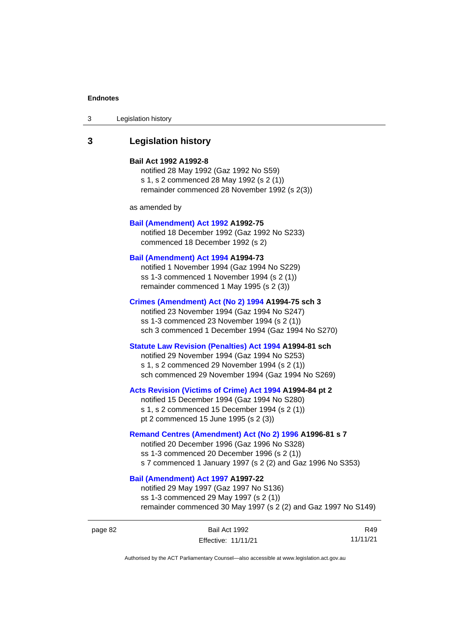3 Legislation history

# **3 Legislation history**

#### **Bail Act 1992 A1992-8**

notified 28 May 1992 (Gaz 1992 No S59) s 1, s 2 commenced 28 May 1992 (s 2 (1)) remainder commenced 28 November 1992 (s 2(3))

as amended by

#### **[Bail \(Amendment\) Act 1992](http://www.legislation.act.gov.au/a/1992-75) A1992-75**

notified 18 December 1992 (Gaz 1992 No S233) commenced 18 December 1992 (s 2)

### **[Bail \(Amendment\) Act 1994](http://www.legislation.act.gov.au/a/1994-73) A1994-73**

notified 1 November 1994 (Gaz 1994 No S229) ss 1-3 commenced 1 November 1994 (s 2 (1)) remainder commenced 1 May 1995 (s 2 (3))

### **[Crimes \(Amendment\) Act \(No 2\) 1994](http://www.legislation.act.gov.au/a/1994-75) A1994-75 sch 3**

notified 23 November 1994 (Gaz 1994 No S247) ss 1-3 commenced 23 November 1994 (s 2 (1)) sch 3 commenced 1 December 1994 (Gaz 1994 No S270)

#### **[Statute Law Revision \(Penalties\) Act 1994](http://www.legislation.act.gov.au/a/1994-81) A1994-81 sch**

notified 29 November 1994 (Gaz 1994 No S253) s 1, s 2 commenced 29 November 1994 (s 2 (1)) sch commenced 29 November 1994 (Gaz 1994 No S269)

#### **[Acts Revision \(Victims of Crime\) Act 1994](http://www.legislation.act.gov.au/a/1994-84) A1994-84 pt 2**

notified 15 December 1994 (Gaz 1994 No S280) s 1, s 2 commenced 15 December 1994 (s 2 (1)) pt 2 commenced 15 June 1995 (s 2 (3))

#### **[Remand Centres \(Amendment\) Act \(No 2\) 1996](http://www.legislation.act.gov.au/a/1996-81) A1996-81 s 7**

notified 20 December 1996 (Gaz 1996 No S328) ss 1-3 commenced 20 December 1996 (s 2 (1)) s 7 commenced 1 January 1997 (s 2 (2) and Gaz 1996 No S353)

### **[Bail \(Amendment\) Act 1997](http://www.legislation.act.gov.au/a/1997-22) A1997-22**

notified 29 May 1997 (Gaz 1997 No S136) ss 1-3 commenced 29 May 1997 (s 2 (1)) remainder commenced 30 May 1997 (s 2 (2) and Gaz 1997 No S149)

| page 82 | Bail Act 1992       | R49      |
|---------|---------------------|----------|
|         | Effective: 11/11/21 | 11/11/21 |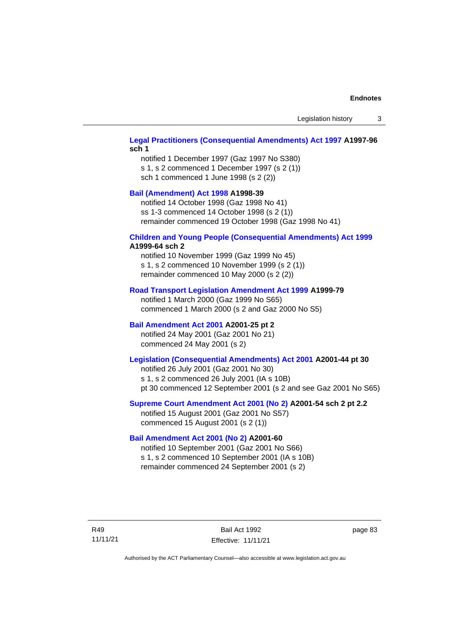Legislation history 3

#### **[Legal Practitioners \(Consequential Amendments\) Act 1997](http://www.legislation.act.gov.au/a/1997-96) A1997-96 sch 1**

notified 1 December 1997 (Gaz 1997 No S380) s 1, s 2 commenced 1 December 1997 (s 2 (1)) sch 1 commenced 1 June 1998 (s 2 (2))

### **[Bail \(Amendment\) Act 1998](http://www.legislation.act.gov.au/a/1998-39) A1998-39**

notified 14 October 1998 (Gaz 1998 No 41) ss 1-3 commenced 14 October 1998 (s 2 (1)) remainder commenced 19 October 1998 (Gaz 1998 No 41)

# **[Children and Young People \(Consequential Amendments\) Act 1999](http://www.legislation.act.gov.au/a/1999-64)**

# **A1999-64 sch 2**

notified 10 November 1999 (Gaz 1999 No 45) s 1, s 2 commenced 10 November 1999 (s 2 (1)) remainder commenced 10 May 2000 (s 2 (2))

#### **[Road Transport Legislation Amendment Act 1999](http://www.legislation.act.gov.au/a/1999-79) A1999-79**

notified 1 March 2000 (Gaz 1999 No S65) commenced 1 March 2000 (s 2 and Gaz 2000 No S5)

### **[Bail Amendment Act 2001](http://www.legislation.act.gov.au/a/2001-25) A2001-25 pt 2**

notified 24 May 2001 (Gaz 2001 No 21) commenced 24 May 2001 (s 2)

### **[Legislation \(Consequential Amendments\) Act 2001](http://www.legislation.act.gov.au/a/2001-44) A2001-44 pt 30**

notified 26 July 2001 (Gaz 2001 No 30) s 1, s 2 commenced 26 July 2001 (IA s 10B) pt 30 commenced 12 September 2001 (s 2 and see Gaz 2001 No S65)

#### **[Supreme Court Amendment Act 2001 \(No 2\)](http://www.legislation.act.gov.au/a/2001-54) A2001-54 sch 2 pt 2.2**

notified 15 August 2001 (Gaz 2001 No S57) commenced 15 August 2001 (s 2 (1))

#### **[Bail Amendment Act 2001 \(No 2\)](http://www.legislation.act.gov.au/a/2001-60) A2001-60**

notified 10 September 2001 (Gaz 2001 No S66) s 1, s 2 commenced 10 September 2001 (IA s 10B) remainder commenced 24 September 2001 (s 2)

R49 11/11/21

Bail Act 1992 Effective: 11/11/21 page 83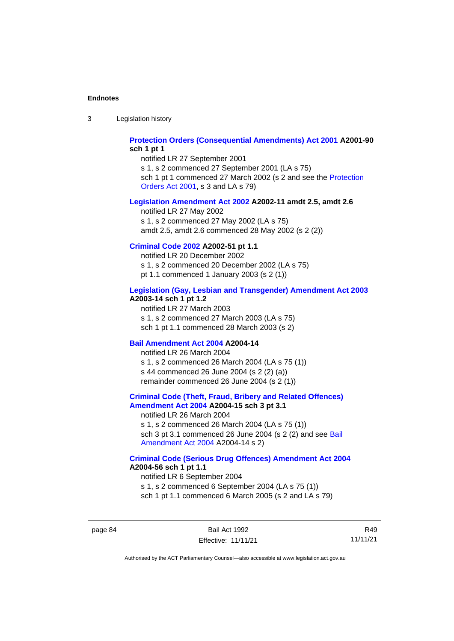3 Legislation history

#### **[Protection Orders \(Consequential Amendments\) Act 2001](http://www.legislation.act.gov.au/a/2001-90) A2001-90 sch 1 pt 1**

notified LR 27 September 2001 s 1, s 2 commenced 27 September 2001 (LA s 75)

sch 1 pt 1 commenced 27 March 2002 (s 2 and see the [Protection](http://www.legislation.act.gov.au/a/2001-89)  [Orders Act 2001,](http://www.legislation.act.gov.au/a/2001-89) s 3 and LA s 79)

#### **[Legislation Amendment](http://www.legislation.act.gov.au/a/2002-11) Act 2002 A2002-11 amdt 2.5, amdt 2.6**

notified LR 27 May 2002 s 1, s 2 commenced 27 May 2002 (LA s 75) amdt 2.5, amdt 2.6 commenced 28 May 2002 (s 2 (2))

### **[Criminal Code 2002](http://www.legislation.act.gov.au/a/2002-51) A2002-51 pt 1.1**

notified LR 20 December 2002 s 1, s 2 commenced 20 December 2002 (LA s 75) pt 1.1 commenced 1 January 2003 (s 2 (1))

#### **[Legislation \(Gay, Lesbian and Transgender\) Amendment Act 2003](http://www.legislation.act.gov.au/a/2003-14) A2003-14 sch 1 pt 1.2**

notified LR 27 March 2003 s 1, s 2 commenced 27 March 2003 (LA s 75) sch 1 pt 1.1 commenced 28 March 2003 (s 2)

#### **[Bail Amendment Act 2004](http://www.legislation.act.gov.au/a/2004-14) A2004-14**

notified LR 26 March 2004 s 1, s 2 commenced 26 March 2004 (LA s 75 (1)) s 44 commenced 26 June 2004 (s 2 (2) (a)) remainder commenced 26 June 2004 (s 2 (1))

#### **[Criminal Code \(Theft, Fraud, Bribery and Related Offences\)](http://www.legislation.act.gov.au/a/2004-15)  [Amendment Act 2004](http://www.legislation.act.gov.au/a/2004-15) A2004-15 sch 3 pt 3.1**

notified LR 26 March 2004 s 1, s 2 commenced 26 March 2004 (LA s 75 (1)) sch 3 pt 3.1 commenced 26 June 2004 (s 2 (2) and see Bail [Amendment Act 2004](http://www.legislation.act.gov.au/a/2004-14) A2004-14 s 2)

#### **[Criminal Code \(Serious Drug Offences\) Amendment Act 2004](http://www.legislation.act.gov.au/a/2004-56) A2004-56 sch 1 pt 1.1**

notified LR 6 September 2004 s 1, s 2 commenced 6 September 2004 (LA s 75 (1)) sch 1 pt 1.1 commenced 6 March 2005 (s 2 and LA s 79)

page 84 Bail Act 1992 Effective: 11/11/21

R49 11/11/21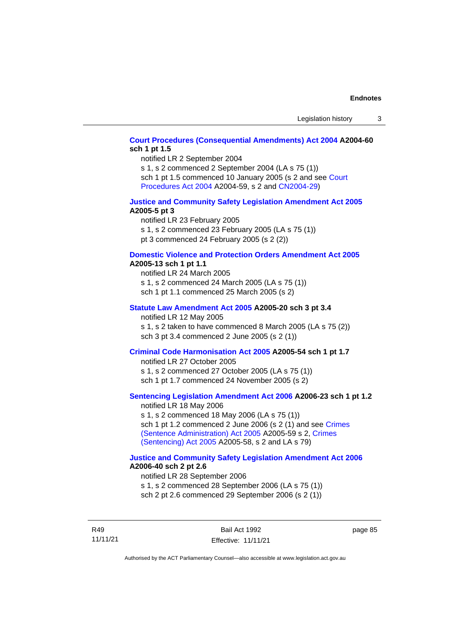#### **[Court Procedures \(Consequential Amendments\) Act 2004](http://www.legislation.act.gov.au/a/2004-60) A2004-60 sch 1 pt 1.5**

notified LR 2 September 2004

s 1, s 2 commenced 2 September 2004 (LA s 75 (1)) sch 1 pt 1.5 commenced 10 January 2005 (s 2 and see [Court](http://www.legislation.act.gov.au/a/2004-59)  [Procedures Act](http://www.legislation.act.gov.au/a/2004-59) 2004 A2004-59, s 2 and [CN2004-29\)](http://www.legislation.act.gov.au/cn/2004-29/default.asp)

#### **[Justice and Community Safety Legislation Amendment Act 2005](http://www.legislation.act.gov.au/a/2005-5) A2005-5 pt 3**

notified LR 23 February 2005 s 1, s 2 commenced 23 February 2005 (LA s 75 (1)) pt 3 commenced 24 February 2005 (s 2 (2))

#### **[Domestic Violence and Protection Orders Amendment Act 2005](http://www.legislation.act.gov.au/a/2005-13) A2005-13 sch 1 pt 1.1**

notified LR 24 March 2005 s 1, s 2 commenced 24 March 2005 (LA s 75 (1)) sch 1 pt 1.1 commenced 25 March 2005 (s 2)

# **[Statute Law Amendment Act 2005](http://www.legislation.act.gov.au/a/2005-20) A2005-20 sch 3 pt 3.4**

notified LR 12 May 2005

s 1, s 2 taken to have commenced 8 March 2005 (LA s 75 (2)) sch 3 pt 3.4 commenced 2 June 2005 (s 2 (1))

#### **[Criminal Code Harmonisation Act 2005](http://www.legislation.act.gov.au/a/2005-54) A2005-54 sch 1 pt 1.7**

notified LR 27 October 2005 s 1, s 2 commenced 27 October 2005 (LA s 75 (1)) sch 1 pt 1.7 commenced 24 November 2005 (s 2)

### **[Sentencing Legislation Amendment](http://www.legislation.act.gov.au/a/2006-23) Act 2006 A2006-23 sch 1 pt 1.2**

notified LR 18 May 2006 s 1, s 2 commenced 18 May 2006 (LA s 75 (1)) sch 1 pt 1.2 commenced 2 June 2006 (s 2 (1) and see [Crimes](http://www.legislation.act.gov.au/a/2005-59)  [\(Sentence Administration\) Act 2005](http://www.legislation.act.gov.au/a/2005-59) A2005-59 s 2, [Crimes](http://www.legislation.act.gov.au/a/2005-58)  [\(Sentencing\) Act 2005](http://www.legislation.act.gov.au/a/2005-58) A2005-58, s 2 and LA s 79)

#### **[Justice and Community Safety Legislation Amendment Act](http://www.legislation.act.gov.au/a/2006-40) 2006 A2006-40 sch 2 pt 2.6**

notified LR 28 September 2006 s 1, s 2 commenced 28 September 2006 (LA s 75 (1)) sch 2 pt 2.6 commenced 29 September 2006 (s 2 (1))

R49 11/11/21

Bail Act 1992 Effective: 11/11/21 page 85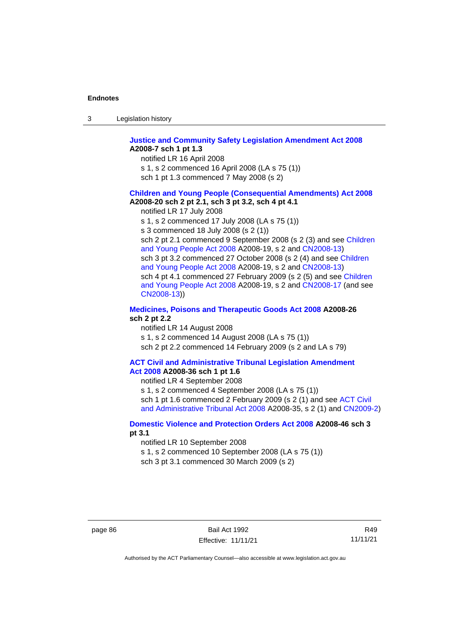| Legislation history<br>-3 |
|---------------------------|
|---------------------------|

#### **[Justice and Community Safety Legislation Amendment Act 2008](http://www.legislation.act.gov.au/a/2008-7) A2008-7 sch 1 pt 1.3**

notified LR 16 April 2008

s 1, s 2 commenced 16 April 2008 (LA s 75 (1))

sch 1 pt 1.3 commenced 7 May 2008 (s 2)

#### **Children and [Young People \(Consequential Amendments\) Act 2008](http://www.legislation.act.gov.au/a/2008-20) A2008-20 sch 2 pt 2.1, sch 3 pt 3.2, sch 4 pt 4.1**

notified LR 17 July 2008

s 1, s 2 commenced 17 July 2008 (LA s 75 (1))

s 3 commenced 18 July 2008 (s 2 (1))

sch 2 pt 2.1 commenced 9 September 2008 (s 2 (3) and see Children [and Young People Act 2008](http://www.legislation.act.gov.au/a/2008-19) A2008-19, s 2 and [CN2008-13\)](http://www.legislation.act.gov.au/cn/2008-13/default.asp) sch 3 pt 3.2 commenced 27 October 2008 (s 2 (4) and see Children [and Young People Act 2008](http://www.legislation.act.gov.au/a/2008-19) A2008-19, s 2 and [CN2008-13\)](http://www.legislation.act.gov.au/cn/2008-13/default.asp) sch 4 pt 4.1 commenced 27 February 2009 (s 2 (5) and see [Children](http://www.legislation.act.gov.au/a/2008-19)  [and Young People Act 2008](http://www.legislation.act.gov.au/a/2008-19) A2008-19, s 2 and [CN2008-17 \(](http://www.legislation.act.gov.au/cn/2008-17/default.asp)and see [CN2008-13\)](http://www.legislation.act.gov.au/cn/2008-13/default.asp))

#### **[Medicines, Poisons and Therapeutic Goods Act](http://www.legislation.act.gov.au/a/2008-26#history) 2008 A2008-26 sch 2 pt 2.2**

notified LR 14 August 2008 s 1, s 2 commenced 14 August 2008 (LA s 75 (1)) sch 2 pt 2.2 commenced 14 February 2009 (s 2 and LA s 79)

#### **[ACT Civil and Administrative Tribunal Legislation Amendment](http://www.legislation.act.gov.au/a/2008-36)  Act [2008](http://www.legislation.act.gov.au/a/2008-36) A2008-36 sch 1 pt 1.6**

notified LR 4 September 2008

s 1, s 2 commenced 4 September 2008 (LA s 75 (1)) sch 1 pt 1.6 commenced 2 February 2009 (s 2 (1) and see [ACT Civil](http://www.legislation.act.gov.au/a/2008-35)  [and Administrative Tribunal Act 2008](http://www.legislation.act.gov.au/a/2008-35) A2008-35, s 2 (1) and [CN2009-2\)](http://www.legislation.act.gov.au/cn/2009-2/default.asp)

#### **[Domestic Violence and Protection Orders Act 2008](http://www.legislation.act.gov.au/a/2008-46#history) A2008-46 sch 3 pt 3.1**

notified LR 10 September 2008

s 1, s 2 commenced 10 September 2008 (LA s 75 (1))

sch 3 pt 3.1 commenced 30 March 2009 (s 2)

R49 11/11/21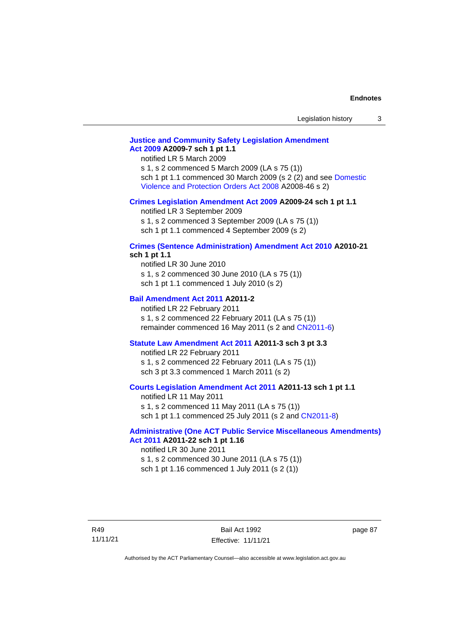### **[Justice and Community Safety Legislation Amendment](http://www.legislation.act.gov.au/a/2009-7)  Act [2009](http://www.legislation.act.gov.au/a/2009-7) A2009-7 sch 1 pt 1.1**

notified LR 5 March 2009

s 1, s 2 commenced 5 March 2009 (LA s 75 (1)) sch 1 pt 1.1 commenced 30 March 2009 (s 2 (2) and see Domestic [Violence and Protection Orders Act 2008](http://www.legislation.act.gov.au/a/2008-46) A2008-46 s 2)

#### **[Crimes Legislation Amendment Act 2009](http://www.legislation.act.gov.au/a/2009-24) A2009-24 sch 1 pt 1.1**

notified LR 3 September 2009

s 1, s 2 commenced 3 September 2009 (LA s 75 (1))

sch 1 pt 1.1 commenced 4 September 2009 (s 2)

# **[Crimes \(Sentence Administration\) Amendment Act 2010](http://www.legislation.act.gov.au/a/2010-21) A2010-21**

# **sch 1 pt 1.1**

notified LR 30 June 2010 s 1, s 2 commenced 30 June 2010 (LA s 75 (1)) sch 1 pt 1.1 commenced 1 July 2010 (s 2)

#### **[Bail Amendment Act 2011](http://www.legislation.act.gov.au/a/2011-2) A2011-2**

notified LR 22 February 2011 s 1, s 2 commenced 22 February 2011 (LA s 75 (1)) remainder commenced 16 May 2011 (s 2 and [CN2011-6\)](http://www.legislation.act.gov.au/cn/2011-6/default.asp)

#### **[Statute Law Amendment Act 2011](http://www.legislation.act.gov.au/a/2011-3) A2011-3 sch 3 pt 3.3**

notified LR 22 February 2011 s 1, s 2 commenced 22 February 2011 (LA s 75 (1)) sch 3 pt 3.3 commenced 1 March 2011 (s 2)

#### **[Courts Legislation Amendment Act 2011](http://www.legislation.act.gov.au/a/2011-13) A2011-13 sch 1 pt 1.1**

notified LR 11 May 2011 s 1, s 2 commenced 11 May 2011 (LA s 75 (1)) sch 1 pt 1.1 commenced 25 July 2011 (s 2 and [CN2011-8\)](http://www.legislation.act.gov.au/cn/2011-8/default.asp)

#### **[Administrative \(One ACT Public Service Miscellaneous Amendments\)](http://www.legislation.act.gov.au/a/2011-22)  Act [2011](http://www.legislation.act.gov.au/a/2011-22) A2011-22 sch 1 pt 1.16**

notified LR 30 June 2011 s 1, s 2 commenced 30 June 2011 (LA s 75 (1)) sch 1 pt 1.16 commenced 1 July 2011 (s 2 (1))

Bail Act 1992 Effective: 11/11/21 page 87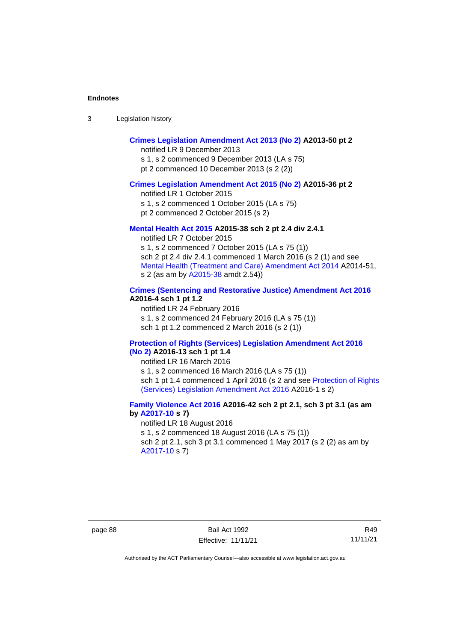| Legislation history<br>-3 |  |
|---------------------------|--|
|---------------------------|--|

# **[Crimes Legislation Amendment Act 2013 \(No 2\)](http://www.legislation.act.gov.au/a/2013-50) A2013-50 pt 2**

notified LR 9 December 2013

s 1, s 2 commenced 9 December 2013 (LA s 75) pt 2 commenced 10 December 2013 (s 2 (2))

#### **[Crimes Legislation Amendment Act 2015 \(No 2\)](http://www.legislation.act.gov.au/a/2015-36) A2015-36 pt 2**

notified LR 1 October 2015

s 1, s 2 commenced 1 October 2015 (LA s 75)

pt 2 commenced 2 October 2015 (s 2)

#### **[Mental Health Act 2015](http://www.legislation.act.gov.au/a/2015-38#history) A2015-38 sch 2 pt 2.4 div 2.4.1**

notified LR 7 October 2015 s 1, s 2 commenced 7 October 2015 (LA s 75 (1)) sch 2 pt 2.4 div 2.4.1 commenced 1 March 2016 (s 2 (1) and see [Mental Health \(Treatment and Care\) Amendment Act 2014](http://www.legislation.act.gov.au/a/2014-51/default.asp) A2014-51, s 2 (as am by [A2015-38](http://www.legislation.act.gov.au/a/2015-38) amdt 2.54))

### **[Crimes \(Sentencing and Restorative Justice\) Amendment Act 2016](http://www.legislation.act.gov.au/a/2016-4/default.asp) A2016-4 sch 1 pt 1.2**

notified LR 24 February 2016 s 1, s 2 commenced 24 February 2016 (LA s 75 (1)) sch 1 pt 1.2 commenced 2 March 2016 (s 2 (1))

#### **[Protection of Rights \(Services\) Legislation Amendment Act 2016](http://www.legislation.act.gov.au/a/2016-13)  [\(No](http://www.legislation.act.gov.au/a/2016-13) 2) A2016-13 sch 1 pt 1.4**

notified LR 16 March 2016

s 1, s 2 commenced 16 March 2016 (LA s 75 (1)) sch 1 pt 1.4 commenced 1 April 2016 (s 2 and see [Protection of Rights](http://www.legislation.act.gov.au/a/2016-1/default.asp)  [\(Services\) Legislation Amendment Act 2016](http://www.legislation.act.gov.au/a/2016-1/default.asp) A2016-1 s 2)

### **[Family Violence Act 2016](http://www.legislation.act.gov.au/a/2016-42#history) A2016-42 sch 2 pt 2.1, sch 3 pt 3.1 (as am by [A2017-10](http://www.legislation.act.gov.au/a/2017-10/default.asp) s 7)**

notified LR 18 August 2016 s 1, s 2 commenced 18 August 2016 (LA s 75 (1)) sch 2 pt 2.1, sch 3 pt 3.1 commenced 1 May 2017 (s 2 (2) as am by [A2017-10](http://www.legislation.act.gov.au/a/2017-10/default.asp) s 7)

R49 11/11/21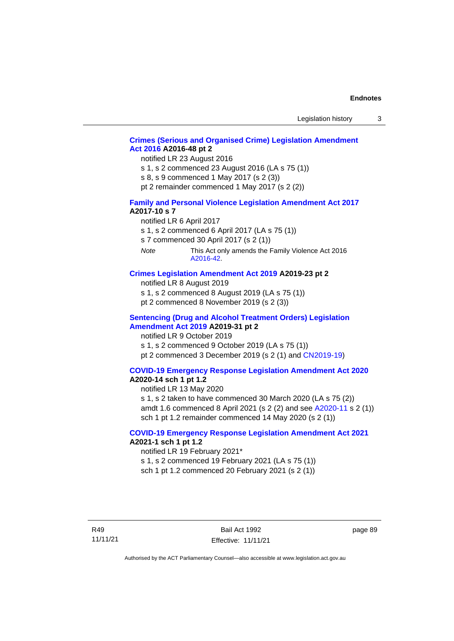### **[Crimes \(Serious and Organised Crime\) Legislation Amendment](http://www.legislation.act.gov.au/a/2016-48/default.asp)  Act [2016](http://www.legislation.act.gov.au/a/2016-48/default.asp) A2016-48 pt 2**

notified LR 23 August 2016

s 1, s 2 commenced 23 August 2016 (LA s 75 (1))

s 8, s 9 commenced 1 May 2017 (s 2 (3))

pt 2 remainder commenced 1 May 2017 (s 2 (2))

#### **[Family and Personal Violence Legislation Amendment Act 2017](http://www.legislation.act.gov.au/a/2017-10/default.asp) A2017-10 s 7**

notified LR 6 April 2017

s 1, s 2 commenced 6 April 2017 (LA s 75 (1))

s 7 commenced 30 April 2017 (s 2 (1))

*Note* This Act only amends the Family Violence Act 2016 [A2016-42.](http://www.legislation.act.gov.au/a/2016-42/default.asp)

#### **[Crimes Legislation Amendment Act 2019](http://www.legislation.act.gov.au/a/2019-23) A2019-23 pt 2**

notified LR 8 August 2019

s 1, s 2 commenced 8 August 2019 (LA s 75 (1))

pt 2 commenced 8 November 2019 (s 2 (3))

#### **[Sentencing \(Drug and Alcohol Treatment Orders\) Legislation](http://www.legislation.act.gov.au/a/2019-31)  [Amendment Act 2019](http://www.legislation.act.gov.au/a/2019-31) A2019-31 pt 2**

notified LR 9 October 2019 s 1, s 2 commenced 9 October 2019 (LA s 75 (1)) pt 2 commenced 3 December 2019 (s 2 (1) and [CN2019-19\)](https://www.legislation.act.gov.au/cn/2019-19/)

# **[COVID-19 Emergency Response Legislation Amendment Act 2020](http://www.legislation.act.gov.au/a/2020-14/)**

# **A2020-14 sch 1 pt 1.2**

notified LR 13 May 2020

s 1, s 2 taken to have commenced 30 March 2020 (LA s 75 (2)) amdt 1.6 commenced 8 April 2021 (s 2 (2) and see [A2020-11](https://www.legislation.act.gov.au/a/2020-11/) s 2 (1)) sch 1 pt 1.2 remainder commenced 14 May 2020 (s 2 (1))

#### **[COVID-19 Emergency Response Legislation Amendment Act 2021](http://www.legislation.act.gov.au/a/2021-1/) A2021-1 sch 1 pt 1.2**

notified LR 19 February 2021\*

s 1, s 2 commenced 19 February 2021 (LA s 75 (1))

sch 1 pt 1.2 commenced 20 February 2021 (s 2 (1))

page 89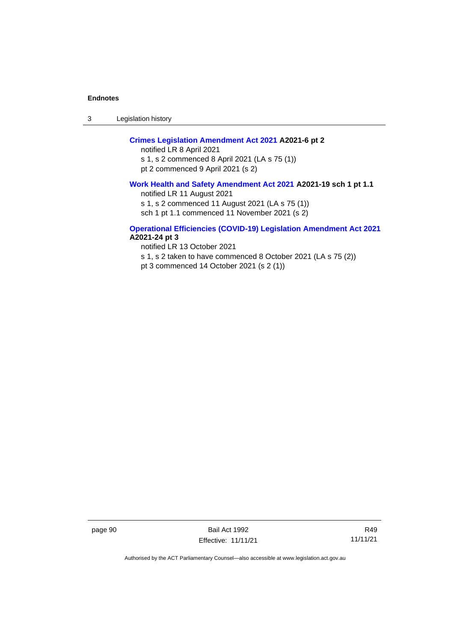3 Legislation history

### **[Crimes Legislation Amendment Act 2021](http://www.legislation.act.gov.au/a/2021-6/) A2021-6 pt 2**

notified LR 8 April 2021 s 1, s 2 commenced 8 April 2021 (LA s 75 (1)) pt 2 commenced 9 April 2021 (s 2)

### **[Work Health and Safety Amendment Act 2021](http://www.legislation.act.gov.au/a/2021-19/) A2021-19 sch 1 pt 1.1**

notified LR 11 August 2021

s 1, s 2 commenced 11 August 2021 (LA s 75 (1))

sch 1 pt 1.1 commenced 11 November 2021 (s 2)

#### **[Operational Efficiencies \(COVID-19\) Legislation Amendment Act 2021](http://www.legislation.act.gov.au/a/2021-24/) A2021-24 pt 3**

notified LR 13 October 2021 s 1, s 2 taken to have commenced 8 October 2021 (LA s 75 (2)) pt 3 commenced 14 October 2021 (s 2 (1))

page 90 Bail Act 1992 Effective: 11/11/21

R49 11/11/21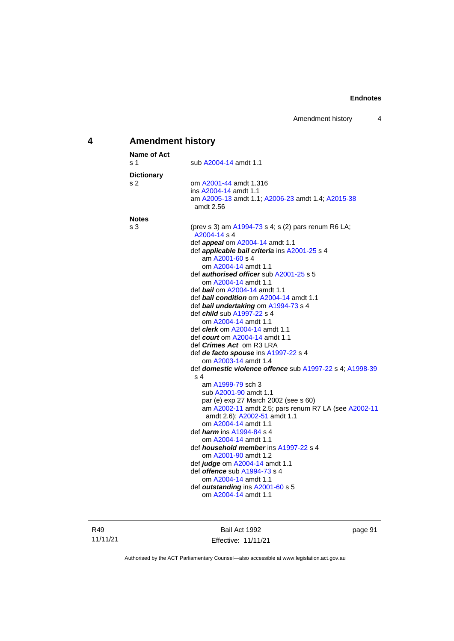# **4 Amendment history**

| Name of Act       |                                                                         |
|-------------------|-------------------------------------------------------------------------|
| s 1               | sub A2004-14 amdt 1.1                                                   |
| <b>Dictionary</b> |                                                                         |
| s 2               | om A2001-44 amdt 1.316<br>ins A2004-14 amdt 1.1                         |
|                   | am A2005-13 amdt 1.1; A2006-23 amdt 1.4; A2015-38                       |
|                   | amdt 2.56                                                               |
| <b>Notes</b>      |                                                                         |
| s 3               | (prev s 3) am A1994-73 s 4; s (2) pars renum R6 LA;<br>A2004-14 s 4     |
|                   | def <i>appeal</i> om A2004-14 amdt 1.1                                  |
|                   | def applicable bail criteria ins A2001-25 s 4                           |
|                   | am A2001-60 s 4                                                         |
|                   | om A2004-14 amdt 1.1<br>def <b>authorised officer</b> sub A2001-25 s 5  |
|                   | om A2004-14 amdt 1.1                                                    |
|                   | def <i>bail</i> om A2004-14 amdt 1.1                                    |
|                   | def bail condition om A2004-14 amdt 1.1                                 |
|                   | def bail undertaking om A1994-73 s 4                                    |
|                   | def <i>child</i> sub A1997-22 s 4                                       |
|                   | om A2004-14 amdt 1.1                                                    |
|                   | def <i>clerk</i> om A2004-14 amdt 1.1                                   |
|                   | def <i>court</i> om A2004-14 amdt 1.1                                   |
|                   | def <i>Crimes Act</i> om R3 LRA<br>def de facto spouse ins A1997-22 s 4 |
|                   | om A2003-14 amdt 1.4                                                    |
|                   | def domestic violence offence sub A1997-22 s 4; A1998-39                |
|                   | s 4                                                                     |
|                   | am A1999-79 sch 3                                                       |
|                   | sub A2001-90 amdt 1.1                                                   |
|                   | par (e) exp 27 March 2002 (see s 60)                                    |
|                   | am A2002-11 amdt 2.5; pars renum R7 LA (see A2002-11                    |
|                   | amdt 2.6); A2002-51 amdt 1.1                                            |
|                   | om A2004-14 amdt 1.1<br>def <i>harm</i> ins A1994-84 s 4                |
|                   | om A2004-14 amdt 1.1                                                    |
|                   | def <i>household member</i> ins A1997-22 s 4                            |
|                   | om A2001-90 amdt 1.2                                                    |
|                   | def <i>judge</i> om A2004-14 amdt 1.1                                   |
|                   | def <i>offence</i> sub A1994-73 s 4                                     |
|                   | om A2004-14 amdt 1.1                                                    |
|                   | def outstanding ins A2001-60 s 5                                        |
|                   | om A2004-14 amdt 1.1                                                    |

Bail Act 1992 Effective: 11/11/21 page 91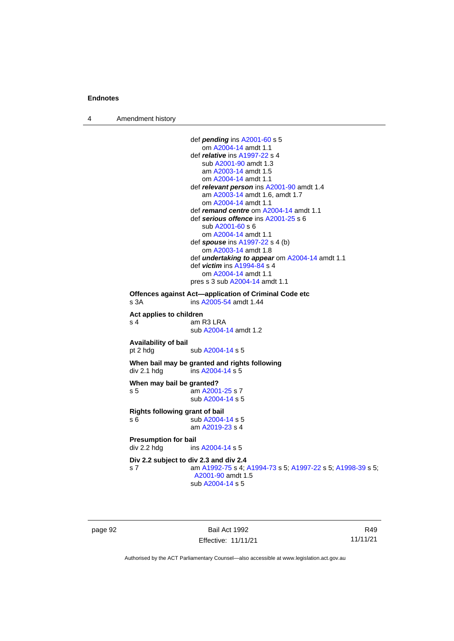4 Amendment history

```
def pending ins A2001-60 s 5
                    om A2004-14 amdt 1.1
                 def relative ins A1997-22 s 4
                    sub A2001-90 amdt 1.3
                    am A2003-14 amdt 1.5
                    om A2004-14 amdt 1.1
                 def relevant person ins A2001-90 amdt 1.4
                    am A2003-14 amdt 1.6, amdt 1.7
                    om A2004-14 amdt 1.1
                 def remand centre om A2004-14 amdt 1.1
                 def serious offence ins A2001-25 s 6
                    sub A2001-60 s 6
                    om A2004-14 amdt 1.1
                 def spouse ins A1997-22 s 4 (b)
                    om A2003-14 amdt 1.8
                 def undertaking to appear om A2004-14 amdt 1.1
                 def victim ins A1994-84 s 4
                    om A2004-14 amdt 1.1
                 pres s 3 sub A2004-14 amdt 1.1
Offences against Act—application of Criminal Code etc
s 3A  A2005-54 amdt 1.44
Act applies to children
s 4 am R3 LRA
                 sub A2004-14 amdt 1.2
Availability of bail
 A2004-14 s 5
When bail may be granted and rights following
div 2.1 hdg ins A2004-14 s 5When may bail be granted?
s 5 am A2001-25 s 7
                 sub A2004-14 s 5
Rights following grant of bail
s 6 sub A2004-14 s 5
                 am A2019-23 s 4
Presumption for bail<br>div 2.2 hdg ins
                  A2004-14 s 5
Div 2.2 subject to div 2.3 and div 2.4
s 7 am A1992-75 s 4; A1994-73 s 5; A1997-22 s 5; A1998-39 s 5; 
                  A2001-90 amdt 1.5
                 sub A2004-14 s 5
```
page 92 Bail Act 1992 Effective: 11/11/21

R49 11/11/21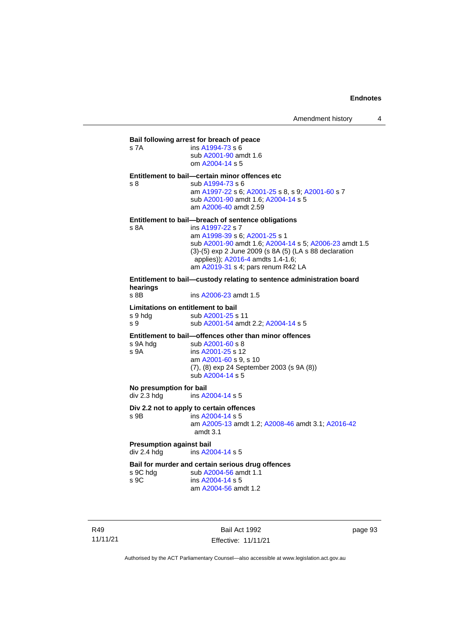|                                    | Bail following arrest for breach of peace                               |
|------------------------------------|-------------------------------------------------------------------------|
| s 7A                               | ins A1994-73 s 6                                                        |
|                                    | sub A2001-90 amdt 1.6                                                   |
|                                    | om A2004-14 s 5                                                         |
|                                    | Entitlement to bail-certain minor offences etc                          |
| s 8                                | sub A1994-73 s 6                                                        |
|                                    | am A1997-22 s 6; A2001-25 s 8, s 9; A2001-60 s 7                        |
|                                    | sub A2001-90 amdt 1.6; A2004-14 s 5                                     |
|                                    | am A2006-40 amdt 2.59                                                   |
|                                    | Entitlement to bail—breach of sentence obligations                      |
| s 8A                               | ins A1997-22 s 7                                                        |
|                                    | am A1998-39 s 6; A2001-25 s 1                                           |
|                                    | sub A2001-90 amdt 1.6; A2004-14 s 5; A2006-23 amdt 1.5                  |
|                                    | (3)-(5) exp 2 June 2009 (s 8A (5) (LA s 88 declaration                  |
|                                    | applies)); A2016-4 amdts 1.4-1.6;<br>am A2019-31 s 4; pars renum R42 LA |
|                                    |                                                                         |
| hearings                           | Entitlement to bail-custody relating to sentence administration board   |
| s 8B                               | ins A2006-23 amdt 1.5                                                   |
| Limitations on entitlement to bail |                                                                         |
| s 9 hda                            | sub A2001-25 s 11                                                       |
| s 9                                | sub A2001-54 amdt 2.2; A2004-14 s 5                                     |
|                                    | Entitlement to bail-offences other than minor offences                  |
| s 9A hdg                           | sub A2001-60 s 8                                                        |
| s 9A                               | ins A2001-25 s 12                                                       |
|                                    | am A2001-60 s 9, s 10                                                   |
|                                    | (7), (8) exp 24 September 2003 (s 9A (8))                               |

sub [A2004-14](http://www.legislation.act.gov.au/a/2004-14) s 5

**No presumption for bail**<br>div 2.3 hdg ins A2

ins [A2004-14](http://www.legislation.act.gov.au/a/2004-14) s 5

# **Div 2.2 not to apply to certain offences**

s 9B ins [A2004-14](http://www.legislation.act.gov.au/a/2004-14) s 5

am [A2005-13](http://www.legislation.act.gov.au/a/2005-13) amdt 1.2[; A2008-46](http://www.legislation.act.gov.au/a/2008-46) amdt 3.1; [A2016-42](http://www.legislation.act.gov.au/a/2016-42/default.asp) amdt 3.1

# **Presumption against bail**<br>div 2.4 hdg ins A20

ins [A2004-14](http://www.legislation.act.gov.au/a/2004-14) s 5

# **Bail for murder and certain serious drug offences**<br>s 9C hdg sub A2004-56 amdt 1.1

s 9C hdg sub [A2004-56](http://www.legislation.act.gov.au/a/2004-56) amdt 1.1<br>s 9C ins A2004-14 s 5 ins [A2004-14](http://www.legislation.act.gov.au/a/2004-14) s 5 am [A2004-56](http://www.legislation.act.gov.au/a/2004-56) amdt 1.2

R49 11/11/21

Bail Act 1992 Effective: 11/11/21 page 93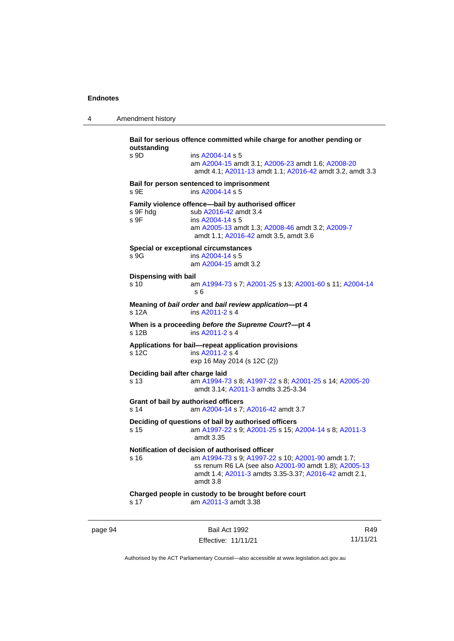4 Amendment history

```
Bail for serious offence committed while charge for another pending or 
outstanding
s 9D ins A2004-14 s 5
                 am A2004-15 amdt 3.1; A2006-23 amdt 1.6; A2008-20
                  amdt 4.1; A2011-13 amdt 1.1; A2016-42 amdt 3.2, amdt 3.3
Bail for person sentenced to imprisonment
 A2004-14 s 5
Family violence offence—bail by authorised officer<br>s 9F hdg sub A2016-42 amdt 3.4
                  A2016-42 amdt 3.4
 A2004-14 s 5
                 am A2005-13 amdt 1.3; A2008-46 amdt 3.2; A2009-7
                  amdt 1.1; A2016-42 amdt 3.5, amdt 3.6
Special or exceptional circumstances
 A2004-14 s 5
                 am A2004-15 amdt 3.2
Dispensing with bail
s 10 am A1994-73 s 7; A2001-25 s 13; A2001-60 s 11; A2004-14
                  s 6
Meaning of bail order and bail review application—pt 4
                  A2011-2 s 4
When is a proceeding before the Supreme Court?—pt 4
s 12B ins A2011-2 s 4
Applications for bail—repeat application provisions
                  A2011-2 s 4
                 exp 16 May 2014 (s 12C (2))
Deciding bail after charge laid
s 13 am A1994-73 s 8; A1997-22 s 8; A2001-25 s 14; A2005-20
                  amdt 3.14; A2011-3 amdts 3.25-3.34
Grant of bail by authorised officers
s 14 am A2004-14 s 7; A2016-42 amdt 3.7
Deciding of questions of bail by authorised officers
s 15 am A1997-22 s 9; A2001-25 s 15; A2004-14 s 8; A2011-3
                  amdt 3.35
Notification of decision of authorised officer<br>s 16 am A1994-73 s 9: A1997-22
                  A1994-73; A1997-22 A2001-90 amdt 1.7;
                  ss renum R6 LA (see also A2001-90 amdt 1.8); A2005-13
                  amdt 1.4; A2011-3 amdts 3.35-3.37; A2016-42 amdt 2.1, 
                  amdt 3.8
Charged people in custody to be brought before court
s 17 am A2011-3 amdt 3.38
```
page 94 Bail Act 1992 Effective: 11/11/21

R49 11/11/21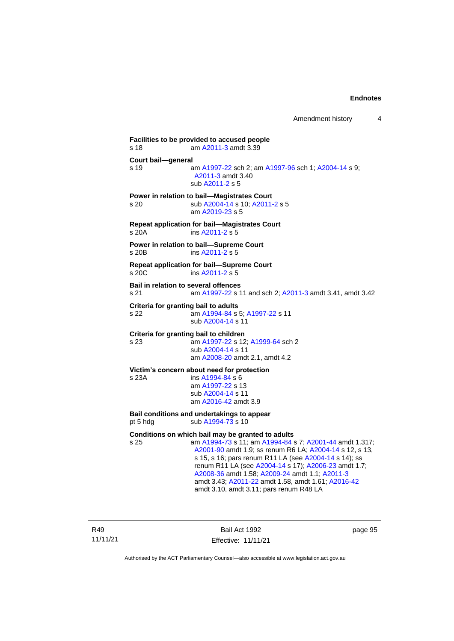**Facilities to be provided to accused people** s 18 am [A2011-3](http://www.legislation.act.gov.au/a/2011-3) amdt 3.39 **Court bail—general** s 19 **am [A1997-22](http://www.legislation.act.gov.au/a/1997-22) sch 2; am [A1997-96](http://www.legislation.act.gov.au/a/1997-96) sch 1; [A2004-14](http://www.legislation.act.gov.au/a/2004-14) s 9;** [A2011-3](http://www.legislation.act.gov.au/a/2011-3) amdt 3.40 sub [A2011-2](http://www.legislation.act.gov.au/a/2011-2) s 5 **Power in relation to bail—Magistrates Court** s 20 sub [A2004-14](http://www.legislation.act.gov.au/a/2004-14) s 10[; A2011-2](http://www.legislation.act.gov.au/a/2011-2) s 5 am [A2019-23](http://www.legislation.act.gov.au/a/2019-23/default.asp) s 5 **Repeat application for bail—Magistrates Court** s 20A ins [A2011-2](http://www.legislation.act.gov.au/a/2011-2) s 5 **Power in relation to bail—Supreme Court** s 20B ins [A2011-2](http://www.legislation.act.gov.au/a/2011-2) s 5 **Repeat application for bail—Supreme Court** s 20C ins [A2011-2](http://www.legislation.act.gov.au/a/2011-2) s 5 **Bail in relation to several offences** s 21 am [A1997-22](http://www.legislation.act.gov.au/a/1997-22) s 11 and sch 2; [A2011-3](http://www.legislation.act.gov.au/a/2011-3) amdt 3.41, amdt 3.42 **Criteria for granting bail to adults** s 22 am [A1994-84](http://www.legislation.act.gov.au/a/1994-84) s 5[; A1997-22](http://www.legislation.act.gov.au/a/1997-22) s 11 sub [A2004-14](http://www.legislation.act.gov.au/a/2004-14) s 11 **Criteria for granting bail to children** s 23 am [A1997-22](http://www.legislation.act.gov.au/a/1997-22) s 12[; A1999-64](http://www.legislation.act.gov.au/a/1999-64) sch 2 sub [A2004-14](http://www.legislation.act.gov.au/a/2004-14) s 11 am [A2008-20](http://www.legislation.act.gov.au/a/2008-20) amdt 2.1, amdt 4.2 **Victim's concern about need for protection** s 23A ins [A1994-84](http://www.legislation.act.gov.au/a/1994-84) s 6 am [A1997-22](http://www.legislation.act.gov.au/a/1997-22) s 13 sub [A2004-14](http://www.legislation.act.gov.au/a/2004-14) s 11 am [A2016-42](http://www.legislation.act.gov.au/a/2016-42/default.asp) amdt 3.9 **Bail conditions and undertakings to appear** pt 5 hdg sub  $A1994-73$  s 10 **Conditions on which bail may be granted to adults** s 25 am [A1994-73](http://www.legislation.act.gov.au/a/1994-73) s 11; a[m A1994-84](http://www.legislation.act.gov.au/a/1994-84) s 7; [A2001-44](http://www.legislation.act.gov.au/a/2001-44) amdt 1.317; [A2001-90](http://www.legislation.act.gov.au/a/2001-90) amdt 1.9; ss renum R6 LA; [A2004-14](http://www.legislation.act.gov.au/a/2004-14) s 12, s 13, s 15, s 16; pars renum R11 LA (see [A2004-14](http://www.legislation.act.gov.au/a/2004-14) s 14); ss renum R11 LA (see [A2004-14](http://www.legislation.act.gov.au/a/2004-14) s 17); [A2006-23](http://www.legislation.act.gov.au/a/2006-23) amdt 1.7; [A2008-36](http://www.legislation.act.gov.au/a/2008-36) amdt 1.58[; A2009-24](http://www.legislation.act.gov.au/a/2009-24) amdt 1.1; [A2011-3](http://www.legislation.act.gov.au/a/2011-3) amdt 3.43; [A2011-22](http://www.legislation.act.gov.au/a/2011-22) amdt 1.58, amdt 1.61[; A2016-42](http://www.legislation.act.gov.au/a/2016-42/default.asp)

amdt 3.10, amdt 3.11; pars renum R48 LA

R49 11/11/21

Bail Act 1992 Effective: 11/11/21 page 95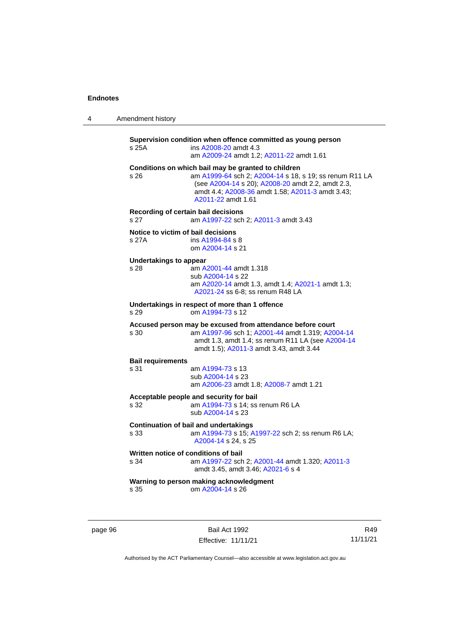| Amendment history |
|-------------------|
|                   |

|                          | s 25A                                                                      | Supervision condition when offence committed as young person<br>ins A2008-20 amdt 4.3<br>am A2009-24 amdt 1.2; A2011-22 amdt 1.61                                                                                                             |  |
|--------------------------|----------------------------------------------------------------------------|-----------------------------------------------------------------------------------------------------------------------------------------------------------------------------------------------------------------------------------------------|--|
|                          | s 26                                                                       | Conditions on which bail may be granted to children<br>am A1999-64 sch 2; A2004-14 s 18, s 19; ss renum R11 LA<br>(see A2004-14 s 20); A2008-20 amdt 2.2, amdt 2.3,<br>amdt 4.4; A2008-36 amdt 1.58; A2011-3 amdt 3.43;<br>A2011-22 amdt 1.61 |  |
|                          | Recording of certain bail decisions<br>s <sub>27</sub>                     | am A1997-22 sch 2; A2011-3 amdt 3.43                                                                                                                                                                                                          |  |
|                          | Notice to victim of bail decisions<br>s 27A                                | ins A1994-84 s 8<br>om A2004-14 s 21                                                                                                                                                                                                          |  |
|                          | <b>Undertakings to appear</b><br>s 28                                      | am A2001-44 amdt 1.318<br>sub A2004-14 s 22<br>am A2020-14 amdt 1.3, amdt 1.4; A2021-1 amdt 1.3;<br>A2021-24 ss 6-8; ss renum R48 LA                                                                                                          |  |
|                          | Undertakings in respect of more than 1 offence<br>om A1994-73 s 12<br>s 29 |                                                                                                                                                                                                                                               |  |
|                          | s 30                                                                       | Accused person may be excused from attendance before court<br>am A1997-96 sch 1; A2001-44 amdt 1.319; A2004-14<br>amdt 1.3, amdt 1.4; ss renum R11 LA (see A2004-14<br>amdt 1.5); A2011-3 amdt 3.43, amdt 3.44                                |  |
| <b>Bail requirements</b> |                                                                            |                                                                                                                                                                                                                                               |  |
|                          | s 31                                                                       | am A1994-73 s 13<br>sub A2004-14 s 23<br>am A2006-23 amdt 1.8; A2008-7 amdt 1.21                                                                                                                                                              |  |
|                          | s 32                                                                       | Acceptable people and security for bail<br>am A1994-73 s 14; ss renum R6 LA<br>sub A2004-14 s 23                                                                                                                                              |  |
|                          | s 33                                                                       | <b>Continuation of bail and undertakings</b><br>am A1994-73 s 15; A1997-22 sch 2; ss renum R6 LA;<br>A2004-14 s 24, s 25                                                                                                                      |  |
|                          | Written notice of conditions of bail<br>s 34                               | am A1997-22 sch 2; A2001-44 amdt 1.320; A2011-3<br>amdt 3.45, amdt 3.46; A2021-6 s 4                                                                                                                                                          |  |
|                          | s 35                                                                       | Warning to person making acknowledgment<br>om A2004-14 s 26                                                                                                                                                                                   |  |

page 96 Bail Act 1992 Effective: 11/11/21

R49 11/11/21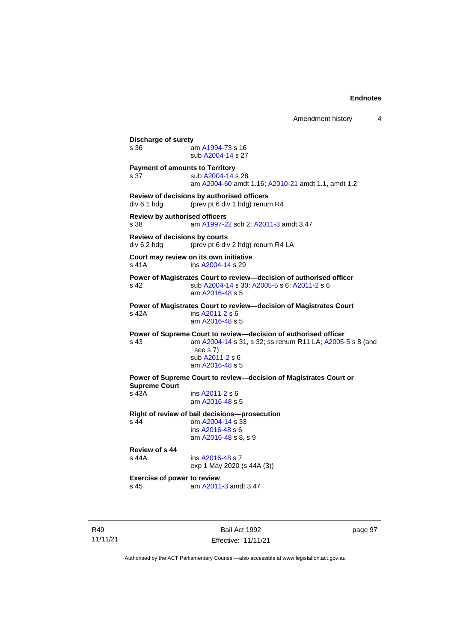Amendment history 4 **Discharge of surety** s 36 am [A1994-73](http://www.legislation.act.gov.au/a/1994-73) s 16 sub [A2004-14](http://www.legislation.act.gov.au/a/2004-14) s 27 **Payment of amounts to Territory** s 37 sub [A2004-14](http://www.legislation.act.gov.au/a/2004-14) s 28 am [A2004-60](http://www.legislation.act.gov.au/a/2004-60) amdt 1.16[; A2010-21](http://www.legislation.act.gov.au/a/2010-21) amdt 1.1, amdt 1.2 **Review of decisions by authorised officers** div 6.1 hdg (prev pt 6 div 1 hdg) renum R4 **Review by authorised officers** s 38 am [A1997-22](http://www.legislation.act.gov.au/a/1997-22) sch 2; [A2011-3](http://www.legislation.act.gov.au/a/2011-3) amdt 3.47 **Review of decisions by courts** div 6.2 hdg (prev pt 6 div 2 hdg) renum R4 LA **Court may review on its own initiative** s 41A **ins [A2004-14](http://www.legislation.act.gov.au/a/2004-14) s 29 Power of Magistrates Court to review—decision of authorised officer** s 42 sub [A2004-14](http://www.legislation.act.gov.au/a/2004-14) s 30[; A2005-5](http://www.legislation.act.gov.au/a/2005-5) s 6; [A2011-2](http://www.legislation.act.gov.au/a/2011-2) s 6 am [A2016-48](http://www.legislation.act.gov.au/a/2016-48/default.asp) s 5 **Power of Magistrates Court to review—decision of Magistrates Court** s 42A ins [A2011-2](http://www.legislation.act.gov.au/a/2011-2) s 6 am [A2016-48](http://www.legislation.act.gov.au/a/2016-48/default.asp) s 5 **Power of Supreme Court to review—decision of authorised officer** s 43 am [A2004-14](http://www.legislation.act.gov.au/a/2004-14) s 31, s 32; ss renum R11 LA; [A2005-5](http://www.legislation.act.gov.au/a/2005-5) s 8 (and see s 7) sub [A2011-2](http://www.legislation.act.gov.au/a/2011-2) s 6 am [A2016-48](http://www.legislation.act.gov.au/a/2016-48/default.asp) s 5 **Power of Supreme Court to review—decision of Magistrates Court or Supreme Court** s 43A ins [A2011-2](http://www.legislation.act.gov.au/a/2011-2) s 6 am [A2016-48](http://www.legislation.act.gov.au/a/2016-48/default.asp) s 5 **Right of review of bail decisions—prosecution** om  $A2004 - 14$  s  $33$ ins [A2016-48](http://www.legislation.act.gov.au/a/2016-48/default.asp) s 6 am [A2016-48](http://www.legislation.act.gov.au/a/2016-48/default.asp) s 8, s 9 **Review of s 44** ins [A2016-48](http://www.legislation.act.gov.au/a/2016-48/default.asp) s 7 exp 1 May 2020 (s 44A (3)) **Exercise of power to review** s 45 am [A2011-3](http://www.legislation.act.gov.au/a/2011-3) amdt 3.47

R49 11/11/21

Bail Act 1992 Effective: 11/11/21 page 97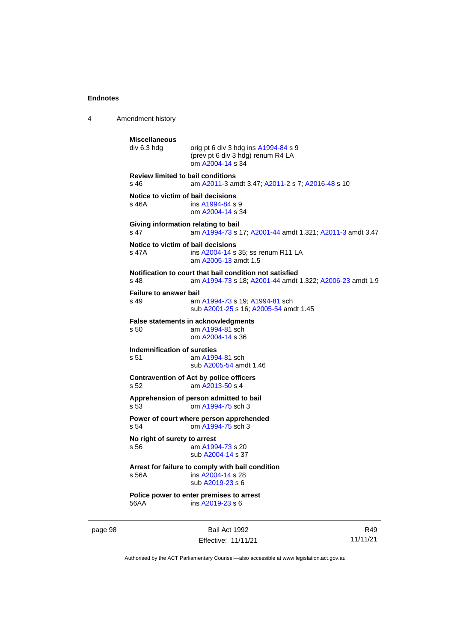4 Amendment history

```
page 98 Bail Act 1992
                                                                          R49
          Miscellaneous
                          orig pt 6 div 3 hdg ins A1994-84 s 9
                          (prev pt 6 div 3 hdg) renum R4 LA
                          om A2004-14 s 34
          Review limited to bail conditions
          s 46 am A2011-3 amdt 3.47; A2011-2 s 7; A2016-48 s 10
          Notice to victim of bail decisions
          s 46A  A1994-84 s 9
                          om A2004-14 s 34
          Giving information relating to bail
          s 47 am A1994-73 s 17; A2001-44 amdt 1.321; A2011-3 amdt 3.47
          Notice to victim of bail decisions
          s 47A ins A2004-14 s 35; ss renum R11 LA
                          am A2005-13 amdt 1.5
          Notification to court that bail condition not satisfied
          s 48 am A1994-73 s 18; A2001-44 amdt 1.322; A2006-23 amdt 1.9
          Failure to answer bail
          s 49 am A1994-73 s 19; A1994-81 sch
                          sub A2001-25 s 16; A2005-54 amdt 1.45
          False statements in acknowledgments<br>s 50 am A1994-81 sch
                          am A1994-81 sch
                          om A2004-14 s 36
          Indemnification of sureties
          s 51 am A1994-81 sch
                          sub A2005-54 amdt 1.46
          Contravention of Act by police officers
          s 52 am A2013-50 s 4
          Apprehension of person admitted to bail
          s 53 om A1994-75 sch 3
          Power of court where person apprehended
          s 54 om A1994-75 sch 3
          No right of surety to arrest<br>s 56 am A199
                           A1994-73 s 20
                          sub A2004-14 s 37
          Arrest for failure to comply with bail condition
          s 56A ins A2004-14 s 28
                          sub A2019-23 s 6
          Police power to enter premises to arrest
          56AA ins A2019-23 s 6
```
Authorised by the ACT Parliamentary Counsel—also accessible at www.legislation.act.gov.au

Effective: 11/11/21

11/11/21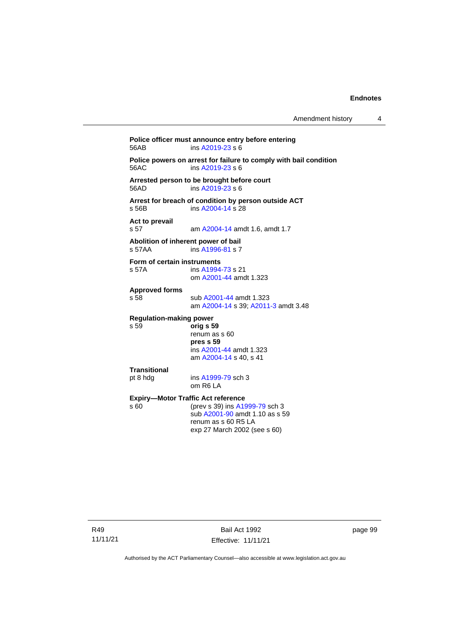**Police officer must announce entry before entering**<br>56AB **ins A2019-23** s 6  $ins$  [A2019-23](http://www.legislation.act.gov.au/a/2019-23/default.asp) s 6 **Police powers on arrest for failure to comply with bail condition** 56AC ins [A2019-23](http://www.legislation.act.gov.au/a/2019-23/default.asp) s 6 **Arrested person to be brought before court**  $ins$  [A2019-23](http://www.legislation.act.gov.au/a/2019-23/default.asp) s 6 **Arrest for breach of condition by person outside ACT** s 56B ins [A2004-14](http://www.legislation.act.gov.au/a/2004-14) s 28 **Act to prevail** s 57 am [A2004-14](http://www.legislation.act.gov.au/a/2004-14) amdt 1.6, amdt 1.7 **Abolition of inherent power of bail** s 57AA ins [A1996-81](http://www.legislation.act.gov.au/a/1996-81) s 7 **Form of certain instruments**<br>s 57A **ins A1994** ins [A1994-73](http://www.legislation.act.gov.au/a/1994-73) s 21 om [A2001-44](http://www.legislation.act.gov.au/a/2001-44) amdt 1.323 **Approved forms** s 58 sub [A2001-44](http://www.legislation.act.gov.au/a/2001-44) amdt 1.323 am [A2004-14](http://www.legislation.act.gov.au/a/2004-14) s 39[; A2011-3](http://www.legislation.act.gov.au/a/2011-3) amdt 3.48 **Regulation-making power** s 59 **orig s 59** renum as s 60 **pres s 59** ins [A2001-44](http://www.legislation.act.gov.au/a/2001-44) amdt 1.323 am [A2004-14](http://www.legislation.act.gov.au/a/2004-14) s 40, s 41 **Transitional** pt 8 hdg ins [A1999-79](http://www.legislation.act.gov.au/a/1999-79) sch 3 om R6 LA **Expiry—Motor Traffic Act reference**<br>s 60 (prev s 39) ins A19 (prev s 39) in[s A1999-79](http://www.legislation.act.gov.au/a/1999-79) sch 3 sub [A2001-90](http://www.legislation.act.gov.au/a/2001-90) amdt 1.10 as s 59 renum as s 60 R5 LA exp 27 March 2002 (see s 60)

R49 11/11/21

Bail Act 1992 Effective: 11/11/21 page 99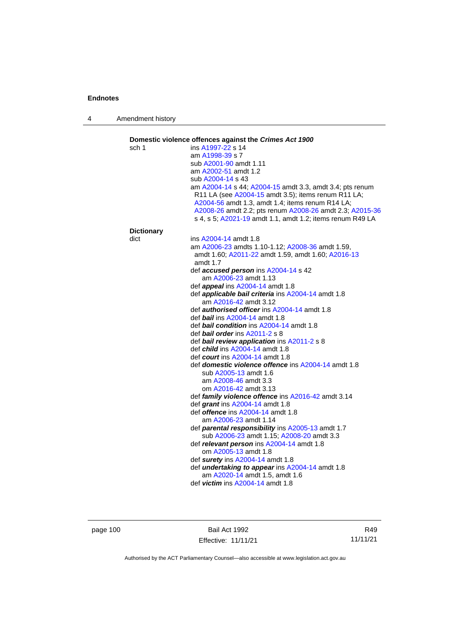4 Amendment history

|                   | Domestic violence offences against the Crimes Act 1900        |
|-------------------|---------------------------------------------------------------|
| sch 1             | ins A1997-22 s 14                                             |
|                   | am A1998-39 s 7                                               |
|                   | sub A2001-90 amdt 1.11                                        |
|                   | am A2002-51 amdt 1.2                                          |
|                   | sub A2004-14 s 43                                             |
|                   | am A2004-14 s 44; A2004-15 amdt 3.3, amdt 3.4; pts renum      |
|                   | R11 LA (see A2004-15 amdt 3.5); items renum R11 LA;           |
|                   | A2004-56 amdt 1.3, amdt 1.4; items renum R14 LA;              |
|                   | A2008-26 amdt 2.2; pts renum A2008-26 amdt 2.3; A2015-36      |
|                   | s 4, s 5; A2021-19 amdt 1.1, amdt 1.2; items renum R49 LA     |
| <b>Dictionary</b> |                                                               |
| dict              | ins A2004-14 amdt 1.8                                         |
|                   | am A2006-23 amdts 1.10-1.12; A2008-36 amdt 1.59,              |
|                   | amdt 1.60; A2011-22 amdt 1.59, amdt 1.60; A2016-13            |
|                   | amdt 1.7                                                      |
|                   | def accused person ins A2004-14 s 42<br>am A2006-23 amdt 1.13 |
|                   | def appeal ins A2004-14 amdt 1.8                              |
|                   | def applicable bail criteria ins A2004-14 amdt 1.8            |
|                   | am A2016-42 amdt 3.12                                         |
|                   | def <i>authorised officer</i> ins A2004-14 amdt 1.8           |
|                   | def <b>bail</b> ins A2004-14 amdt 1.8                         |
|                   | def <b>bail condition</b> ins A2004-14 amdt 1.8               |
|                   | def <b>bail order</b> ins $A2011-2 s 8$                       |
|                   | def bail review application ins A2011-2 s 8                   |
|                   | def <i>child</i> ins A2004-14 amdt 1.8                        |
|                   | def <i>court</i> ins A2004-14 amdt 1.8                        |
|                   | def domestic violence offence ins A2004-14 amdt 1.8           |
|                   | sub A2005-13 amdt 1.6                                         |
|                   | am A2008-46 amdt 3.3                                          |
|                   | om A2016-42 amdt 3.13                                         |
|                   | def family violence offence ins A2016-42 amdt 3.14            |
|                   | def grant ins A2004-14 amdt 1.8                               |
|                   | def <b>offence</b> ins A2004-14 amdt 1.8                      |
|                   | am A2006-23 amdt 1.14                                         |
|                   | def parental responsibility ins A2005-13 amdt 1.7             |
|                   | sub A2006-23 amdt 1.15; A2008-20 amdt 3.3                     |
|                   | def relevant person ins A2004-14 amdt 1.8                     |
|                   | om A2005-13 amdt 1.8                                          |
|                   | def surety ins A2004-14 amdt 1.8                              |
|                   | def <i>undertaking to appear</i> ins A2004-14 amdt 1.8        |
|                   | am A2020-14 amdt 1.5, amdt 1.6                                |
|                   | def <i>victim</i> ins A2004-14 amdt 1.8                       |

page 100 Bail Act 1992 Effective: 11/11/21

R49 11/11/21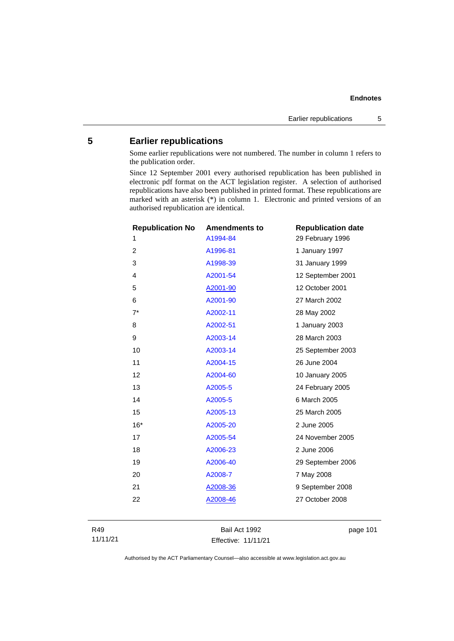## **Endnotes**

## **5 Earlier republications**

Some earlier republications were not numbered. The number in column 1 refers to the publication order.

Since 12 September 2001 every authorised republication has been published in electronic pdf format on the ACT legislation register. A selection of authorised republications have also been published in printed format. These republications are marked with an asterisk (\*) in column 1. Electronic and printed versions of an authorised republication are identical.

| <b>Republication No</b><br>1 | <b>Amendments to</b><br>A1994-84 | <b>Republication date</b><br>29 February 1996 |
|------------------------------|----------------------------------|-----------------------------------------------|
| $\overline{2}$               | A1996-81                         | 1 January 1997                                |
| 3                            | A1998-39                         | 31 January 1999                               |
| 4                            | A2001-54                         | 12 September 2001                             |
| 5                            | A2001-90                         | 12 October 2001                               |
| 6                            | A2001-90                         | 27 March 2002                                 |
| $7^*$                        | A2002-11                         | 28 May 2002                                   |
| 8                            | A2002-51                         | 1 January 2003                                |
| 9                            | A2003-14                         | 28 March 2003                                 |
| 10                           | A2003-14                         | 25 September 2003                             |
| 11                           | A2004-15                         | 26 June 2004                                  |
| 12                           | A2004-60                         | 10 January 2005                               |
| 13                           | A2005-5                          | 24 February 2005                              |
| 14                           | A2005-5                          | 6 March 2005                                  |
| 15                           | A2005-13                         | 25 March 2005                                 |
| $16*$                        | A2005-20                         | 2 June 2005                                   |
| 17                           | A2005-54                         | 24 November 2005                              |
| 18                           | A2006-23                         | 2 June 2006                                   |
| 19                           | A2006-40                         | 29 September 2006                             |
| 20                           | A2008-7                          | 7 May 2008                                    |
| 21                           | A2008-36                         | 9 September 2008                              |
| 22                           | A2008-46                         | 27 October 2008                               |
|                              |                                  |                                               |

R49 11/11/21

Bail Act 1992 Effective: 11/11/21 page 101

Authorised by the ACT Parliamentary Counsel—also accessible at www.legislation.act.gov.au